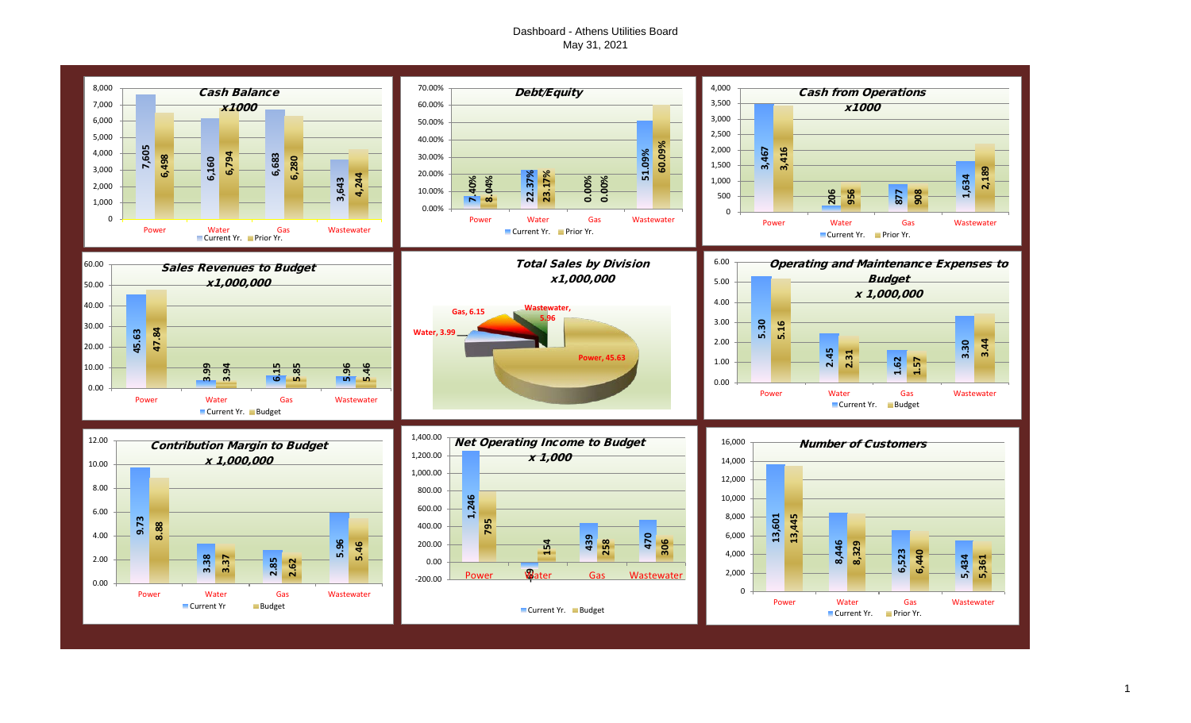#### Dashboard - Athens Utilities Board May 31, 2021

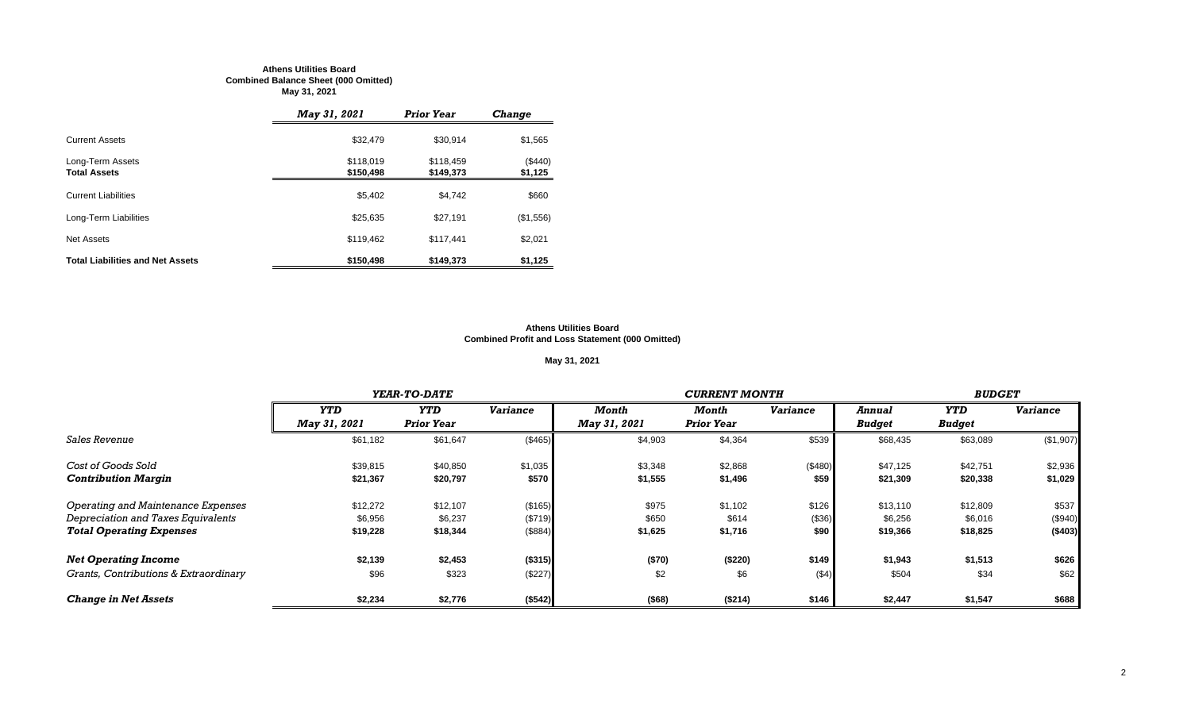#### **Athens Utilities Board Combined Balance Sheet (000 Omitted) May 31, 2021**

|                                         | <b>May 31, 2021</b>    | <b>Prior Year</b>      | Change             |
|-----------------------------------------|------------------------|------------------------|--------------------|
| <b>Current Assets</b>                   | \$32,479               | \$30,914               | \$1,565            |
| Long-Term Assets<br><b>Total Assets</b> | \$118,019<br>\$150,498 | \$118,459<br>\$149,373 | (\$440)<br>\$1,125 |
| <b>Current Liabilities</b>              | \$5.402                | \$4.742                | \$660              |
| Long-Term Liabilities                   | \$25,635               | \$27,191               | (\$1,556)          |
| Net Assets                              | \$119,462              | \$117.441              | \$2,021            |
| <b>Total Liabilities and Net Assets</b> | \$150,498              | \$149.373              | \$1,125            |

#### **Athens Utilities Board Combined Profit and Loss Statement (000 Omitted)**

#### **May 31, 2021**

|                                       |              | YEAR-TO-DATE      |                 |                     | <b>CURRENT MONTH</b> |                 |               |               |                 |  |
|---------------------------------------|--------------|-------------------|-----------------|---------------------|----------------------|-----------------|---------------|---------------|-----------------|--|
|                                       | <b>YTD</b>   | <b>YTD</b>        | <b>Variance</b> | Month               | Month                | <b>Variance</b> | Annual        | <b>YTD</b>    | <b>Variance</b> |  |
|                                       | May 31, 2021 | <b>Prior Year</b> |                 | <b>May 31, 2021</b> | <b>Prior Year</b>    |                 | <b>Budget</b> | <b>Budget</b> |                 |  |
| Sales Revenue                         | \$61,182     | \$61,647          | (\$465)         | \$4,903             | \$4,364              | \$539           | \$68,435      | \$63,089      | (\$1,907)       |  |
| Cost of Goods Sold                    | \$39,815     | \$40,850          | \$1,035         | \$3,348             | \$2,868              | (\$480)         | \$47,125      | \$42,751      | \$2,936         |  |
| <b>Contribution Margin</b>            | \$21,367     | \$20,797          | \$570           | \$1,555             | \$1,496              | \$59            | \$21,309      | \$20,338      | \$1,029         |  |
| Operating and Maintenance Expenses    | \$12,272     | \$12,107          | (\$165)         | \$975               | \$1,102              | \$126           | \$13,110      | \$12,809      | \$537           |  |
| Depreciation and Taxes Equivalents    | \$6,956      | \$6,237           | (\$719)         | \$650               | \$614                | (\$36)          | \$6,256       | \$6,016       | (\$940)         |  |
| <b>Total Operating Expenses</b>       | \$19,228     | \$18,344          | (\$884)         | \$1,625             | \$1,716              | \$90            | \$19,366      | \$18,825      | (\$403)         |  |
| <b>Net Operating Income</b>           | \$2,139      | \$2,453           | (\$315)         | (\$70)              | (\$220)              | \$149           | \$1,943       | \$1,513       | \$626           |  |
| Grants, Contributions & Extraordinary | \$96         | \$323             | (\$227)         | \$2                 | \$6                  | $($ \$4)        | \$504         | \$34          | \$62            |  |
| <b>Change in Net Assets</b>           | \$2,234      | \$2,776           | (\$542)         | (\$68)              | (\$214)              | \$146           | \$2,447       | \$1,547       | \$688           |  |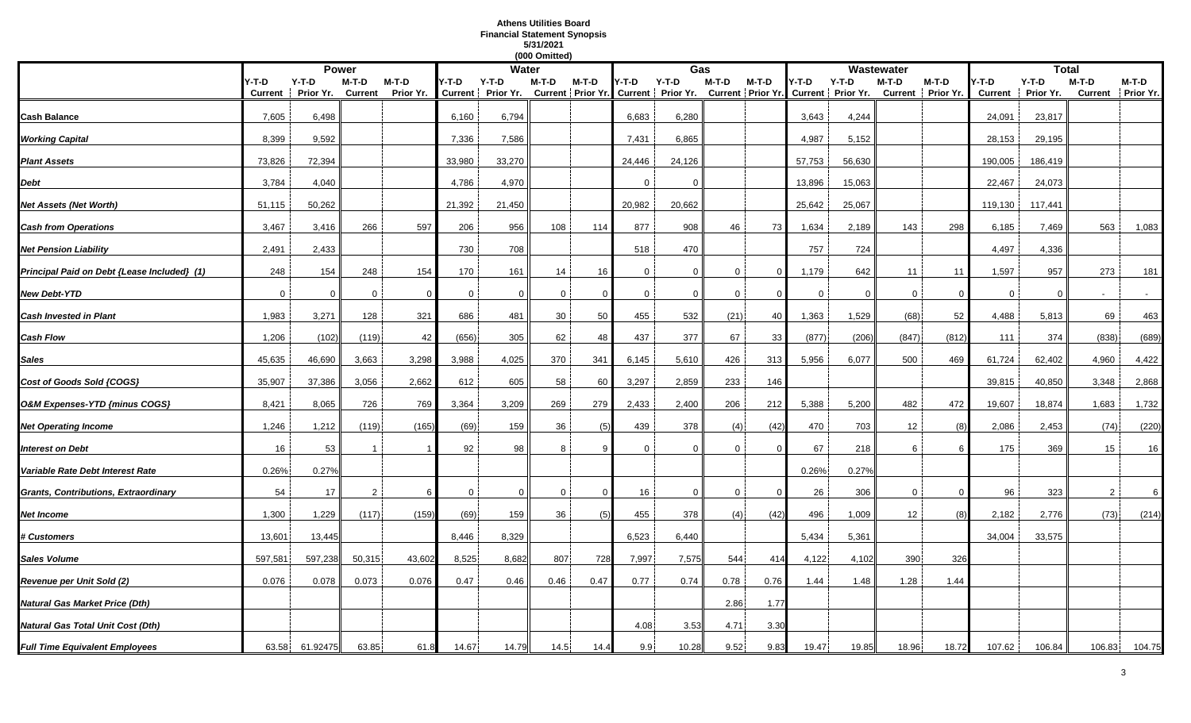#### **Athens Utilities Board Financial Statement Synopsis 5/31/2021**

|                                             |                  |                      |                           |                      |                |              | (000 Omitted) |          |          |          |                |          |                                                                                                                                                       |        |             |         |                         |                      |                |                            |
|---------------------------------------------|------------------|----------------------|---------------------------|----------------------|----------------|--------------|---------------|----------|----------|----------|----------------|----------|-------------------------------------------------------------------------------------------------------------------------------------------------------|--------|-------------|---------|-------------------------|----------------------|----------------|----------------------------|
|                                             |                  |                      | <b>Power</b>              |                      |                | <b>Water</b> |               |          |          | Gas      |                |          |                                                                                                                                                       |        | Wastewater  |         |                         |                      | <b>Total</b>   |                            |
|                                             | Y-T-D<br>Current | $Y-T-D$<br>Prior Yr. | $M-T-D$<br><b>Current</b> | $M-T-D$<br>Prior Yr. | Y-T-D          | Y-T-D        | M-T-D         | M-T-D    | Y-T-D    | $Y-T-D$  | M-T-D          | $M-T-D$  | $M-T-D$<br>4-T-D<br>Y-T-D<br>Current   Prior Yr. Current   Prior Yr. Current   Prior Yr. Current   Prior Yr. Current   Prior Yr.<br>Current Prior Yr. |        |             | $M-T-D$ | Y-T-D<br><b>Current</b> | $Y-T-D$<br>Prior Yr. | $M-T-D$        | M-T-D<br>Current Prior Yr. |
| Cash Balance                                | 7,605            | 6,498                |                           |                      | 6,160          | 6,794        |               |          | 6,683    | 6,280    |                |          | 3,643                                                                                                                                                 | 4,244  |             |         | 24,091                  | 23,817               |                |                            |
| <b>Working Capital</b>                      | 8,399            | 9,592                |                           |                      | 7,336          | 7,586        |               |          | 7,431    | 6,865    |                |          | 4,987                                                                                                                                                 | 5,152  |             |         | 28,153                  | 29,195               |                |                            |
| <b>Plant Assets</b>                         | 73,826           | 72,394               |                           |                      | 33,980         | 33,270       |               |          | 24,446   | 24,126   |                |          | 57,753                                                                                                                                                | 56,630 |             |         | 190,005                 | 186,419              |                |                            |
| Debt                                        | 3,784            | 4,040                |                           |                      | 4,786          | 4,970        |               |          | $\Omega$ | $\Omega$ |                |          | 13,896                                                                                                                                                | 15,063 |             |         | 22,467                  | 24,073               |                |                            |
| Net Assets (Net Worth)                      | 51,115           | 50,262               |                           |                      | 21,392         | 21,450       |               |          | 20,982   | 20,662   |                |          | 25,642                                                                                                                                                | 25,067 |             |         | 119,130                 | 117,441              |                |                            |
| <b>Cash from Operations</b>                 | 3,467            | 3,416                | 266                       | 597                  | 206            | 956          | 108           | 114      | 877      | 908      | 46             | 73       | 1,634                                                                                                                                                 | 2,189  | 143         | 298     | 6,185                   | 7,469                | 563            | 1,083                      |
| <b>Net Pension Liability</b>                | 2,491            | 2,433                |                           |                      | 730            | 708          |               |          | 518      | 470      |                |          | 757                                                                                                                                                   | 724    |             |         | 4,497                   | 4,336                |                |                            |
| Principal Paid on Debt {Lease Included} (1) | 248              | 154                  | 248                       | 154                  | 170            | 161          | 14            | 16       | 0        | $\Omega$ | $\mathbf 0$    | $\Omega$ | 1,179                                                                                                                                                 | 642    | 11          | 11      | 1,597                   | 957                  | 273            | 181                        |
| New Debt-YTD                                | $\overline{0}$   | $\Omega$             | $\mathbf{0}$              | $\Omega$             | 0              | $\Omega$     | $\mathbf 0$   | $\Omega$ | $\Omega$ | $\Omega$ | $\mathbf{0}$   |          | $\mathbf 0$                                                                                                                                           | 0      | $\mathbf 0$ | - 0     | $\mathbf 0$             | $\Omega$             | $\overline{a}$ | $\sim$                     |
| <b>Cash Invested in Plant</b>               | 1,983            | 3,271                | 128                       | 321                  | 686            | 481          | 30            | 50       | 455      | 532      | (21)           | 40       | 1,363                                                                                                                                                 | 1,529  | (68)        | 52      | 4,488                   | 5,813                | 69             | 463                        |
| Cash Flow                                   | 1,206            | (102)                | (119)                     | 42                   | (656)          | 305          | 62            | 48       | 437      | 377      | 67             | 33       | (877)                                                                                                                                                 | (206)  | (847)       | (812)   | 111                     | 374                  | (838)          | (689)                      |
| Sales                                       | 45,635           | 46,690               | 3,663                     | 3,298                | 3,988          | 4,025        | 370           | 341      | 6,145    | 5,610    | 426            | 313      | 5,956                                                                                                                                                 | 6,077  | 500         | 469     | 61,724                  | 62,402               | 4,960          | 4,422                      |
| Cost of Goods Sold {COGS}                   | 35,907           | 37,386               | 3,056                     | 2,662                | 612            | 605          | 58            | 60       | 3,297    | 2,859    | 233            | 146      |                                                                                                                                                       |        |             |         | 39,815                  | 40,850               | 3,348          | 2,868                      |
| O&M Expenses-YTD {minus COGS}               | 8,421            | 8,065                | 726                       | 769                  | 3,364          | 3,209        | 269           | 279      | 2,433    | 2,400    | 206            | 212      | 5,388                                                                                                                                                 | 5,200  | 482         | 472     | 19,607                  | 18,874               | 1,683          | 1,732                      |
| <b>Net Operating Income</b>                 | 1,246            | 1,212                | (119)                     | (165)                | (69)           | 159          | 36            | (5)      | 439      | 378      | (4)            | (42)     | 470                                                                                                                                                   | 703    | 12          | 68      | 2,086                   | 2,453                | (74)           | (220)                      |
| <b>Interest on Debt</b>                     | 16               | 53                   |                           |                      | 92             | 98           | 8             |          | $\Omega$ | $\Omega$ | 0              |          | 67                                                                                                                                                    | 218    | 6           |         | 175                     | 369                  | 15             | 16                         |
| Variable Rate Debt Interest Rate            | 0.26%            | 0.27%                |                           |                      |                |              |               |          |          |          |                |          | 0.26%                                                                                                                                                 | 0.27%  |             |         |                         |                      |                |                            |
| Grants, Contributions, Extraordinary        | 54               | 17                   | $\overline{2}$            | 6                    | $\overline{0}$ | $\Omega$     | $\mathbf 0$   | $\Omega$ | 16       | $\Omega$ | $\overline{0}$ | $\Omega$ | 26                                                                                                                                                    | 306    | $\mathbf 0$ |         | 96                      | 323                  | 2              | 6                          |
| Net Income                                  | 1,300            | 1,229                | (117)                     | (159)                | (69)           | 159          | 36            | (5)      | 455      | 378      | (4)            | (42)     | 496                                                                                                                                                   | 1,009  | 12          |         | 2,182                   | 2,776                | (73)           | (214)                      |
| <b>‡ Customers</b>                          | 13,601           | 13,445               |                           |                      | 8,446          | 8,329        |               |          | 6,523    | 6,440    |                |          | 5,434                                                                                                                                                 | 5,361  |             |         | 34,004                  | 33,575               |                |                            |
| Sales Volume                                | 597,581          | 597,238              | 50,315                    | 43,602               | 8,525          | 8,682        | 807           | 728      | 7,997    | 7,575    | 544            | 414      | 4,122                                                                                                                                                 | 4,102  | 390         | 326     |                         |                      |                |                            |
| Revenue per Unit Sold (2)                   | 0.076            | 0.078                | 0.073                     | 0.076                | 0.47           | 0.46         | 0.46          | 0.47     | 0.77     | 0.74     | 0.78           | 0.76     | 1.44                                                                                                                                                  | 1.48   | 1.28        | 1.44    |                         |                      |                |                            |
| Natural Gas Market Price (Dth)              |                  |                      |                           |                      |                |              |               |          |          |          | 2.86           | 1.77     |                                                                                                                                                       |        |             |         |                         |                      |                |                            |
| Natural Gas Total Unit Cost (Dth)           |                  |                      |                           |                      |                |              |               |          | 4.08     | 3.53     | 4.71           | 3.30     |                                                                                                                                                       |        |             |         |                         |                      |                |                            |
| <b>Full Time Equivalent Employees</b>       | 63.58            | 61.92475             | 63.85                     | 61.8                 | 14.67          | 14.79        | 14.5          | 14.4     | 9.9      | 10.28    | 9.52           | 9.83     | 19.47                                                                                                                                                 | 19.85  | 18.96       | 18.72   | 107.62                  | 106.84               | 106.83         | 104.75                     |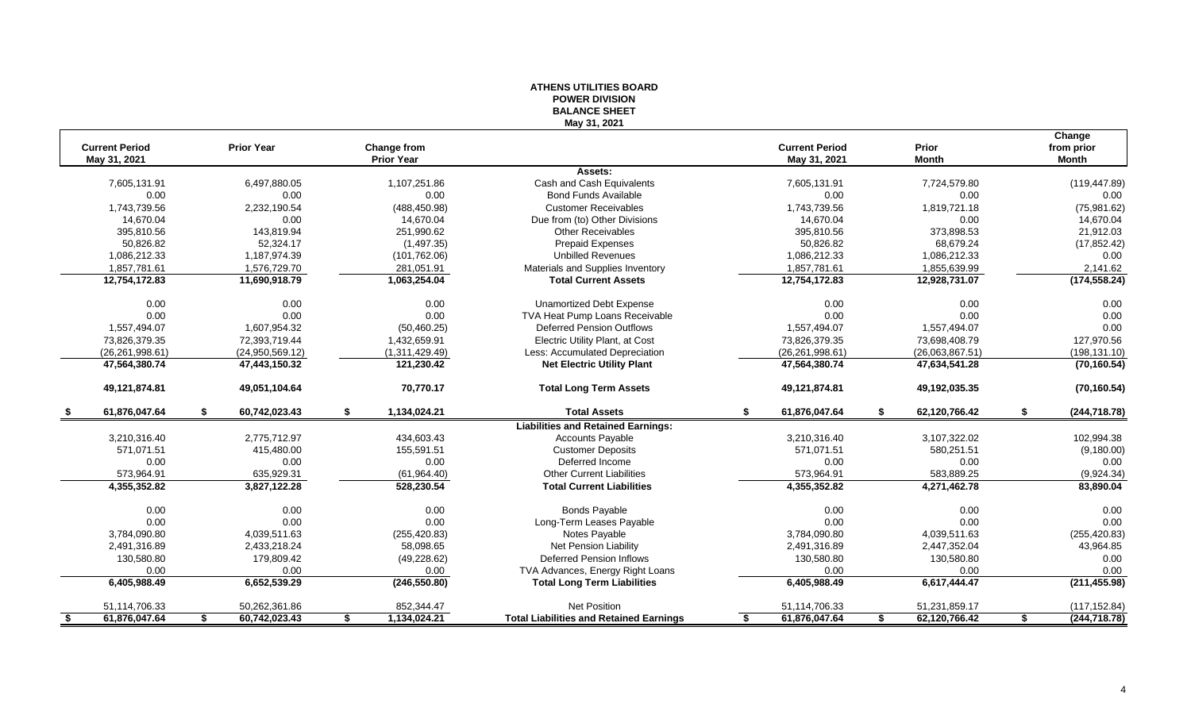|                       |                     |     |                    | <b>BALANCE SHEET</b>                           |                       |                     |                      |
|-----------------------|---------------------|-----|--------------------|------------------------------------------------|-----------------------|---------------------|----------------------|
| <b>Current Period</b> | <b>Prior Year</b>   |     | <b>Change from</b> | May 31, 2021                                   | <b>Current Period</b> | <b>Prior</b>        | Change<br>from prior |
| May 31, 2021          |                     |     | <b>Prior Year</b>  |                                                | May 31, 2021          | <b>Month</b>        | <b>Month</b>         |
|                       |                     |     |                    | Assets:                                        |                       |                     |                      |
| 7,605,131.91          | 6,497,880.05        |     | 1,107,251.86       | Cash and Cash Equivalents                      | 7,605,131.91          | 7,724,579.80        | (119, 447.89)        |
| 0.00                  | 0.00                |     | 0.00               | <b>Bond Funds Available</b>                    | 0.00                  | 0.00                | 0.00                 |
| 1,743,739.56          | 2,232,190.54        |     | (488, 450.98)      | <b>Customer Receivables</b>                    | 1,743,739.56          | 1,819,721.18        | (75,981.62)          |
| 14,670.04             | 0.00                |     | 14,670.04          | Due from (to) Other Divisions                  | 14,670.04             | 0.00                | 14,670.04            |
| 395,810.56            | 143,819.94          |     | 251,990.62         | <b>Other Receivables</b>                       | 395,810.56            | 373,898.53          | 21,912.03            |
| 50,826.82             | 52,324.17           |     | (1,497.35)         | <b>Prepaid Expenses</b>                        | 50,826.82             | 68,679.24           | (17, 852.42)         |
| 1,086,212.33          | 1,187,974.39        |     | (101, 762.06)      | <b>Unbilled Revenues</b>                       | 1,086,212.33          | 1,086,212.33        | 0.00                 |
| 1,857,781.61          | 1,576,729.70        |     | 281,051.91         | Materials and Supplies Inventory               | 1,857,781.61          | 1,855,639.99        | 2,141.62             |
| 12,754,172.83         | 11,690,918.79       |     | 1,063,254.04       | <b>Total Current Assets</b>                    | 12,754,172.83         | 12,928,731.07       | (174, 558.24)        |
| 0.00                  | 0.00                |     | 0.00               | <b>Unamortized Debt Expense</b>                | 0.00                  | 0.00                | 0.00                 |
| 0.00                  | 0.00                |     | 0.00               | TVA Heat Pump Loans Receivable                 | 0.00                  | 0.00                | 0.00                 |
| 1,557,494.07          | 1,607,954.32        |     | (50, 460.25)       | <b>Deferred Pension Outflows</b>               | 1,557,494.07          | 1,557,494.07        | 0.00                 |
| 73,826,379.35         | 72,393,719.44       |     | 1,432,659.91       | Electric Utility Plant, at Cost                | 73,826,379.35         | 73,698,408.79       | 127,970.56           |
| (26, 261, 998.61)     | (24,950,569.12)     |     | (1,311,429.49)     | Less: Accumulated Depreciation                 | (26, 261, 998.61)     | (26,063,867.51)     | (198, 131.10)        |
| 47,564,380.74         | 47,443,150.32       |     | 121,230.42         | <b>Net Electric Utility Plant</b>              | 47,564,380.74         | 47,634,541.28       | (70, 160.54)         |
| 49,121,874.81         | 49,051,104.64       |     | 70,770.17          | <b>Total Long Term Assets</b>                  | 49,121,874.81         | 49,192,035.35       | (70, 160.54)         |
| 61,876,047.64         | 60,742,023.43       | \$. | 1,134,024.21       | <b>Total Assets</b>                            | 61,876,047.64         | 62,120,766.42       | \$<br>(244, 718.78)  |
|                       |                     |     |                    | <b>Liabilities and Retained Earnings:</b>      |                       |                     |                      |
| 3,210,316.40          | 2,775,712.97        |     | 434,603.43         | <b>Accounts Payable</b>                        | 3,210,316.40          | 3,107,322.02        | 102,994.38           |
| 571,071.51            | 415,480.00          |     | 155,591.51         | <b>Customer Deposits</b>                       | 571,071.51            | 580,251.51          | (9, 180.00)          |
| 0.00                  | 0.00                |     | 0.00               | Deferred Income                                | 0.00                  | 0.00                | 0.00                 |
| 573,964.91            | 635,929.31          |     | (61, 964.40)       | <b>Other Current Liabilities</b>               | 573,964.91            | 583,889.25          | (9,924.34)           |
| 4,355,352.82          | 3,827,122.28        |     | 528,230.54         | <b>Total Current Liabilities</b>               | 4,355,352.82          | 4,271,462.78        | 83,890.04            |
| 0.00                  | 0.00                |     | 0.00               | <b>Bonds Payable</b>                           | 0.00                  | 0.00                | 0.00                 |
| 0.00                  | 0.00                |     | 0.00               | Long-Term Leases Payable                       | 0.00                  | 0.00                | 0.00                 |
| 3,784,090.80          | 4,039,511.63        |     | (255, 420.83)      | Notes Payable                                  | 3,784,090.80          | 4,039,511.63        | (255, 420.83)        |
| 2,491,316.89          | 2,433,218.24        |     | 58,098.65          | Net Pension Liability                          | 2,491,316.89          | 2,447,352.04        | 43,964.85            |
| 130,580.80            | 179,809.42          |     | (49, 228.62)       | <b>Deferred Pension Inflows</b>                | 130,580.80            | 130,580.80          | 0.00                 |
| 0.00                  | 0.00                |     | 0.00               | TVA Advances, Energy Right Loans               | 0.00                  | 0.00                | 0.00                 |
|                       | 6,652,539.29        |     |                    |                                                |                       |                     | (211, 455.98)        |
| 6,405,988.49          |                     |     | (246, 550.80)      | <b>Total Long Term Liabilities</b>             | 6,405,988.49          | 6,617,444.47        |                      |
| 51,114,706.33         | 50,262,361.86       |     | 852,344.47         | <b>Net Position</b>                            | 51,114,706.33         | 51,231,859.17       | (117, 152.84)        |
| 61,876,047.64<br>- \$ | \$<br>60,742,023.43 | \$  | 1,134,024.21       | <b>Total Liabilities and Retained Earnings</b> | 61,876,047.64         | \$<br>62,120,766.42 | \$<br>(244, 718.78)  |

# **ATHENS UTILITIES BOARD POWER DIVISION**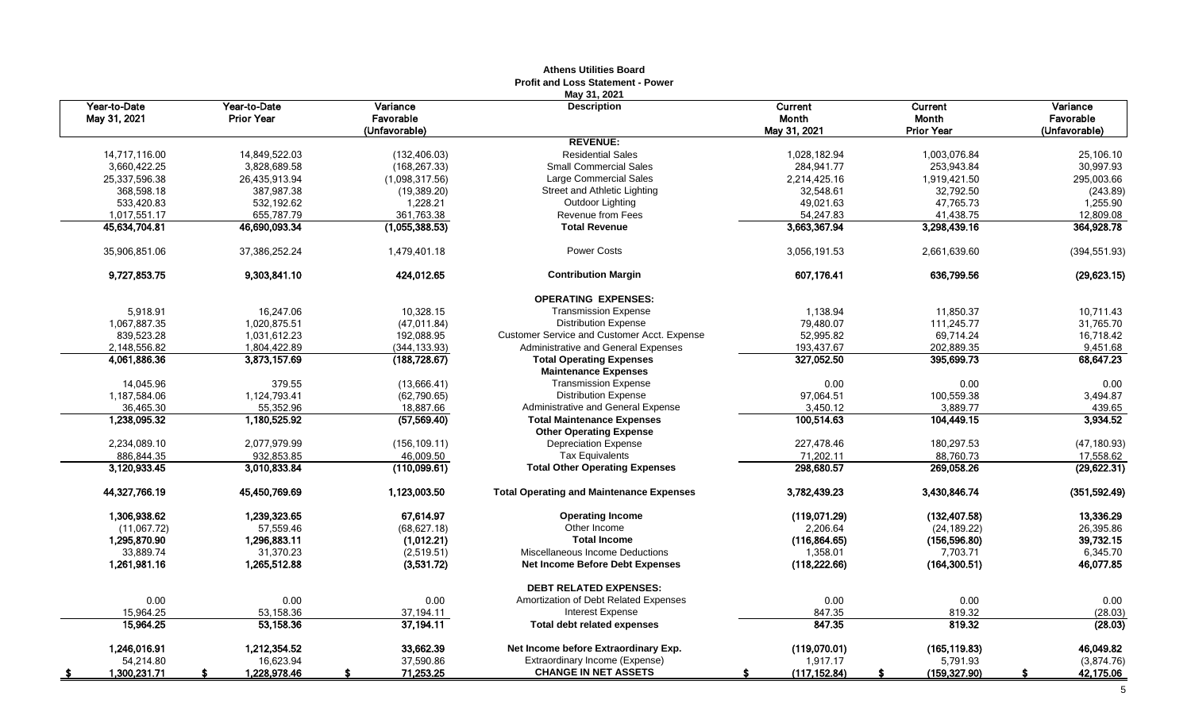|                              |                                   |                       | Athens Utilities Board<br><b>Profit and Loss Statement - Power</b> |                     |                     |                       |
|------------------------------|-----------------------------------|-----------------------|--------------------------------------------------------------------|---------------------|---------------------|-----------------------|
|                              |                                   |                       | May 31, 2021                                                       |                     |                     |                       |
| Year-to-Date<br>May 31, 2021 | Year-to-Date<br><b>Prior Year</b> | Variance<br>Favorable | <b>Description</b>                                                 | Current<br>Month    | Current<br>Month    | Variance<br>Favorable |
|                              |                                   | (Unfavorable)         |                                                                    | May 31, 2021        | <b>Prior Year</b>   | (Unfavorable)         |
|                              |                                   |                       | <b>REVENUE:</b>                                                    |                     |                     |                       |
| 14,717,116.00                | 14,849,522.03                     | (132, 406.03)         | <b>Residential Sales</b>                                           | 1,028,182.94        | 1,003,076.84        | 25,106.10             |
| 3,660,422.25                 | 3,828,689.58                      | (168, 267.33)         | <b>Small Commercial Sales</b>                                      | 284,941.77          | 253,943.84          | 30,997.93             |
| 25,337,596.38                | 26,435,913.94                     | (1,098,317.56)        | <b>Large Commercial Sales</b>                                      | 2,214,425.16        | 1,919,421.50        | 295,003.66            |
| 368,598.18                   | 387,987.38                        | (19, 389.20)          | Street and Athletic Lighting                                       | 32,548.61           | 32,792.50           | (243.89)              |
| 533,420.83                   | 532,192.62                        | 1,228.21              | Outdoor Lighting                                                   | 49,021.63           | 47,765.73           | 1,255.90              |
| 1,017,551.17                 | 655,787.79                        | 361,763.38            | Revenue from Fees                                                  | 54,247.83           | 41,438.75           | 12,809.08             |
| 45,634,704.81                | 46,690,093.34                     | (1,055,388.53)        | <b>Total Revenue</b>                                               | 3,663,367.94        | 3,298,439.16        | 364,928.78            |
| 35,906,851.06                | 37,386,252.24                     | 1,479,401.18          | <b>Power Costs</b>                                                 | 3,056,191.53        | 2,661,639.60        | (394, 551.93)         |
| 9,727,853.75                 | 9,303,841.10                      | 424,012.65            | <b>Contribution Margin</b>                                         | 607,176.41          | 636,799.56          | (29, 623.15)          |
|                              |                                   |                       | <b>OPERATING EXPENSES:</b>                                         |                     |                     |                       |
| 5.918.91                     | 16.247.06                         | 10.328.15             | <b>Transmission Expense</b>                                        | 1,138.94            | 11.850.37           | 10.711.43             |
| 1,067,887.35                 | 1,020,875.51                      | (47, 011.84)          | <b>Distribution Expense</b>                                        | 79,480.07           | 111,245.77          | 31,765.70             |
| 839,523.28                   | 1,031,612.23                      | 192,088.95            | Customer Service and Customer Acct. Expense                        | 52,995.82           | 69,714.24           | 16,718.42             |
| 2.148.556.82                 |                                   | (344, 133.93)         | Administrative and General Expenses                                | 193,437.67          | 202,889.35          | 9,451.68              |
| 4,061,886.36                 | 1,804,422.89<br>3,873,157.69      | (188, 728.67)         | <b>Total Operating Expenses</b>                                    | 327,052.50          | 395,699.73          | 68,647.23             |
|                              |                                   |                       | <b>Maintenance Expenses</b>                                        |                     |                     |                       |
| 14,045.96                    | 379.55                            | (13,666.41)           | <b>Transmission Expense</b>                                        | 0.00                | 0.00                | 0.00                  |
| 1,187,584.06                 | 1,124,793.41                      | (62,790.65)           | <b>Distribution Expense</b>                                        | 97,064.51           | 100,559.38          | 3,494.87              |
| 36,465.30                    | 55,352.96                         | 18,887.66             | Administrative and General Expense                                 | 3,450.12            | 3,889.77            | 439.65                |
| 1,238,095.32                 | 1,180,525.92                      | (57, 569.40)          | <b>Total Maintenance Expenses</b>                                  | 100,514.63          | 104,449.15          | 3,934.52              |
|                              |                                   |                       | <b>Other Operating Expense</b>                                     |                     |                     |                       |
| 2,234,089.10                 | 2,077,979.99                      | (156, 109.11)         | <b>Depreciation Expense</b>                                        | 227,478.46          | 180,297.53          | (47, 180.93)          |
| 886,844.35                   | 932,853.85                        | 46,009.50             | <b>Tax Equivalents</b>                                             | 71,202.11           | 88,760.73           | 17,558.62             |
| 3,120,933.45                 | 3,010,833.84                      | (110,099.61)          | <b>Total Other Operating Expenses</b>                              | 298,680.57          | 269,058.26          | (29, 622.31)          |
| 44,327,766.19                | 45,450,769.69                     | 1,123,003.50          | <b>Total Operating and Maintenance Expenses</b>                    | 3,782,439.23        | 3,430,846.74        | (351, 592.49)         |
| 1,306,938.62                 | 1,239,323.65                      | 67,614.97             | <b>Operating Income</b>                                            | (119,071.29)        | (132, 407.58)       | 13,336.29             |
| (11,067.72)                  | 57,559.46                         | (68, 627.18)          | Other Income                                                       | 2.206.64            | (24, 189.22)        | 26,395.86             |
| 1,295,870.90                 | 1,296,883.11                      | (1,012.21)            | <b>Total Income</b>                                                | (116, 864.65)       | (156, 596.80)       | 39,732.15             |
| 33.889.74                    | 31.370.23                         | (2,519.51)            | Miscellaneous Income Deductions                                    | 1.358.01            | 7.703.71            | 6,345.70              |
| 1,261,981.16                 | 1,265,512.88                      | (3,531.72)            | <b>Net Income Before Debt Expenses</b>                             | (118, 222.66)       | (164, 300.51)       | 46,077.85             |
|                              |                                   |                       | <b>DEBT RELATED EXPENSES:</b>                                      |                     |                     |                       |
| 0.00                         | 0.00                              | 0.00                  | Amortization of Debt Related Expenses                              | 0.00                | 0.00                | 0.00                  |
| 15,964.25                    | 53,158.36                         | 37,194.11             | Interest Expense                                                   | 847.35              | 819.32              | (28.03)               |
| 15,964.25                    | 53,158.36                         | 37,194.11             | <b>Total debt related expenses</b>                                 | 847.35              | 819.32              | (28.03)               |
| 1,246,016.91                 | 1,212,354.52                      | 33,662.39             | Net Income before Extraordinary Exp.                               | (119,070.01)        | (165, 119.83)       | 46,049.82             |
| 54,214.80                    | 16,623.94                         | 37,590.86             | Extraordinary Income (Expense)                                     | 1,917.17            | 5,791.93            | (3,874.76)            |
| 1,300,231.71                 | 1,228,978.46<br>s.                | 71,253.25<br>\$.      | <b>CHANGE IN NET ASSETS</b>                                        | (117, 152.84)<br>s. | (159, 327.90)<br>S. | 42,175.06<br>s.       |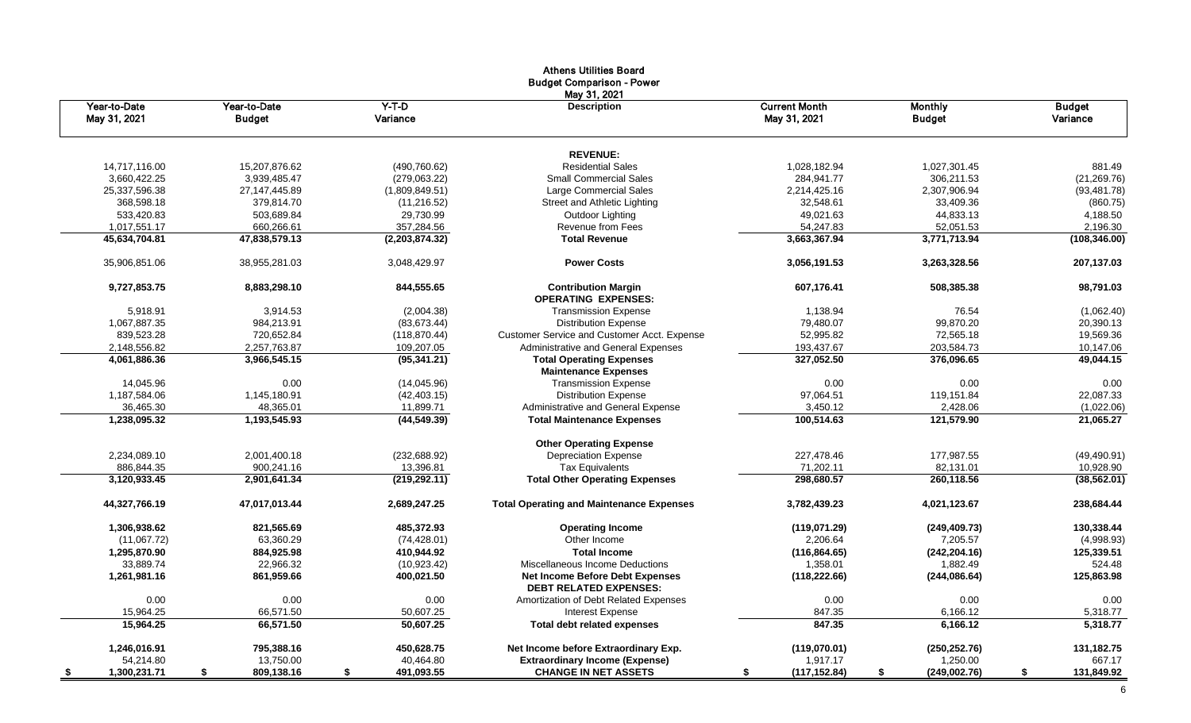|                              |                               |                     | <b>Athens Utilities Board</b><br><b>Budget Comparison - Power</b><br>May 31, 2021 |                                      |                                 |                           |
|------------------------------|-------------------------------|---------------------|-----------------------------------------------------------------------------------|--------------------------------------|---------------------------------|---------------------------|
| Year-to-Date<br>May 31, 2021 | Year-to-Date<br><b>Budget</b> | $Y-T-D$<br>Variance | <b>Description</b>                                                                | <b>Current Month</b><br>May 31, 2021 | <b>Monthly</b><br><b>Budget</b> | <b>Budget</b><br>Variance |
|                              |                               |                     | <b>REVENUE:</b>                                                                   |                                      |                                 |                           |
| 14,717,116.00                | 15,207,876.62                 | (490, 760.62)       | <b>Residential Sales</b>                                                          | 1,028,182.94                         | 1,027,301.45                    | 881.49                    |
| 3,660,422.25                 | 3,939,485.47                  | (279.063.22)        | <b>Small Commercial Sales</b>                                                     | 284,941.77                           | 306,211.53                      | (21, 269.76)              |
| 25,337,596.38                | 27, 147, 445.89               | (1,809,849.51)      | Large Commercial Sales                                                            | 2,214,425.16                         | 2,307,906.94                    | (93, 481.78)              |
| 368,598.18                   | 379,814.70                    | (11, 216.52)        | <b>Street and Athletic Lighting</b>                                               | 32,548.61                            | 33,409.36                       | (860.75)                  |
| 533,420.83                   | 503,689.84                    | 29,730.99           | Outdoor Lighting                                                                  | 49,021.63                            | 44,833.13                       | 4,188.50                  |
| 1,017,551.17                 | 660,266.61                    | 357,284.56          | Revenue from Fees                                                                 | 54,247.83                            | 52,051.53                       | 2,196.30                  |
| 45,634,704.81                | 47,838,579.13                 | (2,203,874.32)      | <b>Total Revenue</b>                                                              | 3,663,367.94                         | 3,771,713.94                    | (108, 346.00)             |
| 35,906,851.06                | 38,955,281.03                 | 3,048,429.97        | <b>Power Costs</b>                                                                | 3,056,191.53                         | 3,263,328.56                    | 207, 137.03               |
| 9,727,853.75                 | 8,883,298.10                  | 844,555.65          | <b>Contribution Margin</b><br><b>OPERATING EXPENSES:</b>                          | 607,176.41                           | 508,385.38                      | 98,791.03                 |
| 5,918.91                     | 3,914.53                      | (2,004.38)          | <b>Transmission Expense</b>                                                       | 1,138.94                             | 76.54                           | (1,062.40)                |
| 1,067,887.35                 | 984,213.91                    | (83, 673.44)        | <b>Distribution Expense</b>                                                       | 79,480.07                            | 99,870.20                       | 20,390.13                 |
| 839,523.28                   | 720,652.84                    | (118, 870.44)       | Customer Service and Customer Acct. Expense                                       | 52,995.82                            | 72,565.18                       | 19,569.36                 |
| 2,148,556.82                 | 2,257,763.87                  | 109,207.05          | Administrative and General Expenses                                               | 193,437.67                           | 203,584.73                      | 10,147.06                 |
| 4,061,886.36                 | 3,966,545.15                  | (95, 341.21)        | <b>Total Operating Expenses</b><br><b>Maintenance Expenses</b>                    | 327,052.50                           | 376,096.65                      | 49,044.15                 |
| 14,045.96                    | 0.00                          | (14,045.96)         | <b>Transmission Expense</b>                                                       | 0.00                                 | 0.00                            | 0.00                      |
| 1,187,584.06                 | 1,145,180.91                  | (42, 403.15)        | <b>Distribution Expense</b>                                                       | 97,064.51                            | 119,151.84                      | 22,087.33                 |
| 36,465.30                    | 48,365.01                     | 11,899.71           | Administrative and General Expense                                                | 3,450.12                             | 2,428.06                        | (1,022.06)                |
| 1,238,095.32                 | 1,193,545.93                  | (44, 549.39)        | <b>Total Maintenance Expenses</b>                                                 | 100,514.63                           | 121,579.90                      | 21,065.27                 |
|                              |                               |                     | <b>Other Operating Expense</b>                                                    |                                      |                                 |                           |
| 2,234,089.10                 | 2,001,400.18                  | (232, 688.92)       | <b>Depreciation Expense</b>                                                       | 227,478.46                           | 177,987.55                      | (49, 490.91)              |
| 886,844.35                   | 900,241.16                    | 13,396.81           | <b>Tax Equivalents</b>                                                            | 71,202.11                            | 82,131.01                       | 10,928.90                 |
| 3,120,933.45                 | 2,901,641.34                  | (219, 292.11)       | <b>Total Other Operating Expenses</b>                                             | 298,680.57                           | 260,118.56                      | (38, 562.01)              |
| 44,327,766.19                | 47,017,013.44                 | 2,689,247.25        | <b>Total Operating and Maintenance Expenses</b>                                   | 3,782,439.23                         | 4,021,123.67                    | 238,684.44                |
| 1,306,938.62                 | 821,565.69                    | 485,372.93          | <b>Operating Income</b>                                                           | (119,071.29)                         | (249, 409.73)                   | 130,338.44                |
| (11,067.72)                  | 63,360.29                     | (74, 428.01)        | Other Income                                                                      | 2,206.64                             | 7,205.57                        | (4,998.93)                |
| 1,295,870.90                 | 884,925.98                    | 410,944.92          | <b>Total Income</b>                                                               | (116, 864.65)                        | (242, 204.16)                   | 125,339.51                |
| 33,889.74                    | 22,966.32                     | (10, 923.42)        | Miscellaneous Income Deductions                                                   | 1,358.01                             | 1,882.49                        | 524.48                    |
| 1,261,981.16                 | 861,959.66                    | 400,021.50          | Net Income Before Debt Expenses<br><b>DEBT RELATED EXPENSES:</b>                  | (118, 222.66)                        | (244, 086.64)                   | 125,863.98                |
| 0.00                         | 0.00                          | $0.00\,$            | Amortization of Debt Related Expenses                                             | 0.00                                 | $0.00\,$                        | 0.00                      |
| 15,964.25                    | 66,571.50                     | 50,607.25           | Interest Expense                                                                  | 847.35                               | 6,166.12                        | 5,318.77                  |
| 15,964.25                    | 66,571.50                     | 50,607.25           | Total debt related expenses                                                       | 847.35                               | 6,166.12                        | 5,318.77                  |
| 1,246,016.91                 | 795,388.16                    | 450,628.75          | Net Income before Extraordinary Exp.                                              | (119,070.01)                         | (250, 252.76)                   | 131, 182. 75              |
| 54,214.80                    | 13,750.00                     | 40,464.80           | <b>Extraordinary Income (Expense)</b>                                             | 1,917.17                             | 1,250.00                        | 667.17                    |
| 1,300,231.71                 | 809,138.16<br>\$              | 491,093.55<br>S.    | <b>CHANGE IN NET ASSETS</b>                                                       | (117, 152.84)                        | (249,002.76)                    | 131,849.92<br>- 56        |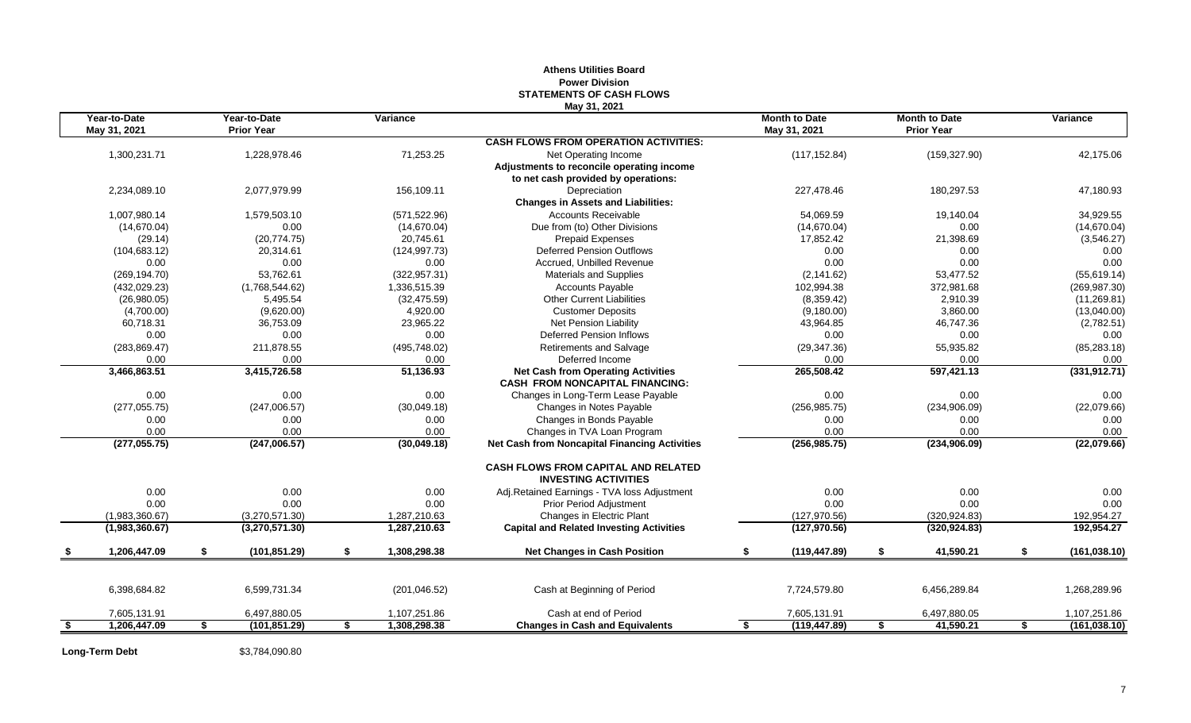|      |                              |                                   |               |                    | May 31, 2021                                                              |    |                                      |                                           |                     |
|------|------------------------------|-----------------------------------|---------------|--------------------|---------------------------------------------------------------------------|----|--------------------------------------|-------------------------------------------|---------------------|
|      | Year-to-Date<br>May 31, 2021 | Year-to-Date<br><b>Prior Year</b> |               | Variance           |                                                                           |    | <b>Month to Date</b><br>May 31, 2021 | <b>Month to Date</b><br><b>Prior Year</b> | Variance            |
|      |                              |                                   |               |                    | <b>CASH FLOWS FROM OPERATION ACTIVITIES:</b>                              |    |                                      |                                           |                     |
|      | 1,300,231.71                 | 1,228,978.46                      |               | 71,253.25          | Net Operating Income                                                      |    | (117, 152.84)                        | (159, 327.90)                             | 42,175.06           |
|      |                              |                                   |               |                    | Adjustments to reconcile operating income                                 |    |                                      |                                           |                     |
|      |                              |                                   |               |                    | to net cash provided by operations:                                       |    |                                      |                                           |                     |
|      | 2,234,089.10                 | 2,077,979.99                      |               | 156,109.11         | Depreciation                                                              |    | 227,478.46                           | 180,297.53                                | 47,180.93           |
|      |                              |                                   |               |                    | <b>Changes in Assets and Liabilities:</b>                                 |    |                                      |                                           |                     |
|      | 1,007,980.14                 | 1,579,503.10                      |               | (571, 522.96)      | <b>Accounts Receivable</b>                                                |    | 54,069.59                            | 19,140.04                                 | 34,929.55           |
|      | (14, 670.04)                 |                                   | 0.00          | (14,670.04)        | Due from (to) Other Divisions                                             |    | (14,670.04)                          | 0.00                                      | (14, 670.04)        |
|      | (29.14)                      |                                   | (20, 774.75)  | 20.745.61          | <b>Prepaid Expenses</b>                                                   |    | 17,852.42                            | 21,398.69                                 | (3,546.27)          |
|      | (104, 683.12)                |                                   | 20,314.61     | (124, 997.73)      | <b>Deferred Pension Outflows</b>                                          |    | 0.00                                 | 0.00                                      | 0.00                |
|      | 0.00                         |                                   | 0.00          | 0.00               | Accrued. Unbilled Revenue                                                 |    | 0.00                                 | 0.00                                      | 0.00                |
|      | (269, 194.70)                |                                   | 53,762.61     | (322, 957.31)      | Materials and Supplies                                                    |    | (2, 141.62)                          | 53,477.52                                 | (55,619.14)         |
|      | (432, 029.23)                | (1,768,544.62)                    |               | 1,336,515.39       | <b>Accounts Payable</b>                                                   |    | 102,994.38                           | 372,981.68                                | (269, 987.30)       |
|      | (26,980.05)                  |                                   | 5,495.54      | (32, 475.59)       | <b>Other Current Liabilities</b>                                          |    | (8,359.42)                           | 2,910.39                                  | (11, 269.81)        |
|      | (4,700.00)                   |                                   | (9,620.00)    | 4,920.00           | <b>Customer Deposits</b>                                                  |    | (9, 180.00)                          | 3,860.00                                  | (13,040.00)         |
|      | 60,718.31                    |                                   | 36,753.09     | 23,965.22          | <b>Net Pension Liability</b>                                              |    | 43,964.85                            | 46,747.36                                 | (2,782.51)          |
|      | 0.00                         |                                   | 0.00          | 0.00               | Deferred Pension Inflows                                                  |    | 0.00                                 | 0.00                                      | 0.00                |
|      | (283, 869.47)                |                                   | 211,878.55    | (495, 748.02)      | <b>Retirements and Salvage</b>                                            |    | (29, 347.36)                         | 55,935.82                                 | (85, 283.18)        |
|      | 0.00                         |                                   | 0.00          | 0.00               | Deferred Income                                                           |    | 0.00                                 | 0.00                                      | 0.00                |
|      | 3,466,863.51                 | 3,415,726.58                      |               | 51,136.93          | <b>Net Cash from Operating Activities</b>                                 |    | 265,508.42                           | 597,421.13                                | (331, 912.71)       |
|      |                              |                                   |               |                    | <b>CASH FROM NONCAPITAL FINANCING:</b>                                    |    |                                      |                                           |                     |
|      | 0.00                         |                                   | 0.00          | 0.00               | Changes in Long-Term Lease Payable                                        |    | 0.00                                 | 0.00                                      | 0.00                |
|      | (277, 055.75)                |                                   | (247,006.57)  | (30,049.18)        | Changes in Notes Payable                                                  |    | (256, 985.75)                        | (234,906.09)                              | (22,079.66)         |
|      | 0.00                         |                                   | 0.00          | 0.00               | Changes in Bonds Payable                                                  |    | 0.00                                 | 0.00                                      | 0.00                |
|      | 0.00                         |                                   | 0.00          | 0.00               | Changes in TVA Loan Program                                               |    | 0.00                                 | 0.00                                      | 0.00                |
|      | (277,055.75)                 |                                   | (247,006.57)  | (30,049.18)        | <b>Net Cash from Noncapital Financing Activities</b>                      |    | (256, 985.75)                        | (234, 906.09)                             | (22,079.66)         |
|      |                              |                                   |               |                    | <b>CASH FLOWS FROM CAPITAL AND RELATED</b><br><b>INVESTING ACTIVITIES</b> |    |                                      |                                           |                     |
|      | 0.00                         |                                   | 0.00          | 0.00               | Adj.Retained Earnings - TVA loss Adjustment                               |    | 0.00                                 | 0.00                                      | 0.00                |
|      | 0.00                         |                                   | 0.00          | 0.00               | <b>Prior Period Adjustment</b>                                            |    | 0.00                                 | 0.00                                      | 0.00                |
|      | (1,983,360.67)               | (3,270,571.30)                    |               | 1,287,210.63       | Changes in Electric Plant                                                 |    | (127, 970.56)                        | (320, 924.83)                             | 192,954.27          |
|      | (1,983,360.67)               | (3,270,571.30)                    |               | 1,287,210.63       | <b>Capital and Related Investing Activities</b>                           |    | (127, 970.56)                        | (320, 924.83)                             | 192,954.27          |
| - \$ | 1,206,447.09                 | \$                                | (101, 851.29) | \$<br>1,308,298.38 | <b>Net Changes in Cash Position</b>                                       | \$ | (119, 447.89)                        | \$<br>41,590.21                           | \$<br>(161, 038.10) |
|      |                              |                                   |               |                    |                                                                           |    |                                      |                                           |                     |
|      | 6,398,684.82                 | 6,599,731.34                      |               | (201, 046.52)      | Cash at Beginning of Period                                               |    | 7,724,579.80                         | 6,456,289.84                              | 1,268,289.96        |
|      | 7,605,131.91                 | 6,497,880.05                      |               | 1,107,251.86       | Cash at end of Period                                                     |    | 7,605,131.91                         | 6,497,880.05                              | 1,107,251.86        |
| \$   | 1,206,447.09                 | S.                                | (101, 851.29) | \$<br>1,308,298.38 | <b>Changes in Cash and Equivalents</b>                                    | S. | (119, 447.89)                        | \$<br>41,590.21                           | \$<br>(161, 038.10) |
|      |                              |                                   |               |                    |                                                                           |    |                                      |                                           |                     |

# **Athens Utilities Board Power Division STATEMENTS OF CASH FLOWS**

**Long-Term Debt** \$3,784,090.80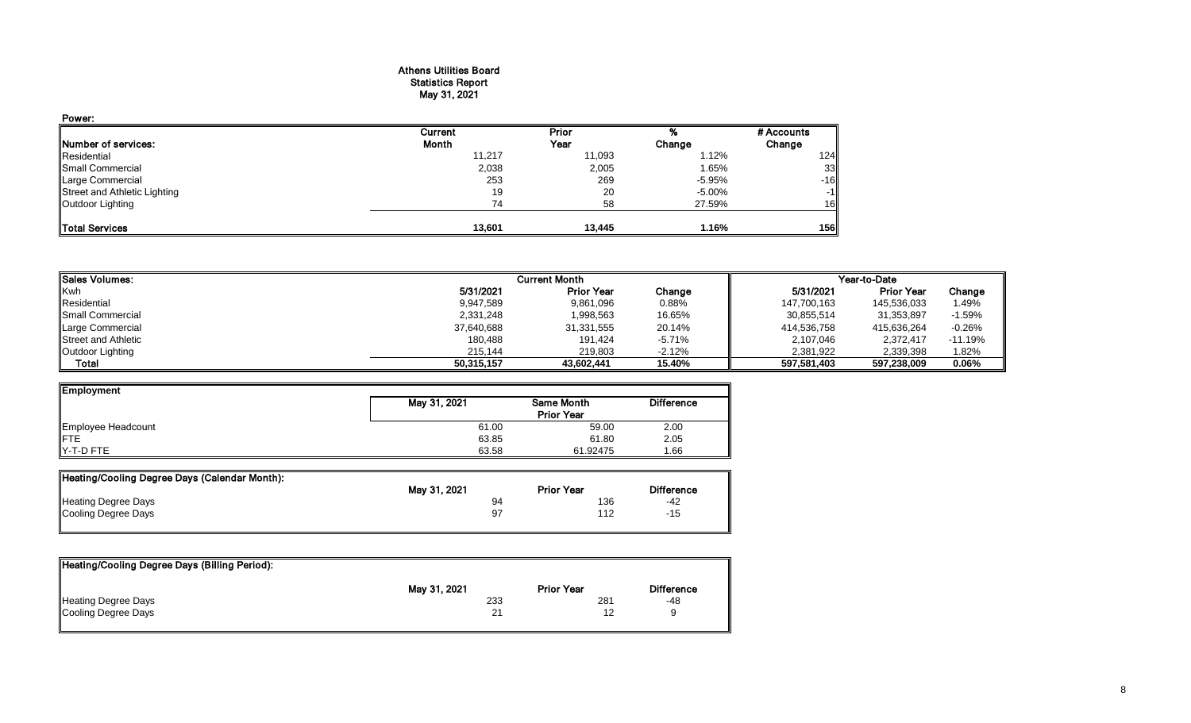#### Athens Utilities Board Statistics Report May 31, 2021

| Power:                       |         |        |          |            |
|------------------------------|---------|--------|----------|------------|
|                              | Current | Prior  |          | # Accounts |
| Number of services:          | Month   | Year   | Change   | Change     |
| Residential                  | 11,217  | 11,093 | 1.12%    | 124        |
| Small Commercial             | 2,038   | 2,005  | 1.65%    | 33         |
| Large Commercial             | 253     | 269    | $-5.95%$ | $-16$      |
| Street and Athletic Lighting | 19      | 20     | -5.00%   | $-1$       |
| Outdoor Lighting             | 74      | 58     | 27.59%   | 16         |
| <b>Total Services</b>        | 13,601  | 13,445 | 1.16%    | 156        |

| <b>I</b> Sales Volumes:    |            | <b>Current Month</b> |        |             | Year-to-Date      |           |
|----------------------------|------------|----------------------|--------|-------------|-------------------|-----------|
| Kwh                        | 5/31/2021  | <b>Prior Year</b>    | Change | 5/31/2021   | <b>Prior Year</b> | Change    |
| Residential                | 9,947,589  | 9,861,096            | 0.88%  | 147,700,163 | 145,536,033       | 49%.      |
| Small Commercial           | 2,331,248  | 1,998,563            | 16.65% | 30,855,514  | 31,353,897        | $-1.59%$  |
| Large Commercial           | 37,640,688 | 31,331,555           | 20.14% | 414,536,758 | 415,636,264       | $-0.26%$  |
| <b>Street and Athletic</b> | 180,488    | 191.424              | -5.71% | 2,107,046   | 2,372,417         | $-11.19%$ |
| Outdoor Lighting           | 215.144    | 219.803              | -2.12% | 2.381.922   | 2,339,398         | 1.82%     |
| Total                      | 50,315,157 | 43.602.441           | 15.40% | 597.581.403 | 597,238,009       | 0.06%     |

| May 31, 2021 | Same Month        | <b>Difference</b> |
|--------------|-------------------|-------------------|
|              | <b>Prior Year</b> |                   |
| 61.00        | 59.00             | 2.00              |
| 63.85        | 61.80             | 2.05              |
| 63.58        | 61.92475          | .66               |
|              |                   |                   |

| Heating/Cooling Degree Days (Calendar Month): |              |                   |                   |
|-----------------------------------------------|--------------|-------------------|-------------------|
|                                               | May 31, 2021 | <b>Prior Year</b> | <b>Difference</b> |
| Heating Degree Days                           | 94           | 136               | -42               |
| Cooling Degree Days                           | 97           | 112               | -15               |
|                                               |              |                   |                   |

| Heating/Cooling Degree Days (Billing Period): |              |                   |                   |
|-----------------------------------------------|--------------|-------------------|-------------------|
|                                               | May 31, 2021 | <b>Prior Year</b> | <b>Difference</b> |
| Heating Degree Days                           | 233          | 281               | -48               |
| Cooling Degree Days                           | 21           | 12                |                   |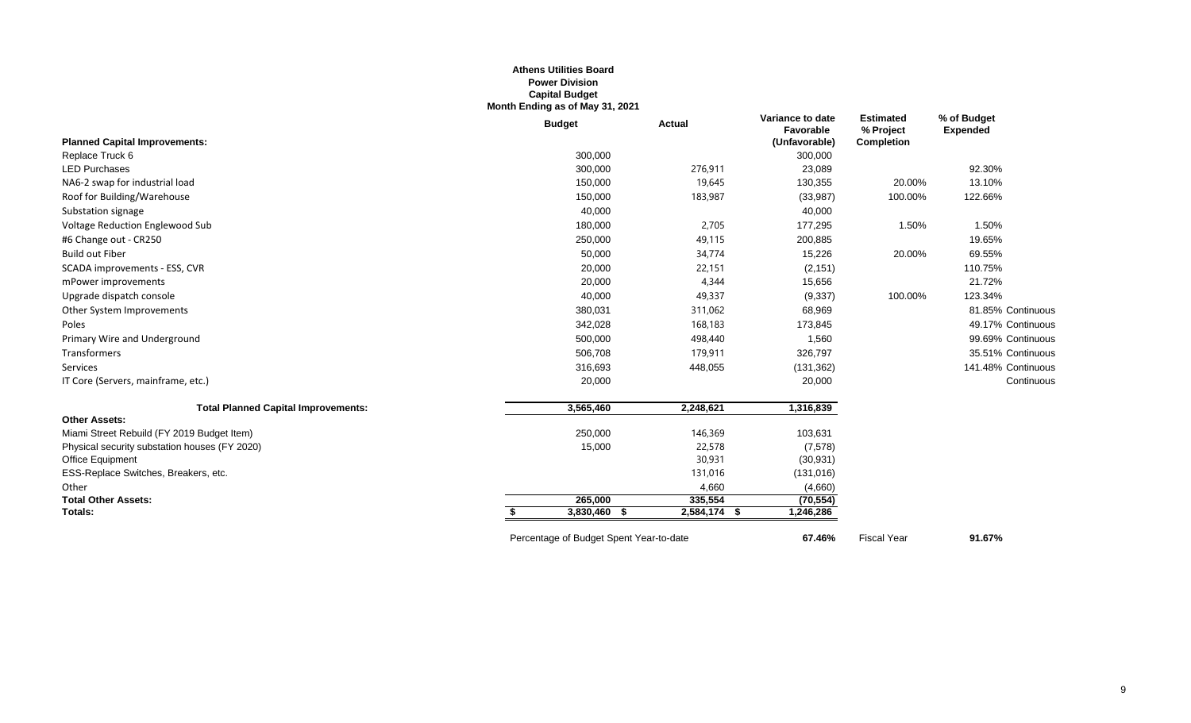#### **Athens Utilities Board Power Division Capital Budget Month Ending as of May 31, 2021**

|                                               | <b>Budget</b>                           | Actual       | Variance to date<br>Favorable | <b>Estimated</b><br>% Project | % of Budget<br><b>Expended</b> |
|-----------------------------------------------|-----------------------------------------|--------------|-------------------------------|-------------------------------|--------------------------------|
| <b>Planned Capital Improvements:</b>          |                                         |              | (Unfavorable)                 | <b>Completion</b>             |                                |
| Replace Truck 6                               | 300,000                                 |              | 300,000                       |                               |                                |
| <b>LED Purchases</b>                          | 300,000                                 | 276,911      | 23,089                        |                               | 92.30%                         |
| NA6-2 swap for industrial load                | 150,000                                 | 19,645       | 130,355                       | 20.00%                        | 13.10%                         |
| Roof for Building/Warehouse                   | 150,000                                 | 183,987      | (33, 987)                     | 100.00%                       | 122.66%                        |
| Substation signage                            | 40,000                                  |              | 40,000                        |                               |                                |
| Voltage Reduction Englewood Sub               | 180,000                                 | 2,705        | 177,295                       | 1.50%                         | 1.50%                          |
| #6 Change out - CR250                         | 250,000                                 | 49,115       | 200,885                       |                               | 19.65%                         |
| <b>Build out Fiber</b>                        | 50,000                                  | 34,774       | 15,226                        | 20.00%                        | 69.55%                         |
| SCADA improvements - ESS, CVR                 | 20,000                                  | 22,151       | (2, 151)                      |                               | 110.75%                        |
| mPower improvements                           | 20,000                                  | 4,344        | 15,656                        |                               | 21.72%                         |
| Upgrade dispatch console                      | 40,000                                  | 49,337       | (9, 337)                      | 100.00%                       | 123.34%                        |
| Other System Improvements                     | 380,031                                 | 311,062      | 68,969                        |                               | 81.85% Continuous              |
| Poles                                         | 342,028                                 | 168,183      | 173,845                       |                               | 49.17% Continuous              |
| Primary Wire and Underground                  | 500,000                                 | 498,440      | 1,560                         |                               | 99.69% Continuous              |
| Transformers                                  | 506,708                                 | 179,911      | 326,797                       |                               | 35.51% Continuous              |
| Services                                      | 316,693                                 | 448,055      | (131, 362)                    |                               | 141.48% Continuous             |
| IT Core (Servers, mainframe, etc.)            | 20,000                                  |              | 20,000                        |                               | Continuous                     |
| <b>Total Planned Capital Improvements:</b>    | 3,565,460                               | 2,248,621    | 1,316,839                     |                               |                                |
| <b>Other Assets:</b>                          |                                         |              |                               |                               |                                |
| Miami Street Rebuild (FY 2019 Budget Item)    | 250,000                                 | 146,369      | 103,631                       |                               |                                |
| Physical security substation houses (FY 2020) | 15,000                                  | 22,578       | (7,578)                       |                               |                                |
| Office Equipment                              |                                         | 30,931       | (30, 931)                     |                               |                                |
| ESS-Replace Switches, Breakers, etc.          |                                         | 131,016      | (131, 016)                    |                               |                                |
| Other                                         |                                         | 4,660        | (4,660)                       |                               |                                |
| <b>Total Other Assets:</b>                    | 265,000                                 | 335.554      | (70, 554)                     |                               |                                |
| Totals:                                       | 3,830,460 \$<br>S.                      | 2,584,174 \$ | 1,246,286                     |                               |                                |
|                                               | Percentage of Budget Spent Year-to-date |              | 67.46%                        | <b>Fiscal Year</b>            | 91.67%                         |

9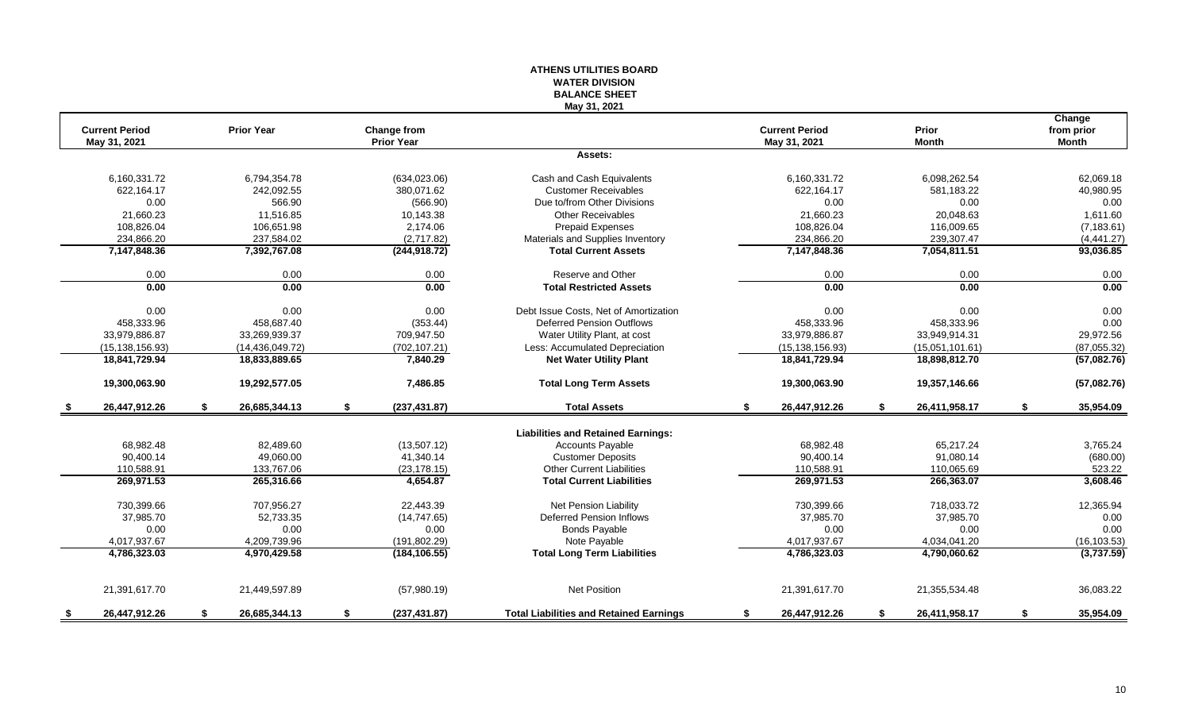### **WATER DIVISION BALANCE SHEET May 31, 2021 Change Current Period Prior Year Change from Current Period Prior from prior May 31, 2021 Prior Year May 31, 2021 Month Month Assets:** 6,160,331.72 6,794,354.78 (634,023.06) Cash and Cash Equivalents 6,160,331.72 6,098,262.54 62,069.18 622,164.17 242,092.55 380,071.62 Customer Receivables 622,164.17 581,183.22 40,980.95 0.00 566.90 (566.90) Due to/from Other Divisions 0.00 0.00 0.00 21,660.23 11,516.85 10,143.38 Other Receivables 21,660.23 20,048.63 1,611.60 108,826.04 106,651.98 2,174.06 Prepaid Expenses 108,826.04 116,009.65 (7,183.61) 234,866.20 237,584.02 237,584.02 (2,717.82) Materials and Supplies Inventory 234,866.20 239,307.47 239,307.47 (4,441.27)<br>234,868.36 7,392,767.08 (244,918.72) Total Current Assets 7,147,848.36 7,054,811.51 93,036.85 **7,147,848.36 7,392,767.08 (244,918.72) Total Current Assets 7,147,848.36 7,054,811.51 93,036.85** 0.00 0.00 0.00 Reserve and Other 0.00 0.00 0.00 **0.00 0.00 0.00 Total Restricted Assets 0.00 0.00 0.00** 0.00 0.00 0.00 0.00 0.00 Debt Issue Costs. Net of Amortization 0.00 0.00 0.00 0.00 0.00 0.00 0.00 458,333.96 458,687.40 (353.44) Deferred Pension Outflows 458,333.96 458,333.96 0.00 33,979,886.87 33,269,939.37 709,947.50 Water Utility Plant, at cost 33,979,886.87 33,949,914.31 29,972.56 (15,138,156.93) (14,436,049.72) (702,107.21) Less: Accumulated Depreciation (15,138,156.93) (15,051,101.61) (87,055.32) **18,841,729.94 18,833,889.65 7,840.29 Net Water Utility Plant 18,841,729.94 18,898,812.70 (57,082.76) 19,300,063.90 19,292,577.05 7,486.85 Total Long Term Assets 19,300,063.90 19,357,146.66 (57,082.76) \$ 26,447,912.26 \$ 26,685,344.13 \$ (237,431.87) Total Assets \$ 26,447,912.26 \$ 26,411,958.17 \$ 35,954.09 Liabilities and Retained Earnings:** 68,982.48 82,489.60 (13,507.12) Ccounts Payable 68,982.48 65,217.24 3,765.24 90,400.14 49,060.00 41,340.14 Customer Deposits 90,400.14 91,080.14 (680.00) 110,588.91 133,767.06 (23,178.15) Other Current Liabilities 110,588.91 110,065.69 523.22 **269,971.53 265,316.66 4,654.87 Total Current Liabilities 269,971.53 266,363.07 3,608.46** 730,399.66 707,956.27 22,443.39 Net Pension Liability 730,399.66 718,033.72 12,365.94 37,985.70 52,733.35 (14,747.65) Deferred Pension Inflows 37,985.70 37,985.70 0.00 0.00 0.00 0.00 Bonds Payable 0.00 0.00 0.00 4,017,937.67 4,209,739.96 (191,802.29) Note Payable 4,017,937.67 4,034,041.20 (16,103.53) **4,786,323.03 4,970,429.58 (184,106.55) Total Long Term Liabilities 4,786,323.03 4,790,060.62 (3,737.59)** 21,391,617.70 21,449,597.89 (57,980.19) Net Position 21,391,617.70 21,355,534.48 36,083.22 **\$ 26,447,912.26 \$ 26,685,344.13 \$ (237,431.87) Total Liabilities and Retained Earnings \$ 26,447,912.26 \$ 26,411,958.17 \$ 35,954.09**

**ATHENS UTILITIES BOARD**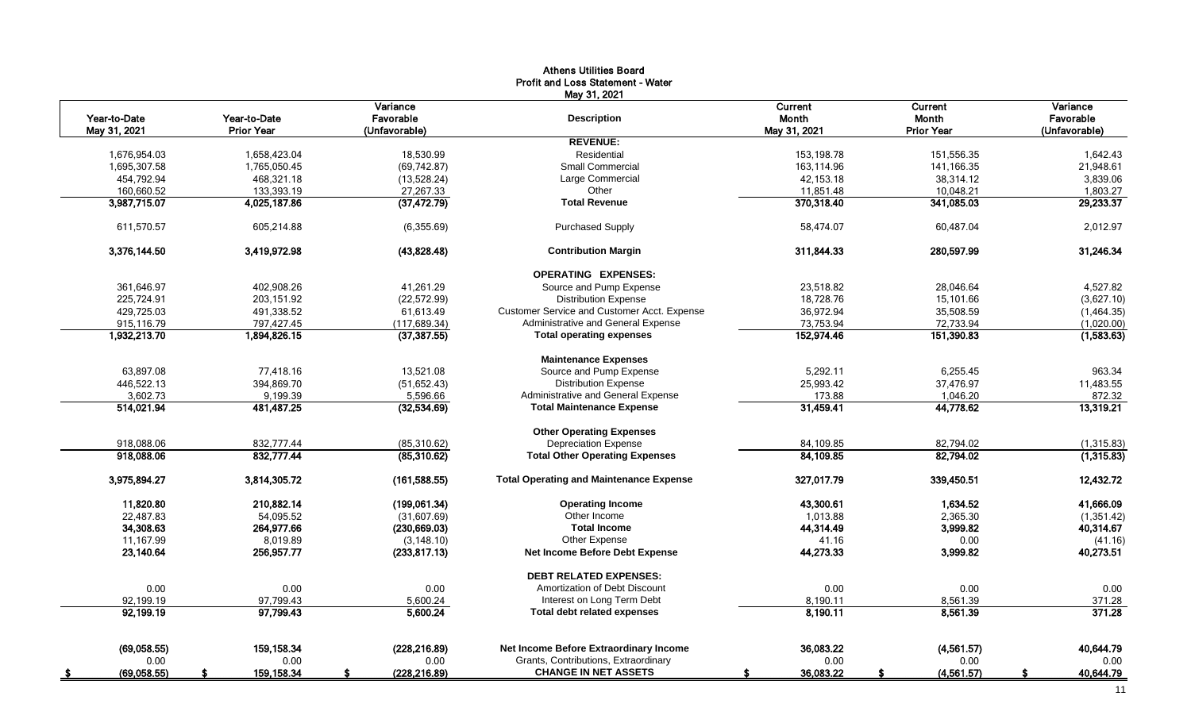|                           |                   |                     | <b>Athens Utilities Board</b>                     |                 |                   |                 |
|---------------------------|-------------------|---------------------|---------------------------------------------------|-----------------|-------------------|-----------------|
|                           |                   |                     | Profit and Loss Statement - Water<br>May 31, 2021 |                 |                   |                 |
|                           |                   | Variance            |                                                   | Current         | <b>Current</b>    | Variance        |
| Year-to-Date              | Year-to-Date      | Favorable           | <b>Description</b>                                | Month           | <b>Month</b>      | Favorable       |
| May 31, 2021              | <b>Prior Year</b> | (Unfavorable)       |                                                   | May 31, 2021    | <b>Prior Year</b> | (Unfavorable)   |
|                           |                   |                     | <b>REVENUE:</b>                                   |                 |                   |                 |
| 1,676,954.03              | 1,658,423.04      | 18,530.99           | Residential                                       | 153.198.78      | 151,556.35        | 1.642.43        |
| 1,695,307.58              | 1,765,050.45      | (69, 742.87)        | <b>Small Commercial</b>                           | 163,114.96      | 141,166.35        | 21,948.61       |
| 454,792.94                | 468,321.18        | (13,528.24)         | Large Commercial                                  | 42,153.18       | 38,314.12         | 3,839.06        |
| 160,660.52                | 133,393.19        | 27,267.33           | Other                                             | 11,851.48       | 10,048.21         | 1,803.27        |
| 3,987,715.07              | 4,025,187.86      | (37, 472.79)        | <b>Total Revenue</b>                              | 370,318.40      | 341,085.03        | 29.233.37       |
| 611,570.57                | 605,214.88        | (6,355.69)          | <b>Purchased Supply</b>                           | 58,474.07       | 60,487.04         | 2,012.97        |
| 3,376,144.50              | 3,419,972.98      | (43,828.48)         | <b>Contribution Margin</b>                        | 311,844.33      | 280,597.99        | 31,246.34       |
|                           |                   |                     | <b>OPERATING EXPENSES:</b>                        |                 |                   |                 |
| 361,646.97                | 402,908.26        | 41,261.29           | Source and Pump Expense                           | 23,518.82       | 28,046.64         | 4,527.82        |
| 225.724.91                | 203.151.92        | (22, 572.99)        | <b>Distribution Expense</b>                       | 18,728.76       | 15.101.66         | (3,627.10)      |
| 429,725.03                | 491,338.52        | 61,613.49           | Customer Service and Customer Acct. Expense       | 36,972.94       | 35,508.59         | (1,464.35)      |
| 915,116.79                | 797,427.45        | (117, 689.34)       | Administrative and General Expense                | 73,753.94       | 72,733.94         | (1,020.00)      |
| 1,932,213.70              | 1,894,826.15      | (37, 387.55)        | <b>Total operating expenses</b>                   | 152,974.46      | 151,390.83        | (1,583.63)      |
|                           |                   |                     | <b>Maintenance Expenses</b>                       |                 |                   |                 |
| 63,897.08                 | 77,418.16         | 13,521.08           | Source and Pump Expense                           | 5,292.11        | 6,255.45          | 963.34          |
| 446,522.13                | 394,869.70        | (51, 652.43)        | <b>Distribution Expense</b>                       | 25,993.42       | 37,476.97         | 11,483.55       |
| 3,602.73                  | 9,199.39          | 5,596.66            | Administrative and General Expense                | 173.88          | 1,046.20          | 872.32          |
| 514,021.94                | 481,487.25        | (32,534.69)         | <b>Total Maintenance Expense</b>                  | 31,459.41       | 44,778.62         | 13,319.21       |
|                           |                   |                     | <b>Other Operating Expenses</b>                   |                 |                   |                 |
| 918,088.06                | 832,777.44        | (85,310.62)         | <b>Depreciation Expense</b>                       | 84,109.85       | 82,794.02         | (1,315.83)      |
| 918,088.06                | 832,777.44        | (85,310.62)         | <b>Total Other Operating Expenses</b>             | 84,109.85       | 82,794.02         | (1,315.83)      |
| 3,975,894.27              | 3,814,305.72      | (161, 588.55)       | <b>Total Operating and Maintenance Expense</b>    | 327,017.79      | 339,450.51        | 12,432.72       |
| 11,820.80                 | 210,882.14        | (199,061.34)        | <b>Operating Income</b>                           | 43,300.61       | 1,634.52          | 41,666.09       |
| 22,487.83                 | 54,095.52         | (31,607.69)         | Other Income                                      | 1,013.88        | 2,365.30          | (1,351.42)      |
| 34,308.63                 | 264,977.66        | (230, 669.03)       | <b>Total Income</b>                               | 44,314.49       | 3,999.82          | 40,314.67       |
| 11.167.99                 | 8.019.89          | (3, 148.10)         | Other Expense                                     | 41.16           | 0.00              | (41.16)         |
| 23,140.64                 | 256,957.77        | (233.817.13)        | Net Income Before Debt Expense                    | 44,273.33       | 3,999.82          | 40.273.51       |
|                           |                   |                     | <b>DEBT RELATED EXPENSES:</b>                     |                 |                   |                 |
| 0.00                      | 0.00              | 0.00                | Amortization of Debt Discount                     | 0.00            | 0.00              | 0.00            |
| 92,199.19                 | 97,799.43         | 5,600.24            | Interest on Long Term Debt                        | 8,190.11        | 8,561.39          | 371.28          |
| 92,199.19                 | 97,799.43         | 5,600.24            | <b>Total debt related expenses</b>                | 8,190.11        | 8,561.39          | 371.28          |
|                           | 159.158.34        |                     | Net Income Before Extraordinary Income            | 36,083.22       |                   | 40.644.79       |
| (69,058.55)               |                   | (228, 216.89)       | Grants, Contributions, Extraordinary              |                 | (4,561.57)        |                 |
| 0.00                      | 0.00              | 0.00                | <b>CHANGE IN NET ASSETS</b>                       | 0.00            | 0.00              | 0.00            |
| (69,058.55)<br><u>_\$</u> | 159, 158.34<br>-S | \$<br>(228, 216.89) |                                                   | 36,083.22<br>-S | Ŝ.<br>(4, 561.57) | \$<br>40,644.79 |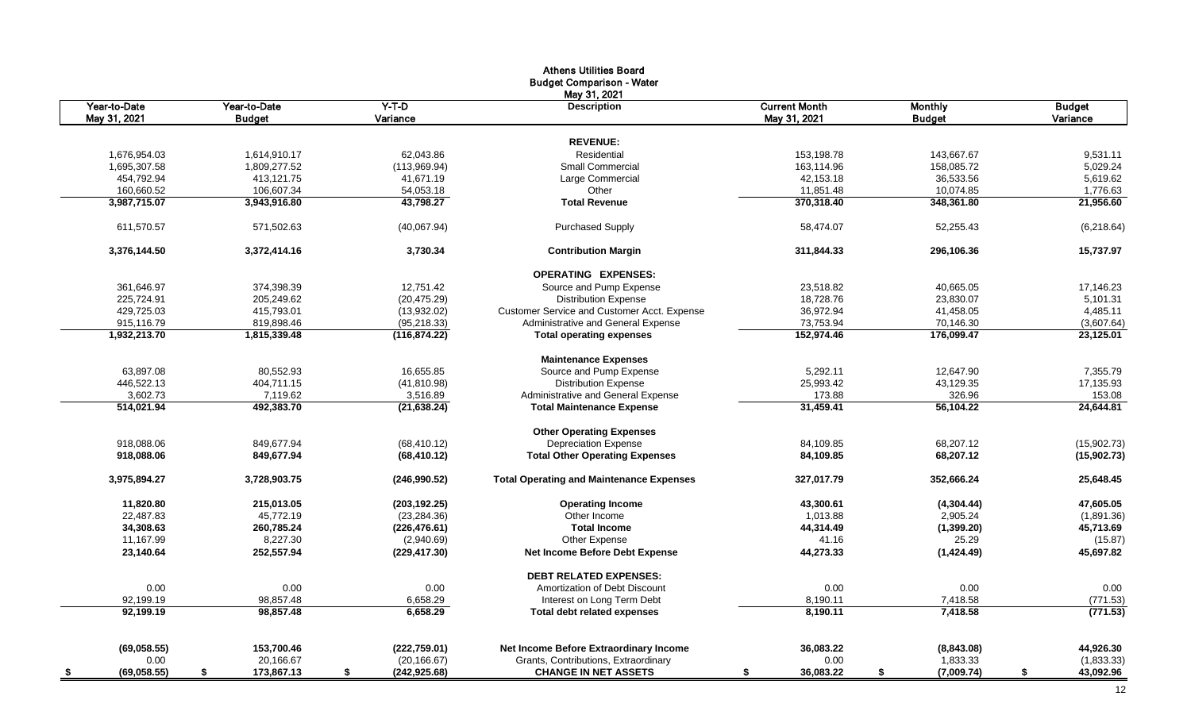|                          |                  |                     | <b>Athens Utilities Board</b>                   |                      |                  |                 |
|--------------------------|------------------|---------------------|-------------------------------------------------|----------------------|------------------|-----------------|
|                          |                  |                     | <b>Budget Comparison - Water</b>                |                      |                  |                 |
|                          |                  |                     | May 31, 2021                                    |                      |                  |                 |
| Year-to-Date             | Year-to-Date     | $Y-T-D$             | <b>Description</b>                              | <b>Current Month</b> | <b>Monthly</b>   | <b>Budget</b>   |
| May 31, 2021             | <b>Budget</b>    | Variance            |                                                 | May 31, 2021         | <b>Budget</b>    | Variance        |
|                          |                  |                     |                                                 |                      |                  |                 |
|                          |                  |                     | <b>REVENUE:</b>                                 |                      |                  |                 |
| 1,676,954.03             | 1,614,910.17     | 62,043.86           | Residential                                     | 153,198.78           | 143,667.67       | 9,531.11        |
| 1,695,307.58             | 1,809,277.52     | (113,969.94)        | <b>Small Commercial</b>                         | 163,114.96           | 158,085.72       | 5,029.24        |
| 454,792.94               | 413,121.75       | 41,671.19           | Large Commercial                                | 42,153.18            | 36,533.56        | 5,619.62        |
| 160,660.52               | 106,607.34       | 54,053.18           | Other                                           | 11,851.48            | 10,074.85        | 1,776.63        |
| 3,987,715.07             | 3,943,916.80     | 43,798.27           | <b>Total Revenue</b>                            | 370,318.40           | 348,361.80       | 21.956.60       |
| 611,570.57               | 571,502.63       | (40,067.94)         | <b>Purchased Supply</b>                         | 58,474.07            | 52,255.43        | (6,218.64)      |
| 3,376,144.50             | 3,372,414.16     | 3,730.34            | <b>Contribution Margin</b>                      | 311,844.33           | 296.106.36       | 15,737.97       |
|                          |                  |                     | <b>OPERATING EXPENSES:</b>                      |                      |                  |                 |
| 361,646.97               | 374,398.39       | 12,751.42           | Source and Pump Expense                         | 23,518.82            | 40,665.05        | 17,146.23       |
| 225,724.91               | 205,249.62       | (20, 475.29)        | <b>Distribution Expense</b>                     | 18,728.76            | 23,830.07        | 5,101.31        |
| 429,725.03               | 415,793.01       | (13,932.02)         | Customer Service and Customer Acct. Expense     | 36,972.94            | 41,458.05        | 4,485.11        |
| 915,116.79               | 819,898.46       | (95, 218.33)        | Administrative and General Expense              | 73,753.94            | 70,146.30        | (3,607.64)      |
| 1,932,213.70             | 1,815,339.48     | (116, 874.22)       | <b>Total operating expenses</b>                 | 152,974.46           | 176,099.47       | 23,125.01       |
|                          |                  |                     | <b>Maintenance Expenses</b>                     |                      |                  |                 |
| 63,897.08                | 80,552.93        | 16,655.85           | Source and Pump Expense                         | 5,292.11             | 12,647.90        | 7,355.79        |
| 446,522.13               | 404,711.15       | (41, 810.98)        | <b>Distribution Expense</b>                     | 25,993.42            | 43,129.35        | 17,135.93       |
| 3,602.73                 | 7,119.62         | 3,516.89            | Administrative and General Expense              | 173.88               | 326.96           | 153.08          |
| 514.021.94               | 492.383.70       | (21.638.24)         | <b>Total Maintenance Expense</b>                | 31.459.41            | 56.104.22        | 24,644.81       |
|                          |                  |                     | <b>Other Operating Expenses</b>                 |                      |                  |                 |
| 918,088.06               | 849,677.94       | (68, 410.12)        | <b>Depreciation Expense</b>                     | 84,109.85            | 68,207.12        | (15,902.73)     |
| 918,088.06               | 849,677.94       | (68, 410.12)        | <b>Total Other Operating Expenses</b>           | 84,109.85            | 68,207.12        | (15,902.73)     |
| 3,975,894.27             | 3,728,903.75     | (246,990.52)        | <b>Total Operating and Maintenance Expenses</b> | 327,017.79           | 352,666.24       | 25,648.45       |
| 11,820.80                | 215,013.05       | (203, 192.25)       | <b>Operating Income</b>                         | 43,300.61            | (4,304.44)       | 47,605.05       |
| 22,487.83                | 45,772.19        | (23, 284.36)        | Other Income                                    | 1,013.88             | 2,905.24         | (1,891.36)      |
| 34,308.63                | 260,785.24       | (226, 476.61)       | <b>Total Income</b>                             | 44,314.49            | (1,399.20)       | 45,713.69       |
| 11,167.99                | 8,227.30         | (2,940.69)          | Other Expense                                   | 41.16                | 25.29            | (15.87)         |
| 23,140.64                | 252,557.94       | (229, 417.30)       | <b>Net Income Before Debt Expense</b>           | 44,273.33            | (1,424.49)       | 45,697.82       |
|                          |                  |                     | <b>DEBT RELATED EXPENSES:</b>                   |                      |                  |                 |
| 0.00                     | 0.00             | 0.00                | Amortization of Debt Discount                   | 0.00                 | 0.00             | 0.00            |
| 92,199.19                | 98,857.48        | 6,658.29            | Interest on Long Term Debt                      | 8,190.11             | 7,418.58         | (771.53)        |
| 92,199.19                | 98.857.48        | 6.658.29            | <b>Total debt related expenses</b>              | 8,190.11             | 7,418.58         | (771.53)        |
|                          |                  |                     |                                                 |                      |                  |                 |
| (69,058.55)              | 153,700.46       | (222, 759.01)       | Net Income Before Extraordinary Income          | 36,083.22            | (8,843.08)       | 44,926.30       |
| 0.00                     | 20,166.67        | (20, 166.67)        | Grants, Contributions, Extraordinary            | 0.00                 | 1,833.33         | (1,833.33)      |
| (69,058.55)<br><u>\$</u> | 173,867.13<br>\$ | \$<br>(242, 925.68) | <b>CHANGE IN NET ASSETS</b>                     | 36,083.22<br>\$      | \$<br>(7,009.74) | 43,092.96<br>\$ |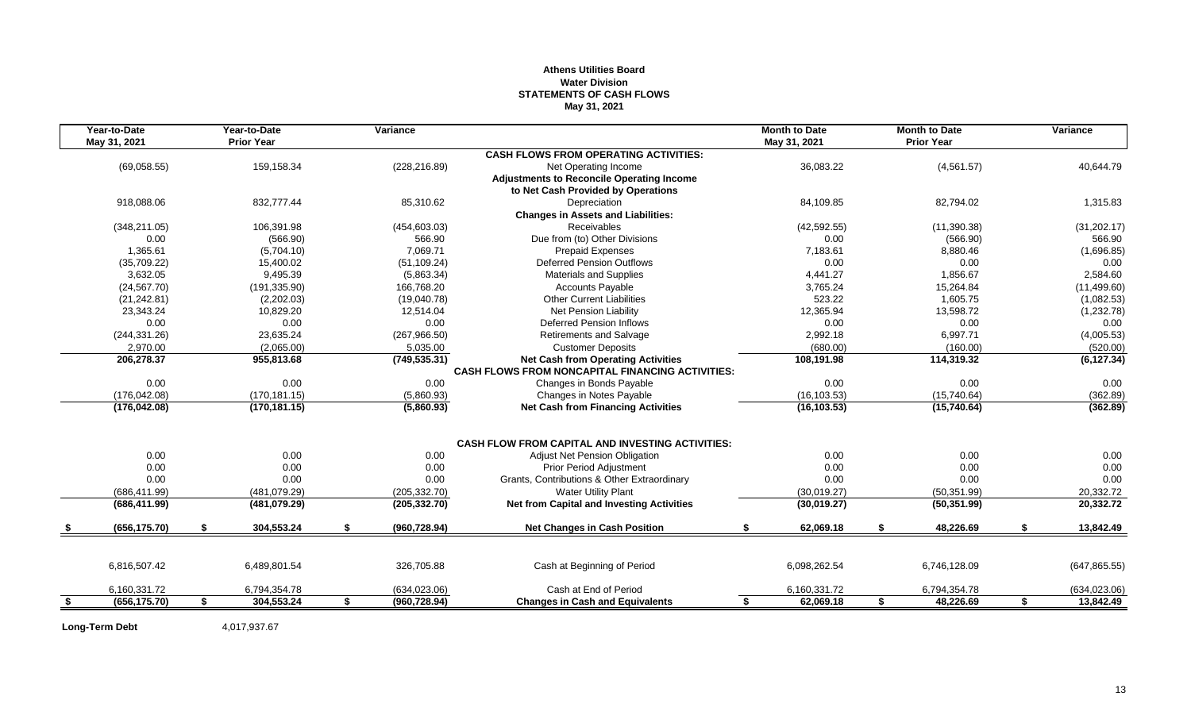#### **Athens Utilities Board Water Division STATEMENTS OF CASH FLOWS May 31, 2021**

|     | Year-to-Date  | Year-to-Date      | Variance            |                                                         | <b>Month to Date</b> | <b>Month to Date</b> | Variance               |
|-----|---------------|-------------------|---------------------|---------------------------------------------------------|----------------------|----------------------|------------------------|
|     | May 31, 2021  | <b>Prior Year</b> |                     |                                                         | May 31, 2021         | <b>Prior Year</b>    |                        |
|     |               |                   |                     | <b>CASH FLOWS FROM OPERATING ACTIVITIES:</b>            |                      |                      |                        |
|     | (69,058.55)   | 159,158.34        | (228, 216.89)       | Net Operating Income                                    | 36,083.22            | (4, 561.57)          | 40.644.79              |
|     |               |                   |                     | <b>Adjustments to Reconcile Operating Income</b>        |                      |                      |                        |
|     |               |                   |                     | to Net Cash Provided by Operations                      |                      |                      |                        |
|     | 918,088.06    | 832,777.44        | 85,310.62           | Depreciation                                            | 84,109.85            | 82,794.02            | 1,315.83               |
|     |               |                   |                     | <b>Changes in Assets and Liabilities:</b>               |                      |                      |                        |
|     | (348, 211.05) | 106,391.98        | (454, 603.03)       | Receivables                                             | (42, 592.55)         | (11,390.38)          | (31, 202.17)           |
|     | 0.00          | (566.90)          | 566.90              | Due from (to) Other Divisions                           | 0.00                 | (566.90)             | 566.90                 |
|     | 1,365.61      | (5,704.10)        | 7,069.71            | Prepaid Expenses                                        | 7,183.61             | 8,880.46             | (1,696.85)             |
|     | (35,709.22)   | 15.400.02         | (51, 109.24)        | Deferred Pension Outflows                               | 0.00                 | 0.00                 | 0.00                   |
|     | 3,632.05      | 9,495.39          | (5,863.34)          | <b>Materials and Supplies</b>                           | 4,441.27             | 1,856.67             | 2,584.60               |
|     | (24, 567.70)  | (191, 335.90)     | 166,768.20          | <b>Accounts Payable</b>                                 | 3,765.24             | 15,264.84            | (11, 499.60)           |
|     | (21, 242.81)  | (2,202.03)        | (19,040.78)         | <b>Other Current Liabilities</b>                        | 523.22               | 1,605.75             | (1,082.53)             |
|     | 23,343.24     | 10,829.20         | 12,514.04           | <b>Net Pension Liability</b>                            | 12,365.94            | 13,598.72            | (1,232.78)             |
|     | 0.00          | 0.00              | 0.00                | <b>Deferred Pension Inflows</b>                         | 0.00                 | 0.00                 | 0.00                   |
|     | (244, 331.26) | 23,635.24         | (267,966.50)        | Retirements and Salvage                                 | 2,992.18             | 6,997.71             | (4,005.53)             |
|     | 2,970.00      | (2.065.00)        | 5,035.00            | <b>Customer Deposits</b>                                | (680.00)             | (160.00)             | (520.00)               |
|     | 206,278.37    | 955,813.68        | (749, 535.31)       | <b>Net Cash from Operating Activities</b>               | 108,191.98           | 114,319.32           | (6, 127.34)            |
|     |               |                   |                     | <b>CASH FLOWS FROM NONCAPITAL FINANCING ACTIVITIES:</b> |                      |                      |                        |
|     | 0.00          | 0.00              | 0.00                | Changes in Bonds Payable                                | 0.00                 | 0.00                 | 0.00                   |
|     | (176, 042.08) | (170.181.15)      | (5,860.93)          | Changes in Notes Payable                                | (16, 103.53)         | (15,740.64)          | (362.89)               |
|     | (176, 042.08) | (170, 181.15)     | (5,860.93)          | <b>Net Cash from Financing Activities</b>               | (16, 103.53)         | (15,740.64)          | (362.89)               |
|     |               |                   |                     | <b>CASH FLOW FROM CAPITAL AND INVESTING ACTIVITIES:</b> |                      |                      |                        |
|     | 0.00          | 0.00              | 0.00                | <b>Adjust Net Pension Obligation</b>                    | 0.00                 | 0.00                 | 0.00                   |
|     | 0.00          | 0.00              | 0.00                | <b>Prior Period Adjustment</b>                          | 0.00                 | 0.00                 | 0.00                   |
|     | 0.00          | 0.00              | 0.00                | Grants, Contributions & Other Extraordinary             | 0.00                 | 0.00                 | 0.00                   |
|     | (686, 411.99) | (481,079.29)      | (205, 332.70)       | <b>Water Utility Plant</b>                              | (30,019.27)          | (50, 351.99)         | 20,332.72              |
|     | (686, 411.99) | (481,079.29)      | (205, 332.70)       | <b>Net from Capital and Investing Activities</b>        | (30,019.27)          | (50, 351.99)         | $20,332.\overline{72}$ |
|     |               |                   |                     |                                                         |                      |                      |                        |
|     | (656, 175.70) | \$<br>304,553.24  | \$<br>(960, 728.94) | <b>Net Changes in Cash Position</b>                     | \$<br>62,069.18      | \$<br>48,226.69      | \$<br>13,842.49        |
|     |               |                   |                     |                                                         |                      |                      |                        |
|     | 6,816,507.42  | 6,489,801.54      | 326,705.88          | Cash at Beginning of Period                             | 6,098,262.54         | 6,746,128.09         | (647, 865.55)          |
|     | 6,160,331.72  | 6,794,354.78      | (634, 023.06)       | Cash at End of Period                                   | 6,160,331.72         | 6,794,354.78         | (634, 023.06)          |
| -\$ | (656, 175.70) | \$<br>304,553.24  | \$<br>(960, 728.94) | <b>Changes in Cash and Equivalents</b>                  | \$<br>62,069.18      | \$<br>48,226.69      | \$<br>13,842.49        |

Long-Term Debt 4,017,937.67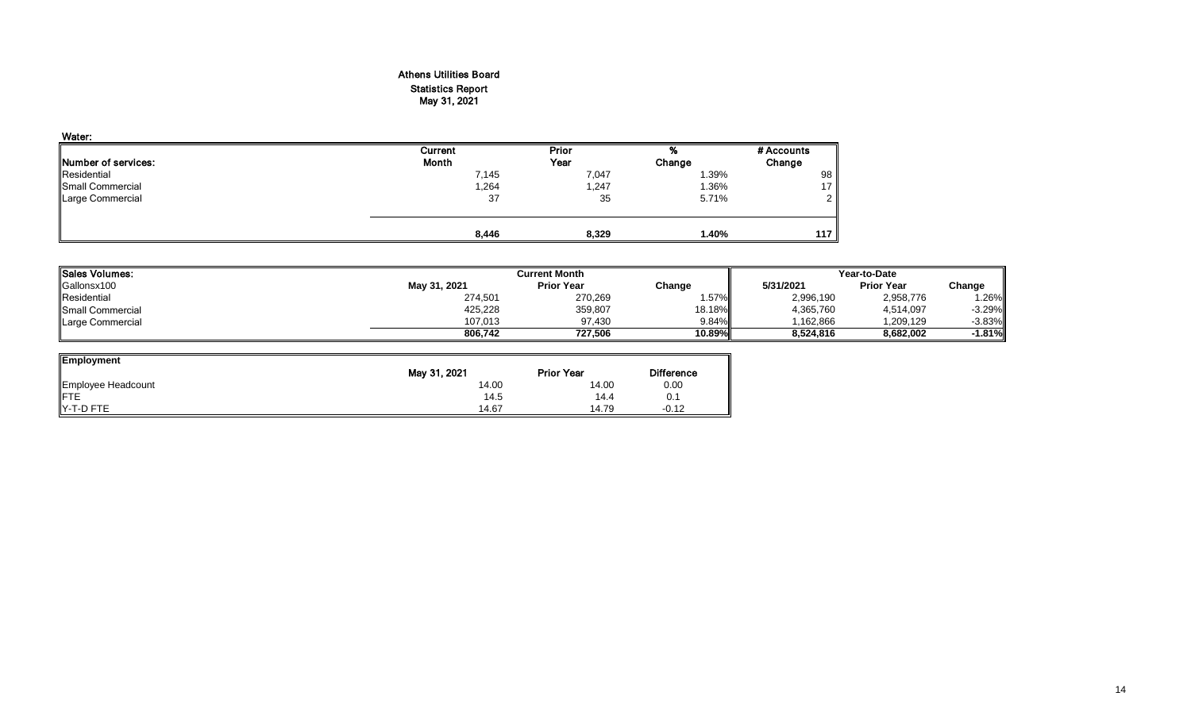#### Athens Utilities Board Statistics Report May 31, 2021

| Water:                      |         |       |        |            |
|-----------------------------|---------|-------|--------|------------|
|                             | Current | Prior | %      | # Accounts |
| <b>INumber of services:</b> | Month   | Year  | Change | Change     |
| Residential                 | 7,145   | 7,047 | 1.39%  | 98         |
| Small Commercial            | 1,264   | 1,247 | 1.36%  | 17         |
| Large Commercial            | 37      | 35    | 5.71%  | ົ          |
|                             |         |       |        |            |
|                             | 8,446   | 8,329 | 1.40%  | 117        |

| <b>Sales Volumes:</b>   |              | <b>Current Month</b> | Year-to-Date |           |                   |          |
|-------------------------|--------------|----------------------|--------------|-----------|-------------------|----------|
| Gallonsx100             | May 31, 2021 | <b>Prior Year</b>    | Change       | 5/31/2021 | <b>Prior Year</b> | Change   |
| Residential             | 274,501      | 270,269              | $.57\%$      | 2,996,190 | 2,958,776         | .26%     |
| <b>Small Commercial</b> | 425,228      | 359,807              | 18.18%       | 4,365,760 | 4,514,097         | $-3.29%$ |
| Large Commercial        | 107.013      | 97.430               | $9.84\%$     | 1.162.866 | 1,209,129         | $-3.83%$ |
|                         | 806.742      | 727.506              | 10.89%       | 8.524.816 | 8.682.002         | 1.81%    |

| <b>Employment</b>  |              |                   |                   |
|--------------------|--------------|-------------------|-------------------|
|                    | May 31, 2021 | <b>Prior Year</b> | <b>Difference</b> |
| Employee Headcount | 14.00        | 14.00             | 0.00              |
| <b>IFTE</b>        | 14.5         | 14.4              | 0.1               |
| IY-T-D FTE         | 14.67        | 14.79             | $-0.12$           |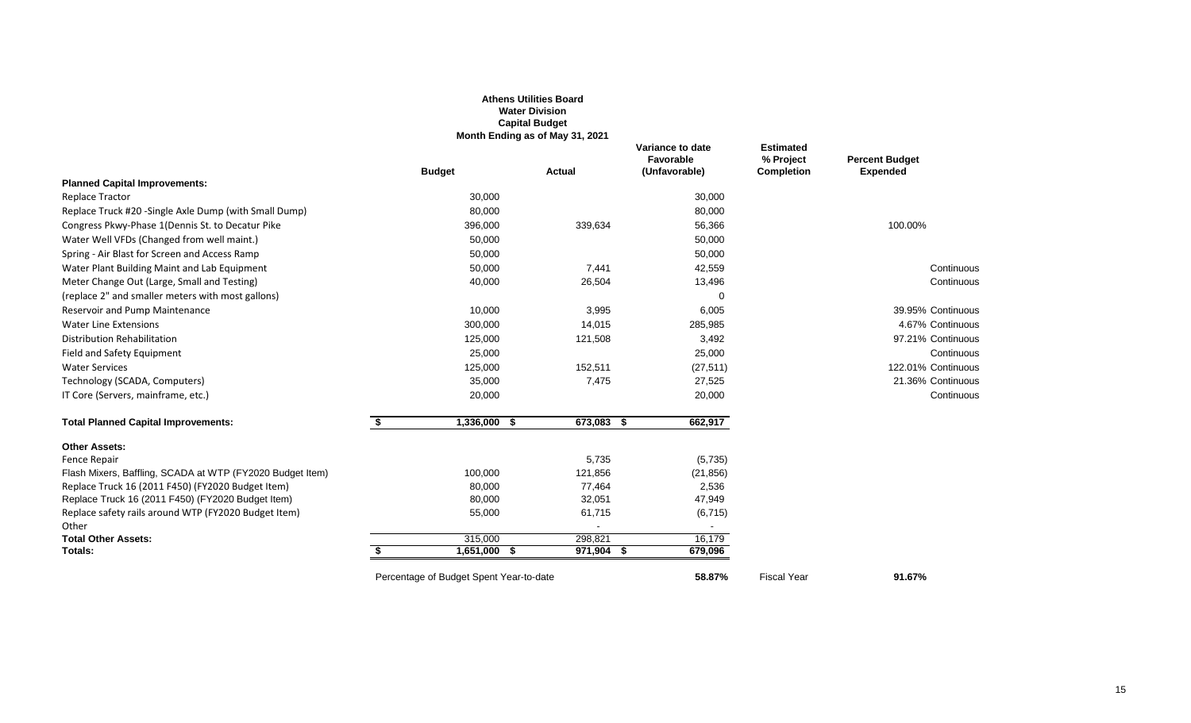|                                                           |                                         | <b>Athens Utilities Board</b><br><b>Water Division</b><br><b>Capital Budget</b><br>Month Ending as of May 31, 2021 |                                                |                                             |                                          |
|-----------------------------------------------------------|-----------------------------------------|--------------------------------------------------------------------------------------------------------------------|------------------------------------------------|---------------------------------------------|------------------------------------------|
|                                                           | <b>Budget</b>                           | <b>Actual</b>                                                                                                      | Variance to date<br>Favorable<br>(Unfavorable) | Estimated<br>% Project<br><b>Completion</b> | <b>Percent Budget</b><br><b>Expended</b> |
| <b>Planned Capital Improvements:</b>                      |                                         |                                                                                                                    |                                                |                                             |                                          |
| <b>Replace Tractor</b>                                    | 30,000                                  |                                                                                                                    | 30,000                                         |                                             |                                          |
| Replace Truck #20 -Single Axle Dump (with Small Dump)     | 80,000                                  |                                                                                                                    | 80,000                                         |                                             |                                          |
| Congress Pkwy-Phase 1 (Dennis St. to Decatur Pike         | 396,000                                 | 339,634                                                                                                            | 56,366                                         |                                             | 100.00%                                  |
| Water Well VFDs (Changed from well maint.)                | 50,000                                  |                                                                                                                    | 50,000                                         |                                             |                                          |
| Spring - Air Blast for Screen and Access Ramp             | 50,000                                  |                                                                                                                    | 50,000                                         |                                             |                                          |
| Water Plant Building Maint and Lab Equipment              | 50,000                                  | 7,441                                                                                                              | 42,559                                         |                                             | Continuous                               |
| Meter Change Out (Large, Small and Testing)               | 40,000                                  | 26,504                                                                                                             | 13,496                                         |                                             | Continuous                               |
| (replace 2" and smaller meters with most gallons)         |                                         |                                                                                                                    | $\Omega$                                       |                                             |                                          |
| Reservoir and Pump Maintenance                            | 10,000                                  | 3,995                                                                                                              | 6,005                                          |                                             | 39.95% Continuous                        |
| <b>Water Line Extensions</b>                              | 300,000                                 | 14,015                                                                                                             | 285,985                                        |                                             | 4.67% Continuous                         |
| Distribution Rehabilitation                               | 125,000                                 | 121,508                                                                                                            | 3,492                                          |                                             | 97.21% Continuous                        |
| Field and Safety Equipment                                | 25,000                                  |                                                                                                                    | 25,000                                         |                                             | Continuous                               |
| <b>Water Services</b>                                     | 125,000                                 | 152,511                                                                                                            | (27, 511)                                      |                                             | 122.01% Continuous                       |
| Technology (SCADA, Computers)                             | 35,000                                  | 7,475                                                                                                              | 27,525                                         |                                             | 21.36% Continuous                        |
| IT Core (Servers, mainframe, etc.)                        | 20,000                                  |                                                                                                                    | 20,000                                         |                                             | Continuous                               |
| <b>Total Planned Capital Improvements:</b>                | 1,336,000<br>\$<br>- \$                 | $673,083$ \$                                                                                                       | 662,917                                        |                                             |                                          |
| <b>Other Assets:</b>                                      |                                         |                                                                                                                    |                                                |                                             |                                          |
| Fence Repair                                              |                                         | 5,735                                                                                                              | (5,735)                                        |                                             |                                          |
| Flash Mixers, Baffling, SCADA at WTP (FY2020 Budget Item) | 100,000                                 | 121,856                                                                                                            | (21, 856)                                      |                                             |                                          |
| Replace Truck 16 (2011 F450) (FY2020 Budget Item)         | 80,000                                  | 77,464                                                                                                             | 2,536                                          |                                             |                                          |
| Replace Truck 16 (2011 F450) (FY2020 Budget Item)         | 80,000                                  | 32,051                                                                                                             | 47,949                                         |                                             |                                          |
| Replace safety rails around WTP (FY2020 Budget Item)      | 55,000                                  | 61,715                                                                                                             | (6, 715)                                       |                                             |                                          |
| Other                                                     |                                         | $\blacksquare$                                                                                                     | $\sim$                                         |                                             |                                          |
| <b>Total Other Assets:</b><br>Totals:                     | 315,000<br>1,651,000 \$                 | 298,821<br>971,904 \$                                                                                              | 16,179<br>679,096                              |                                             |                                          |
|                                                           | Percentage of Budget Spent Year-to-date |                                                                                                                    | 58.87%                                         | <b>Fiscal Year</b>                          | 91.67%                                   |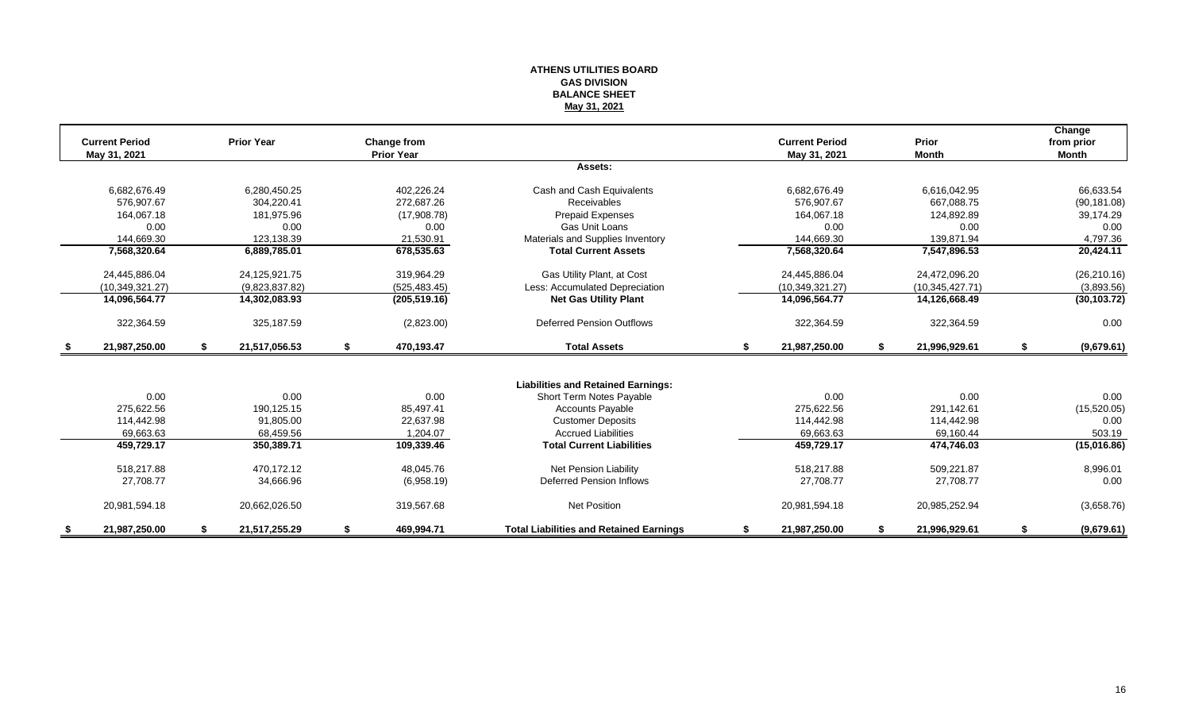#### **ATHENS UTILITIES BOARD GAS DIVISION BALANCE SHEET May 31, 2021**

|      | <b>Current Period</b> | <b>Prior Year</b>   |    | <b>Change from</b> |                                                |    | <b>Current Period</b> | <b>Prior</b>        | Change<br>from prior |
|------|-----------------------|---------------------|----|--------------------|------------------------------------------------|----|-----------------------|---------------------|----------------------|
|      | May 31, 2021          |                     |    | <b>Prior Year</b>  |                                                |    | May 31, 2021          | <b>Month</b>        | <b>Month</b>         |
|      |                       |                     |    |                    | Assets:                                        |    |                       |                     |                      |
|      | 6,682,676.49          | 6,280,450.25        |    | 402,226.24         | Cash and Cash Equivalents                      |    | 6,682,676.49          | 6,616,042.95        | 66,633.54            |
|      | 576.907.67            | 304.220.41          |    | 272.687.26         | Receivables                                    |    | 576.907.67            | 667.088.75          | (90, 181.08)         |
|      | 164,067.18            | 181,975.96          |    | (17,908.78)        | <b>Prepaid Expenses</b>                        |    | 164,067.18            | 124,892.89          | 39,174.29            |
|      | 0.00                  | 0.00                |    | 0.00               | Gas Unit Loans                                 |    | 0.00                  | 0.00                | 0.00                 |
|      | 144,669.30            | 123.138.39          |    | 21,530.91          | Materials and Supplies Inventory               |    | 144.669.30            | 139.871.94          | 4,797.36             |
|      | 7,568,320.64          | 6,889,785.01        |    | 678,535.63         | <b>Total Current Assets</b>                    |    | 7,568,320.64          | 7,547,896.53        | 20,424.11            |
|      | 24,445,886.04         | 24,125,921.75       |    | 319.964.29         | Gas Utility Plant, at Cost                     |    | 24,445,886.04         | 24.472.096.20       | (26, 210.16)         |
|      | (10, 349, 321.27)     | (9,823,837.82)      |    | (525, 483.45)      | Less: Accumulated Depreciation                 |    | (10,349,321.27)       | (10, 345, 427.71)   | (3,893.56)           |
|      | 14,096,564.77         | 14,302,083.93       |    | (205, 519.16)      | <b>Net Gas Utility Plant</b>                   |    | 14,096,564.77         | 14,126,668.49       | (30, 103.72)         |
|      | 322,364.59            | 325,187.59          |    | (2,823.00)         | <b>Deferred Pension Outflows</b>               |    | 322,364.59            | 322,364.59          | 0.00                 |
| - \$ | 21,987,250.00         | \$<br>21,517,056.53 | \$ | 470,193.47         | <b>Total Assets</b>                            | s. | 21,987,250.00         | \$<br>21,996,929.61 | \$<br>(9,679.61)     |
|      |                       |                     |    |                    |                                                |    |                       |                     |                      |
|      |                       |                     |    |                    | <b>Liabilities and Retained Earnings:</b>      |    |                       |                     |                      |
|      | 0.00                  | 0.00                |    | 0.00               | Short Term Notes Payable                       |    | 0.00                  | 0.00                | 0.00                 |
|      | 275,622.56            | 190,125.15          |    | 85,497.41          | <b>Accounts Payable</b>                        |    | 275,622.56            | 291,142.61          | (15,520.05)          |
|      | 114,442.98            | 91,805.00           |    | 22,637.98          | <b>Customer Deposits</b>                       |    | 114,442.98            | 114,442.98          | 0.00                 |
|      | 69,663.63             | 68,459.56           |    | 1,204.07           | <b>Accrued Liabilities</b>                     |    | 69,663.63             | 69,160.44           | 503.19               |
|      | 459,729.17            | 350,389.71          |    | 109,339.46         | <b>Total Current Liabilities</b>               |    | 459,729.17            | 474,746.03          | (15,016.86)          |
|      | 518,217.88            | 470.172.12          |    | 48.045.76          | Net Pension Liability                          |    | 518,217.88            | 509,221.87          | 8,996.01             |
|      | 27,708.77             | 34,666.96           |    | (6,958.19)         | Deferred Pension Inflows                       |    | 27,708.77             | 27,708.77           | 0.00                 |
|      | 20,981,594.18         | 20,662,026.50       |    | 319,567.68         | <b>Net Position</b>                            |    | 20,981,594.18         | 20,985,252.94       | (3,658.76)           |
|      | 21,987,250.00         | 21,517,255.29       | S  | 469,994.71         | <b>Total Liabilities and Retained Earnings</b> | S  | 21,987,250.00         | 21,996,929.61       | (9,679.61)           |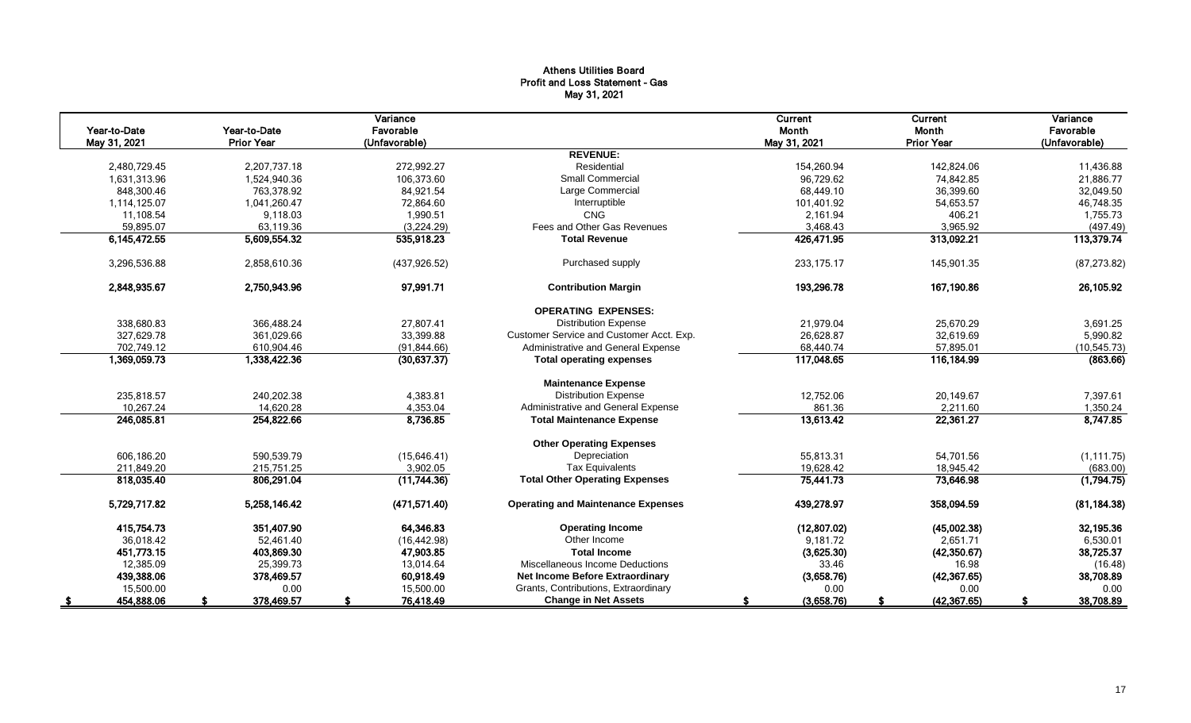#### Athens Utilities Board Profit and Loss Statement - Gas May 31, 2021

|              |                   | Variance      |                                           | Current      | <b>Current</b>    | Variance      |
|--------------|-------------------|---------------|-------------------------------------------|--------------|-------------------|---------------|
| Year-to-Date | Year-to-Date      | Favorable     |                                           | Month        | Month             | Favorable     |
| May 31, 2021 | <b>Prior Year</b> | (Unfavorable) | <b>REVENUE:</b>                           | May 31, 2021 | <b>Prior Year</b> | (Unfavorable) |
| 2,480,729.45 | 2,207,737.18      | 272,992.27    | Residential                               | 154,260.94   | 142,824.06        | 11,436.88     |
| 1,631,313.96 | 1,524,940.36      | 106,373.60    | <b>Small Commercial</b>                   | 96,729.62    | 74,842.85         | 21,886.77     |
| 848,300.46   | 763,378.92        | 84,921.54     | Large Commercial                          | 68,449.10    | 36,399.60         | 32,049.50     |
| 1,114,125.07 | 1,041,260.47      | 72,864.60     | Interruptible                             | 101,401.92   | 54,653.57         | 46,748.35     |
| 11,108.54    | 9,118.03          | 1,990.51      | CNG                                       | 2,161.94     | 406.21            | 1,755.73      |
| 59,895.07    | 63,119.36         | (3,224.29)    | Fees and Other Gas Revenues               | 3,468.43     | 3,965.92          | (497.49)      |
| 6,145,472.55 | 5,609,554.32      | 535,918.23    | <b>Total Revenue</b>                      | 426,471.95   | 313,092.21        | 113,379.74    |
|              |                   |               |                                           |              |                   |               |
| 3,296,536.88 | 2,858,610.36      | (437, 926.52) | Purchased supply                          | 233.175.17   | 145,901.35        | (87, 273.82)  |
| 2,848,935.67 | 2,750,943.96      | 97,991.71     | <b>Contribution Margin</b>                | 193,296.78   | 167,190.86        | 26,105.92     |
|              |                   |               | <b>OPERATING EXPENSES:</b>                |              |                   |               |
| 338,680.83   | 366,488.24        | 27,807.41     | <b>Distribution Expense</b>               | 21,979.04    | 25,670.29         | 3,691.25      |
| 327,629.78   | 361,029.66        | 33,399.88     | Customer Service and Customer Acct. Exp.  | 26,628.87    | 32,619.69         | 5,990.82      |
| 702,749.12   | 610,904.46        | (91, 844.66)  | Administrative and General Expense        | 68,440.74    | 57,895.01         | (10, 545.73)  |
| 1,369,059.73 | 1,338,422.36      | (30,637.37)   | <b>Total operating expenses</b>           | 117,048.65   | 116,184.99        | (863.66)      |
|              |                   |               | <b>Maintenance Expense</b>                |              |                   |               |
| 235.818.57   | 240.202.38        | 4,383.81      | <b>Distribution Expense</b>               | 12,752.06    | 20,149.67         | 7,397.61      |
| 10,267.24    | 14.620.28         | 4,353.04      | Administrative and General Expense        | 861.36       | 2,211.60          | 1,350.24      |
| 246,085.81   | 254,822.66        | 8,736.85      | <b>Total Maintenance Expense</b>          | 13,613.42    | 22,361.27         | 8,747.85      |
|              |                   |               |                                           |              |                   |               |
|              |                   |               | <b>Other Operating Expenses</b>           |              |                   |               |
| 606.186.20   | 590,539.79        | (15,646.41)   | Depreciation                              | 55.813.31    | 54,701.56         | (1, 111.75)   |
| 211,849.20   | 215,751.25        | 3,902.05      | <b>Tax Equivalents</b>                    | 19,628.42    | 18,945.42         | (683.00)      |
| 818,035.40   | 806,291.04        | (11, 744.36)  | <b>Total Other Operating Expenses</b>     | 75,441.73    | 73,646.98         | (1,794.75)    |
| 5,729,717.82 | 5,258,146.42      | (471, 571.40) | <b>Operating and Maintenance Expenses</b> | 439,278.97   | 358,094.59        | (81, 184.38)  |
| 415,754.73   | 351,407.90        | 64,346.83     | <b>Operating Income</b>                   | (12, 807.02) | (45,002.38)       | 32,195.36     |
| 36,018.42    | 52,461.40         | (16, 442.98)  | Other Income                              | 9,181.72     | 2,651.71          | 6,530.01      |
| 451,773.15   | 403,869.30        | 47,903.85     | <b>Total Income</b>                       | (3,625.30)   | (42,350.67)       | 38,725.37     |
| 12,385.09    | 25,399.73         | 13.014.64     | Miscellaneous Income Deductions           | 33.46        | 16.98             | (16.48)       |
| 439,388.06   | 378,469.57        | 60,918.49     | Net Income Before Extraordinary           | (3,658.76)   | (42, 367.65)      | 38,708.89     |
| 15,500.00    | 0.00              | 15,500.00     | Grants, Contributions, Extraordinary      | 0.00         | 0.00              | 0.00          |
| 454,888.06   | 378,469.57        | 76,418.49     | <b>Change in Net Assets</b>               | (3,658.76)   | (42, 367.65)      | 38,708.89     |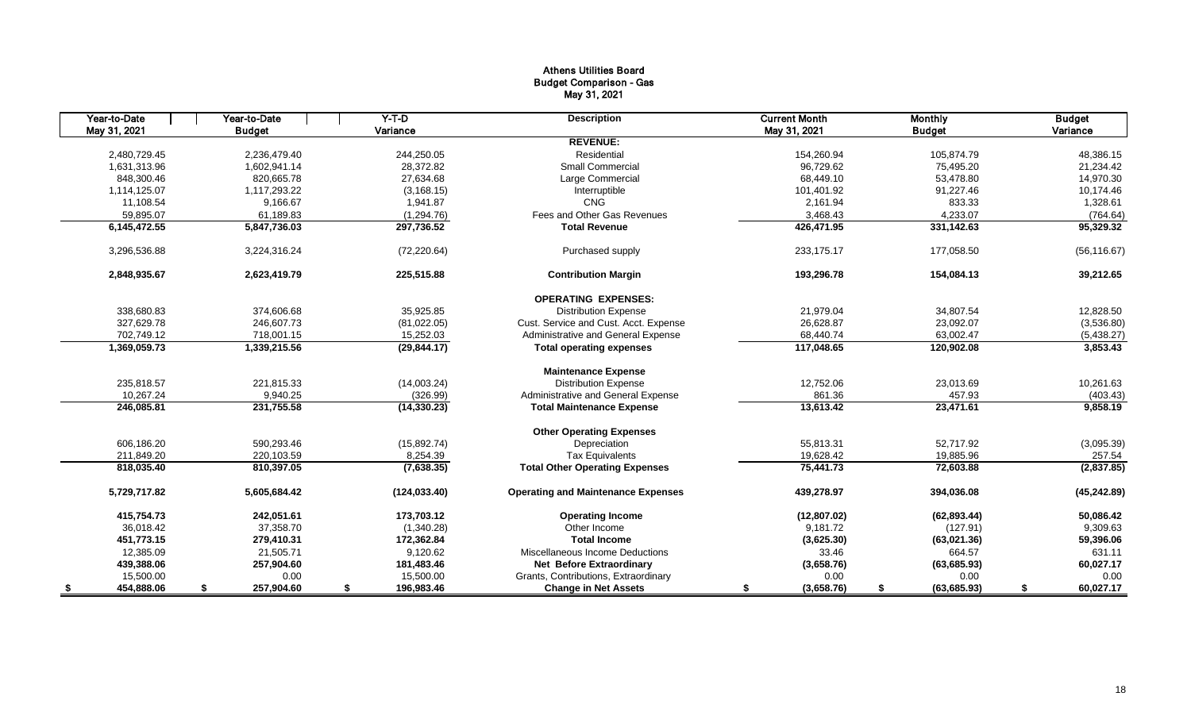#### Athens Utilities Board Budget Comparison - Gas May 31, 2021

| Year-to-Date | Year-to-Date     | $Y-T$ -D         | <b>Description</b>                        | <b>Current Month</b> | <b>Monthly</b>     | <b>Budget</b>   |
|--------------|------------------|------------------|-------------------------------------------|----------------------|--------------------|-----------------|
| May 31, 2021 | <b>Budget</b>    | Variance         |                                           | May 31, 2021         | <b>Budget</b>      | Variance        |
|              |                  |                  | <b>REVENUE:</b>                           |                      |                    |                 |
| 2,480,729.45 | 2.236.479.40     | 244.250.05       | Residential                               | 154,260.94           | 105.874.79         | 48,386.15       |
| 1,631,313.96 | 1,602,941.14     | 28,372.82        | <b>Small Commercial</b>                   | 96,729.62            | 75,495.20          | 21,234.42       |
| 848.300.46   | 820.665.78       | 27.634.68        | Large Commercial                          | 68.449.10            | 53,478.80          | 14,970.30       |
| 1,114,125.07 | 1,117,293.22     | (3, 168.15)      | Interruptible                             | 101,401.92           | 91,227.46          | 10,174.46       |
| 11,108.54    | 9.166.67         | 1,941.87         | CNG                                       | 2,161.94             | 833.33             | 1,328.61        |
| 59,895.07    | 61,189.83        | (1, 294.76)      | Fees and Other Gas Revenues               | 3,468.43             | 4,233.07           | (764.64)        |
| 6,145,472.55 | 5,847,736.03     | 297,736.52       | <b>Total Revenue</b>                      | 426,471.95           | 331,142.63         | 95,329.32       |
| 3,296,536.88 | 3,224,316.24     | (72, 220.64)     | Purchased supply                          | 233,175.17           | 177,058.50         | (56, 116.67)    |
| 2,848,935.67 | 2,623,419.79     | 225,515.88       | <b>Contribution Margin</b>                | 193,296.78           | 154,084.13         | 39,212.65       |
|              |                  |                  | <b>OPERATING EXPENSES:</b>                |                      |                    |                 |
| 338,680.83   | 374,606.68       | 35,925.85        | <b>Distribution Expense</b>               | 21,979.04            | 34,807.54          | 12,828.50       |
| 327,629.78   | 246.607.73       | (81,022.05)      | Cust. Service and Cust. Acct. Expense     | 26,628.87            | 23,092.07          | (3,536.80)      |
| 702,749.12   | 718,001.15       | 15,252.03        | Administrative and General Expense        | 68,440.74            | 63,002.47          | (5,438.27)      |
| 1,369,059.73 | 1,339,215.56     | (29, 844.17)     | <b>Total operating expenses</b>           | 117,048.65           | 120,902.08         | 3,853.43        |
|              |                  |                  | <b>Maintenance Expense</b>                |                      |                    |                 |
| 235,818.57   | 221,815.33       | (14,003.24)      | <b>Distribution Expense</b>               | 12,752.06            | 23,013.69          | 10,261.63       |
| 10,267.24    | 9.940.25         | (326.99)         | Administrative and General Expense        | 861.36               | 457.93             | (403.43)        |
| 246,085.81   | 231,755.58       | (14, 330.23)     | <b>Total Maintenance Expense</b>          | 13,613.42            | 23,471.61          | 9,858.19        |
|              |                  |                  | <b>Other Operating Expenses</b>           |                      |                    |                 |
| 606,186.20   | 590.293.46       | (15,892.74)      | Depreciation                              | 55,813.31            | 52,717.92          | (3,095.39)      |
| 211,849.20   | 220,103.59       | 8,254.39         | <b>Tax Equivalents</b>                    | 19,628.42            | 19,885.96          | 257.54          |
| 818,035.40   | 810,397.05       | (7,638.35)       | <b>Total Other Operating Expenses</b>     | 75,441.73            | 72,603.88          | (2,837.85)      |
| 5,729,717.82 | 5.605.684.42     | (124, 033.40)    | <b>Operating and Maintenance Expenses</b> | 439,278.97           | 394.036.08         | (45, 242.89)    |
| 415.754.73   | 242.051.61       | 173,703.12       | <b>Operating Income</b>                   | (12, 807.02)         | (62, 893.44)       | 50,086.42       |
| 36,018.42    | 37,358.70        | (1,340.28)       | Other Income                              | 9,181.72             | (127.91)           | 9,309.63        |
| 451,773.15   | 279,410.31       | 172,362.84       | <b>Total Income</b>                       | (3,625.30)           | (63,021.36)        | 59,396.06       |
| 12,385.09    | 21,505.71        | 9,120.62         | Miscellaneous Income Deductions           | 33.46                | 664.57             | 631.11          |
| 439,388.06   | 257,904.60       | 181,483.46       | <b>Net Before Extraordinary</b>           | (3,658.76)           | (63,685.93)        | 60,027.17       |
| 15,500.00    | 0.00             | 15,500.00        | Grants, Contributions, Extraordinary      | 0.00                 | 0.00               | 0.00            |
| 454,888.06   | 257,904.60<br>\$ | 196,983.46<br>\$ | <b>Change in Net Assets</b>               | (3,658.76)<br>S      | (63, 685.93)<br>\$ | 60,027.17<br>\$ |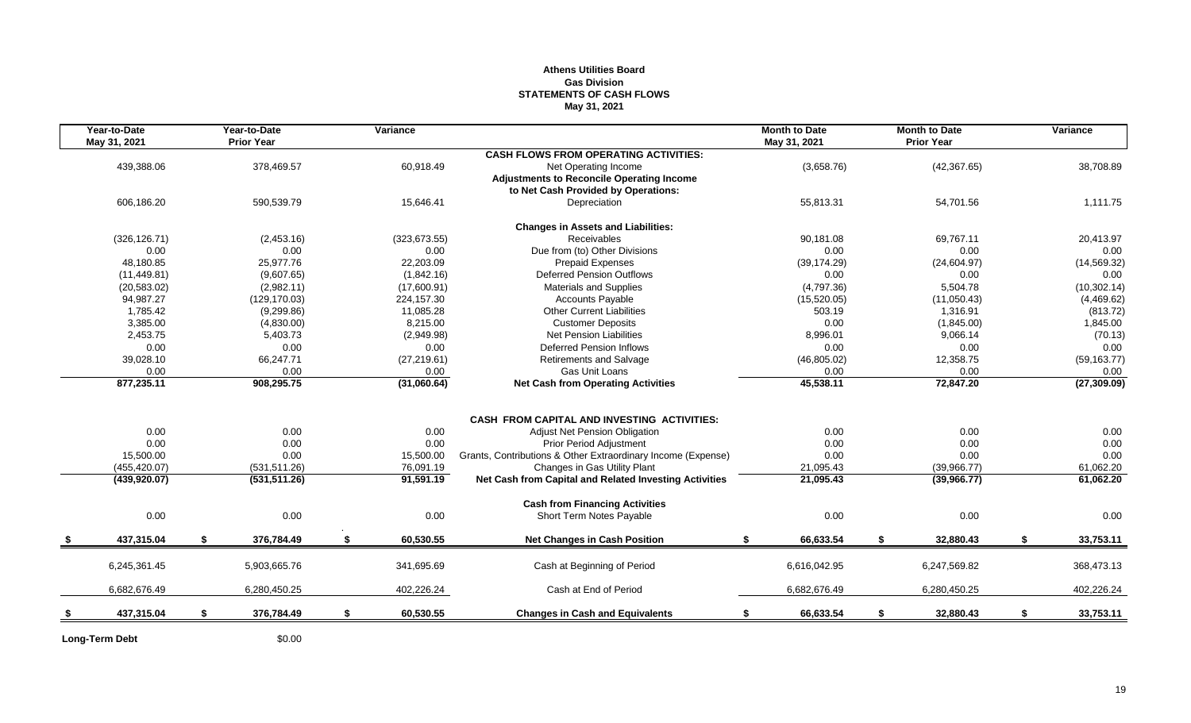#### **Athens Utilities Board Gas Division STATEMENTS OF CASH FLOWS May 31, 2021**

| Year-to-Date<br>May 31, 2021 | Year-to-Date<br><b>Prior Year</b> | Variance        |                                                              | <b>Month to Date</b><br>May 31, 2021 |    | <b>Month to Date</b><br><b>Prior Year</b> | Variance        |
|------------------------------|-----------------------------------|-----------------|--------------------------------------------------------------|--------------------------------------|----|-------------------------------------------|-----------------|
|                              |                                   |                 | <b>CASH FLOWS FROM OPERATING ACTIVITIES:</b>                 |                                      |    |                                           |                 |
| 439,388.06                   | 378,469.57                        | 60,918.49       | Net Operating Income                                         | (3,658.76)                           |    | (42, 367.65)                              | 38,708.89       |
|                              |                                   |                 | <b>Adjustments to Reconcile Operating Income</b>             |                                      |    |                                           |                 |
|                              |                                   |                 | to Net Cash Provided by Operations:                          |                                      |    |                                           |                 |
| 606,186.20                   | 590,539.79                        | 15,646.41       | Depreciation                                                 | 55,813.31                            |    | 54,701.56                                 | 1,111.75        |
|                              |                                   |                 | <b>Changes in Assets and Liabilities:</b>                    |                                      |    |                                           |                 |
| (326, 126.71)                | (2,453.16)                        | (323, 673.55)   | Receivables                                                  | 90,181.08                            |    | 69,767.11                                 | 20,413.97       |
| 0.00                         | 0.00                              | 0.00            | Due from (to) Other Divisions                                | 0.00                                 |    | 0.00                                      | 0.00            |
| 48.180.85                    | 25,977.76                         | 22,203.09       | <b>Prepaid Expenses</b>                                      | (39, 174.29)                         |    | (24, 604.97)                              | (14, 569.32)    |
| (11, 449.81)                 | (9,607.65)                        | (1,842.16)      | <b>Deferred Pension Outflows</b>                             | 0.00                                 |    | 0.00                                      | 0.00            |
| (20, 583.02)                 | (2,982.11)                        | (17,600.91)     | Materials and Supplies                                       | (4,797.36)                           |    | 5,504.78                                  | (10, 302.14)    |
| 94,987.27                    | (129, 170.03)                     | 224,157.30      | <b>Accounts Payable</b>                                      | (15,520.05)                          |    | (11,050.43)                               | (4,469.62)      |
| 1,785.42                     | (9,299.86)                        | 11,085.28       | <b>Other Current Liabilities</b>                             | 503.19                               |    | 1,316.91                                  | (813.72)        |
| 3,385.00                     | (4,830.00)                        | 8,215.00        | <b>Customer Deposits</b>                                     | 0.00                                 |    | (1,845.00)                                | 1,845.00        |
| 2,453.75                     | 5,403.73                          | (2,949.98)      | <b>Net Pension Liabilities</b>                               | 8,996.01                             |    | 9,066.14                                  | (70.13)         |
| 0.00                         | 0.00                              | 0.00            | <b>Deferred Pension Inflows</b>                              | 0.00                                 |    | 0.00                                      | 0.00            |
| 39,028.10                    | 66,247.71                         | (27, 219.61)    | Retirements and Salvage                                      | (46,805.02)                          |    | 12,358.75                                 | (59, 163.77)    |
| 0.00                         | 0.00                              | 0.00            | Gas Unit Loans                                               | 0.00                                 |    | 0.00                                      | 0.00            |
| 877,235.11                   | 908,295.75                        | (31,060.64)     | <b>Net Cash from Operating Activities</b>                    | 45,538.11                            |    | 72,847.20                                 | (27, 309.09)    |
|                              |                                   |                 |                                                              |                                      |    |                                           |                 |
|                              |                                   |                 | CASH FROM CAPITAL AND INVESTING ACTIVITIES:                  |                                      |    |                                           |                 |
| 0.00                         | 0.00                              | 0.00            | Adjust Net Pension Obligation                                | 0.00                                 |    | 0.00                                      | 0.00            |
| 0.00                         | 0.00                              | 0.00            | <b>Prior Period Adjustment</b>                               | 0.00                                 |    | 0.00                                      | 0.00            |
| 15,500.00                    | 0.00                              | 15,500.00       | Grants, Contributions & Other Extraordinary Income (Expense) | 0.00                                 |    | 0.00                                      | 0.00            |
| (455, 420.07)                | (531, 511.26)                     | 76,091.19       | Changes in Gas Utility Plant                                 | 21,095.43                            |    | (39,966.77)                               | 61,062.20       |
| (439, 920.07)                | (531, 511.26)                     | 91,591.19       | Net Cash from Capital and Related Investing Activities       | 21,095.43                            |    | (39,966.77)                               | 61,062.20       |
|                              |                                   |                 | <b>Cash from Financing Activities</b>                        |                                      |    |                                           |                 |
| 0.00                         | 0.00                              | 0.00            | Short Term Notes Payable                                     | 0.00                                 |    | 0.00                                      | 0.00            |
| 437,315.04                   | \$<br>376,784.49                  | \$<br>60,530.55 | <b>Net Changes in Cash Position</b>                          | 66,633.54<br>\$                      | S. | 32,880.43                                 | \$<br>33,753.11 |
| 6,245,361.45                 | 5,903,665.76                      | 341,695.69      | Cash at Beginning of Period                                  | 6,616,042.95                         |    | 6,247,569.82                              | 368,473.13      |
|                              |                                   |                 |                                                              |                                      |    |                                           |                 |
| 6,682,676.49                 | 6,280,450.25                      | 402,226.24      | Cash at End of Period                                        | 6,682,676.49                         |    | 6,280,450.25                              | 402,226.24      |
| 437,315.04                   | \$<br>376,784.49                  | \$<br>60,530.55 | <b>Changes in Cash and Equivalents</b>                       | 66,633.54<br>\$                      | \$ | 32,880.43                                 | \$<br>33,753.11 |
|                              |                                   |                 |                                                              |                                      |    |                                           |                 |

Long-Term Debt \$0.00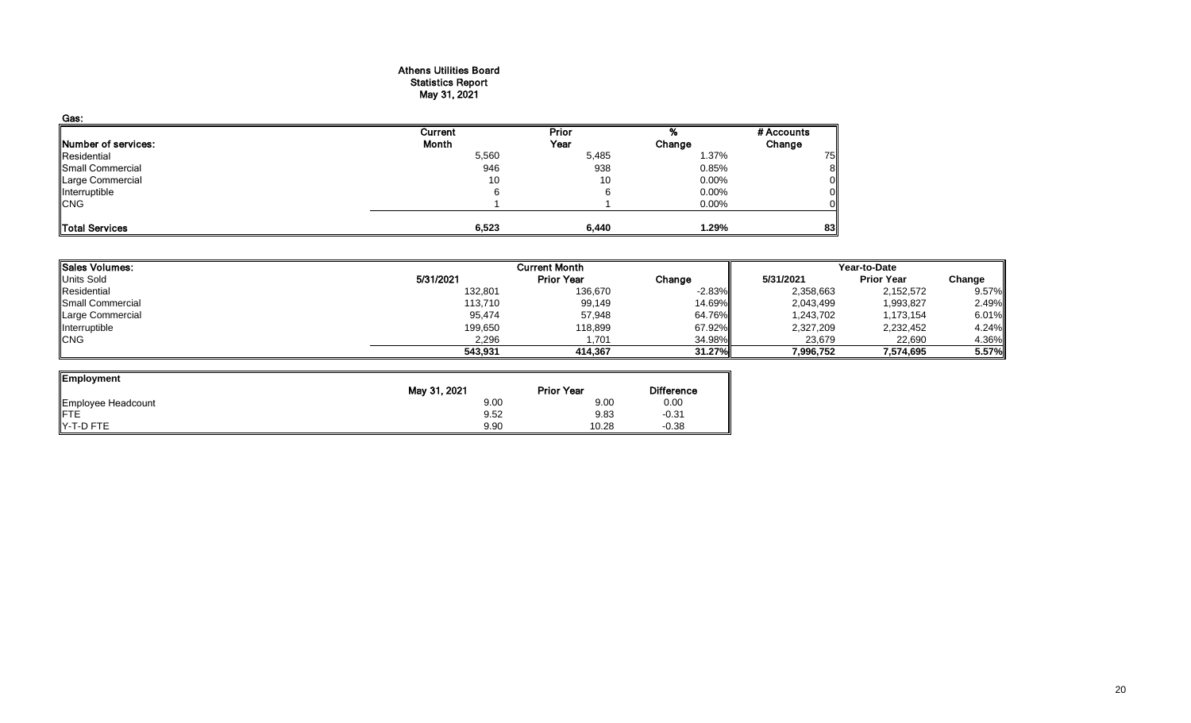#### Athens Utilities Board Statistics Report May 31, 2021

| Gas:                       |                |       |          |            |
|----------------------------|----------------|-------|----------|------------|
|                            | <b>Current</b> | Prior |          | # Accounts |
| <b>Number of services:</b> | Month          | Year  | Change   | Change     |
| Residential                | 5,560          | 5,485 | 1.37%    | 75         |
| Small Commercial           | 946            | 938   | 0.85%    | ŏ          |
| Large Commercial           | 10             | 10    | $0.00\%$ |            |
| Interruptible              | 6              |       | 0.00%    |            |
| <b>CNG</b>                 |                |       | $0.00\%$ |            |
| Total Services             | 6,523          | 6,440 | 1.29%    | 83         |

| <b>Sales Volumes:</b>   |           | <b>Current Month</b> |          | Year-to-Date |                   |        |  |
|-------------------------|-----------|----------------------|----------|--------------|-------------------|--------|--|
| Units Sold              | 5/31/2021 | <b>Prior Year</b>    | Change   | 5/31/2021    | <b>Prior Year</b> | Change |  |
| Residential             | 132,801   | 136,670              | $-2.83%$ | 2,358,663    | 2,152,572         | 9.57%  |  |
| <b>Small Commercial</b> | 113,710   | 99,149               | 14.69%   | 2,043,499    | 1,993,827         | 2.49%  |  |
| Large Commercial        | 95,474    | 57,948               | 64.76%   | 1,243,702    | 1,173,154         | 6.01%  |  |
| Interruptible           | 199,650   | 118,899              | 67.92%   | 2,327,209    | 2,232,452         | 4.24%  |  |
| <b>CNG</b>              | 2,296     | 701.ا                | 34.98%   | 23,679       | 22,690            | 4.36%  |  |
|                         | 543,931   | 414.367              | 31.27%II | 7,996,752    | 7,574,695         | 5.57%  |  |

ᆋ

| Employment         |              |                   |                   |
|--------------------|--------------|-------------------|-------------------|
|                    | May 31, 2021 | <b>Prior Year</b> | <b>Difference</b> |
| Employee Headcount | 9.00         | 9.00              | 0.00              |
| FTE                | 9.52         | 9.83              | $-0.31$           |
| $Y-T-D$ FTE        | 9.90         | 10.28             | $-0.38$           |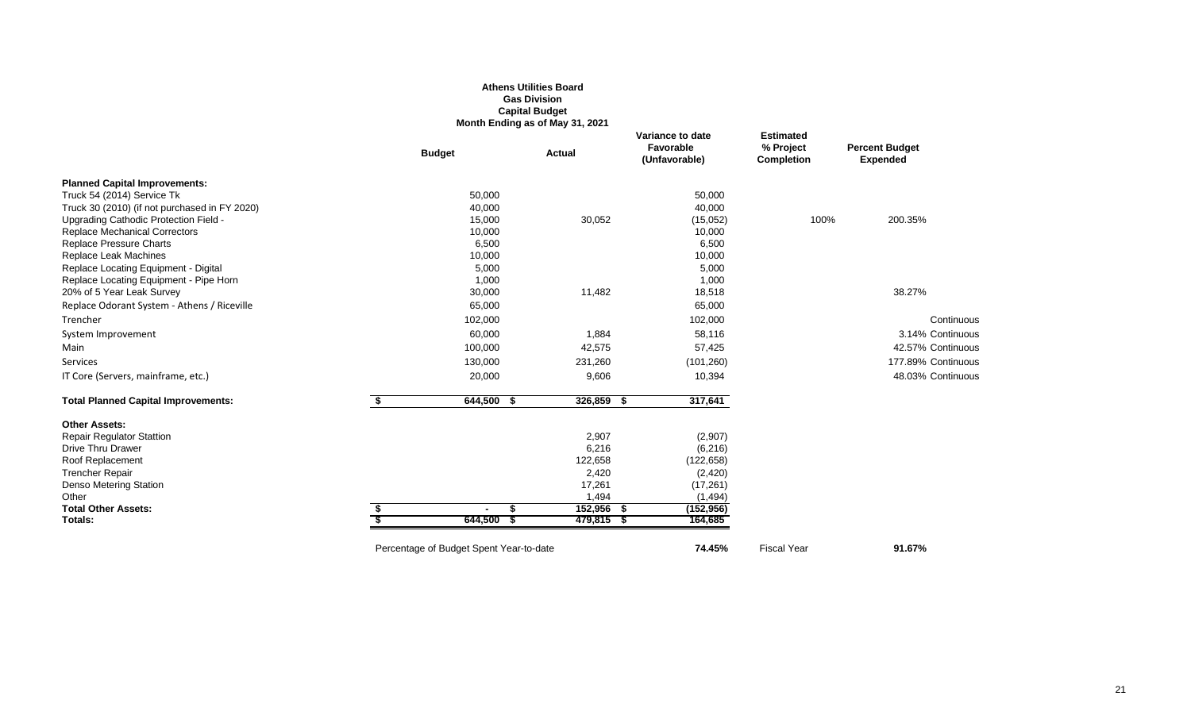|                                               |                                         | <b>Gas Division</b><br><b>Capital Budget</b><br>Month Ending as of May 31, 2021 |                                                |                                                    |                                          |
|-----------------------------------------------|-----------------------------------------|---------------------------------------------------------------------------------|------------------------------------------------|----------------------------------------------------|------------------------------------------|
|                                               | <b>Budget</b>                           | <b>Actual</b>                                                                   | Variance to date<br>Favorable<br>(Unfavorable) | <b>Estimated</b><br>% Project<br><b>Completion</b> | <b>Percent Budget</b><br><b>Expended</b> |
| <b>Planned Capital Improvements:</b>          |                                         |                                                                                 |                                                |                                                    |                                          |
| Truck 54 (2014) Service Tk                    | 50,000                                  |                                                                                 | 50,000                                         |                                                    |                                          |
| Truck 30 (2010) (if not purchased in FY 2020) | 40,000                                  |                                                                                 | 40,000                                         |                                                    |                                          |
| Upgrading Cathodic Protection Field -         | 15,000                                  | 30,052                                                                          | (15,052)                                       | 100%                                               | 200.35%                                  |
| <b>Replace Mechanical Correctors</b>          | 10,000                                  |                                                                                 | 10,000                                         |                                                    |                                          |
| <b>Replace Pressure Charts</b>                | 6,500                                   |                                                                                 | 6,500                                          |                                                    |                                          |
| Replace Leak Machines                         | 10,000                                  |                                                                                 | 10,000                                         |                                                    |                                          |
| Replace Locating Equipment - Digital          | 5,000                                   |                                                                                 | 5,000                                          |                                                    |                                          |
| Replace Locating Equipment - Pipe Horn        | 1,000                                   |                                                                                 | 1,000                                          |                                                    |                                          |
| 20% of 5 Year Leak Survey                     | 30,000                                  | 11,482                                                                          | 18,518                                         |                                                    | 38.27%                                   |
| Replace Odorant System - Athens / Riceville   | 65,000                                  |                                                                                 | 65,000                                         |                                                    |                                          |
| Trencher                                      | 102,000                                 |                                                                                 | 102,000                                        |                                                    | Continuous                               |
| System Improvement                            | 60,000                                  | 1,884                                                                           | 58,116                                         |                                                    | 3.14% Continuous                         |
| Main                                          | 100,000                                 | 42,575                                                                          | 57,425                                         |                                                    | 42.57% Continuous                        |
| <b>Services</b>                               | 130,000                                 | 231,260                                                                         | (101, 260)                                     |                                                    | 177.89% Continuous                       |
| IT Core (Servers, mainframe, etc.)            | 20,000                                  | 9,606                                                                           | 10,394                                         |                                                    | 48.03% Continuous                        |
| <b>Total Planned Capital Improvements:</b>    | \$<br>$644,500$ \$                      | 326,859 \$                                                                      | 317,641                                        |                                                    |                                          |
| <b>Other Assets:</b>                          |                                         |                                                                                 |                                                |                                                    |                                          |
| <b>Repair Regulator Stattion</b>              |                                         | 2,907                                                                           | (2,907)                                        |                                                    |                                          |
| Drive Thru Drawer                             |                                         | 6,216                                                                           | (6, 216)                                       |                                                    |                                          |
| Roof Replacement                              |                                         | 122,658                                                                         | (122, 658)                                     |                                                    |                                          |
| <b>Trencher Repair</b>                        |                                         | 2,420                                                                           | (2, 420)                                       |                                                    |                                          |
| Denso Metering Station                        |                                         | 17,261                                                                          | (17, 261)                                      |                                                    |                                          |
| Other                                         |                                         | 1,494                                                                           | (1, 494)                                       |                                                    |                                          |
| <b>Total Other Assets:</b><br>Totals:         | \$<br>644,500                           | 152,956<br>479,815 \$                                                           | (152, 956)<br>- 5<br>164,685                   |                                                    |                                          |
|                                               | Percentage of Budget Spent Year-to-date |                                                                                 | 74.45%                                         | <b>Fiscal Year</b>                                 | 91.67%                                   |

**Athens Utilities Board**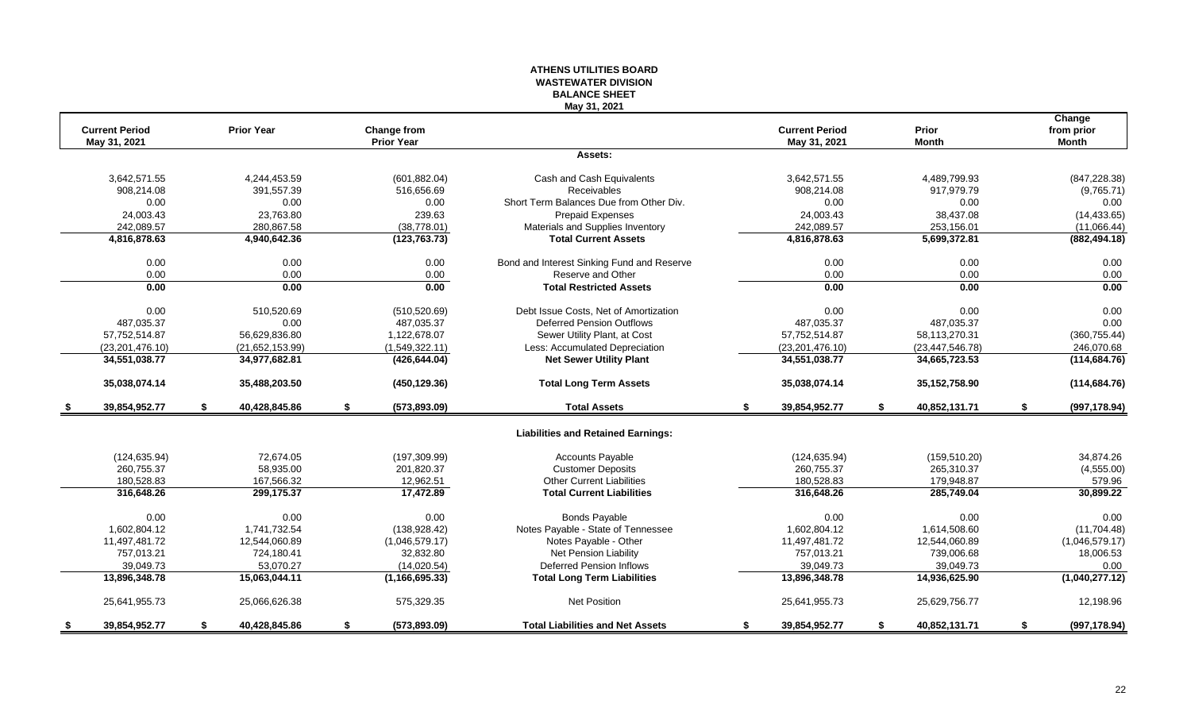#### **ATHENS UTILITIES BOARD WASTEWATER DIVISION BALANCE SHEET May 31, 2021**

|      | <b>Current Period</b><br>May 31, 2021 | <b>Prior Year</b>   |    | <b>Change from</b><br><b>Prior Year</b> |                                            | <b>Current Period</b><br>May 31, 2021 | Prior<br><b>Month</b> | Change<br>from prior<br><b>Month</b> |
|------|---------------------------------------|---------------------|----|-----------------------------------------|--------------------------------------------|---------------------------------------|-----------------------|--------------------------------------|
|      |                                       |                     |    |                                         | Assets:                                    |                                       |                       |                                      |
|      | 3,642,571.55                          | 4,244,453.59        |    | (601, 882.04)                           | Cash and Cash Equivalents                  | 3,642,571.55                          | 4,489,799.93          | (847, 228.38)                        |
|      | 908,214.08                            | 391,557.39          |    | 516,656.69                              | Receivables                                | 908,214.08                            | 917,979.79            | (9,765.71)                           |
|      | 0.00                                  | 0.00                |    | 0.00                                    | Short Term Balances Due from Other Div.    | 0.00                                  | 0.00                  | 0.00                                 |
|      | 24,003.43                             | 23,763.80           |    | 239.63                                  | <b>Prepaid Expenses</b>                    | 24,003.43                             | 38,437.08             | (14, 433.65)                         |
|      | 242,089.57                            | 280,867.58          |    | (38, 778.01)                            | Materials and Supplies Inventory           | 242,089.57                            | 253,156.01            | (11,066.44)                          |
|      | 4,816,878.63                          | 4,940,642.36        |    | (123, 763.73)                           | <b>Total Current Assets</b>                | 4,816,878.63                          | 5,699,372.81          | (882, 494.18)                        |
|      | 0.00                                  | 0.00                |    | 0.00                                    | Bond and Interest Sinking Fund and Reserve | 0.00                                  | 0.00                  | 0.00                                 |
|      | 0.00                                  | 0.00                |    | 0.00                                    | Reserve and Other                          | 0.00                                  | 0.00                  | 0.00                                 |
|      | 0.00                                  | 0.00                |    | 0.00                                    | <b>Total Restricted Assets</b>             | 0.00                                  | 0.00                  | 0.00                                 |
|      | 0.00                                  | 510,520.69          |    | (510, 520.69)                           | Debt Issue Costs, Net of Amortization      | 0.00                                  | 0.00                  | 0.00                                 |
|      | 487,035.37                            | 0.00                |    | 487,035.37                              | <b>Deferred Pension Outflows</b>           | 487,035.37                            | 487,035.37            | 0.00                                 |
|      | 57,752,514.87                         | 56,629,836.80       |    | 1,122,678.07                            | Sewer Utility Plant, at Cost               | 57,752,514.87                         | 58,113,270.31         | (360, 755.44)                        |
|      | (23, 201, 476.10)                     | (21,652,153.99)     |    | (1,549,322.11)                          | Less: Accumulated Depreciation             | (23, 201, 476.10)                     | (23, 447, 546.78)     | 246,070.68                           |
|      | 34,551,038.77                         | 34,977,682.81       |    | (426, 644.04)                           | <b>Net Sewer Utility Plant</b>             | 34,551,038.77                         | 34,665,723.53         | (114, 684.76)                        |
|      | 35,038,074.14                         | 35,488,203.50       |    | (450, 129.36)                           | <b>Total Long Term Assets</b>              | 35,038,074.14                         | 35, 152, 758.90       | (114, 684.76)                        |
| - \$ | 39,854,952.77                         | \$<br>40,428,845.86 | \$ | (573, 893.09)                           | <b>Total Assets</b>                        | \$<br>39,854,952.77                   | \$<br>40,852,131.71   | \$<br>(997, 178.94)                  |
|      |                                       |                     |    |                                         | <b>Liabilities and Retained Earnings:</b>  |                                       |                       |                                      |
|      | (124, 635.94)                         | 72,674.05           |    | (197, 309.99)                           | <b>Accounts Payable</b>                    | (124, 635.94)                         | (159, 510.20)         | 34,874.26                            |
|      | 260,755.37                            | 58,935.00           |    | 201,820.37                              | <b>Customer Deposits</b>                   | 260,755.37                            | 265,310.37            | (4,555.00)                           |
|      | 180,528.83                            | 167,566.32          |    | 12,962.51                               | <b>Other Current Liabilities</b>           | 180,528.83                            | 179,948.87            | 579.96                               |
|      | 316,648.26                            | 299,175.37          |    | 17,472.89                               | <b>Total Current Liabilities</b>           | 316,648.26                            | 285,749.04            | 30,899.22                            |
|      | 0.00                                  | 0.00                |    | 0.00                                    | <b>Bonds Payable</b>                       | 0.00                                  | 0.00                  | 0.00                                 |
|      | 1,602,804.12                          | 1,741,732.54        |    | (138, 928.42)                           | Notes Payable - State of Tennessee         | 1,602,804.12                          | 1,614,508.60          | (11,704.48)                          |
|      | 11,497,481.72                         | 12,544,060.89       |    | (1,046,579.17)                          | Notes Payable - Other                      | 11,497,481.72                         | 12,544,060.89         | (1,046,579.17)                       |
|      | 757,013.21                            | 724,180.41          |    | 32,832.80                               | Net Pension Liability                      | 757,013.21                            | 739,006.68            | 18,006.53                            |
|      | 39,049.73                             | 53,070.27           |    | (14,020.54)                             | <b>Deferred Pension Inflows</b>            | 39,049.73                             | 39,049.73             | 0.00                                 |
|      | 13,896,348.78                         | 15,063,044.11       |    | (1, 166, 695.33)                        | <b>Total Long Term Liabilities</b>         | 13,896,348.78                         | 14,936,625.90         | (1,040,277.12)                       |
|      | 25,641,955.73                         | 25,066,626.38       |    | 575,329.35                              | Net Position                               | 25,641,955.73                         | 25,629,756.77         | 12,198.96                            |
|      | 39,854,952.77                         | \$<br>40,428,845.86 | S. | (573, 893.09)                           | <b>Total Liabilities and Net Assets</b>    | \$<br>39,854,952.77                   | \$<br>40,852,131.71   | \$<br>(997, 178.94)                  |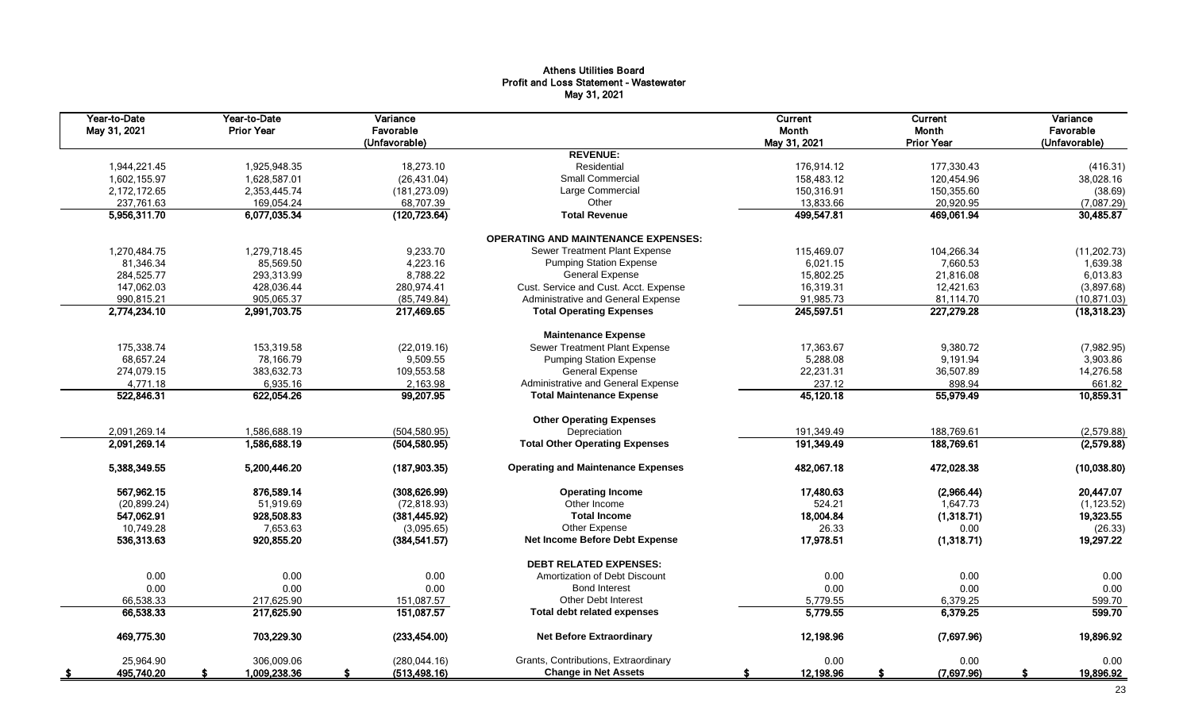#### Athens Utilities Board Profit and Loss Statement - Wastewater May 31, 2021

| Year-to-Date<br>May 31, 2021 | Year-to-Date<br><b>Prior Year</b> | Variance<br>Favorable<br>(Unfavorable) |                                            | <b>Current</b><br>Month<br>May 31, 2021 | Current<br>Month<br><b>Prior Year</b> | Variance<br>Favorable<br>(Unfavorable) |
|------------------------------|-----------------------------------|----------------------------------------|--------------------------------------------|-----------------------------------------|---------------------------------------|----------------------------------------|
|                              |                                   |                                        | <b>REVENUE:</b>                            |                                         |                                       |                                        |
| 1,944,221.45                 | 1,925,948.35                      | 18,273.10                              | Residential                                | 176,914.12                              | 177,330.43                            | (416.31)                               |
| 1,602,155.97                 | 1,628,587.01                      | (26, 431.04)                           | <b>Small Commercial</b>                    | 158,483.12                              | 120,454.96                            | 38,028.16                              |
| 2,172,172.65                 | 2,353,445.74                      | (181, 273.09)                          | Large Commercial                           | 150,316.91                              | 150,355.60                            | (38.69)                                |
| 237,761.63                   | 169,054.24                        | 68,707.39                              | Other                                      | 13,833.66                               | 20,920.95                             | (7,087.29)                             |
| 5,956,311.70                 | 6,077,035.34                      | (120, 723.64)                          | <b>Total Revenue</b>                       | 499,547.81                              | 469,061.94                            | 30,485.87                              |
|                              |                                   |                                        | <b>OPERATING AND MAINTENANCE EXPENSES:</b> |                                         |                                       |                                        |
| 1,270,484.75                 | 1,279,718.45                      | 9,233.70                               | Sewer Treatment Plant Expense              | 115,469.07                              | 104,266.34                            | (11, 202.73)                           |
| 81,346.34                    | 85,569.50                         | 4,223.16                               | <b>Pumping Station Expense</b>             | 6,021.15                                | 7,660.53                              | 1,639.38                               |
| 284,525.77                   | 293,313.99                        | 8,788.22                               | <b>General Expense</b>                     | 15,802.25                               | 21,816.08                             | 6,013.83                               |
| 147,062.03                   | 428,036.44                        | 280,974.41                             | Cust. Service and Cust. Acct. Expense      | 16,319.31                               | 12,421.63                             | (3,897.68)                             |
| 990,815.21                   | 905,065.37                        | (85, 749.84)                           | Administrative and General Expense         | 91,985.73                               | 81,114.70                             | (10, 871.03)                           |
| 2,774,234.10                 | 2,991,703.75                      | 217,469.65                             | <b>Total Operating Expenses</b>            | 245,597.51                              | 227,279.28                            | (18, 318.23)                           |
|                              |                                   |                                        | <b>Maintenance Expense</b>                 |                                         |                                       |                                        |
| 175,338.74                   | 153,319.58                        | (22,019.16)                            | Sewer Treatment Plant Expense              | 17,363.67                               | 9,380.72                              | (7,982.95)                             |
| 68,657.24                    | 78,166.79                         | 9,509.55                               | <b>Pumping Station Expense</b>             | 5,288.08                                | 9,191.94                              | 3,903.86                               |
| 274,079.15                   | 383,632.73                        | 109,553.58                             | <b>General Expense</b>                     | 22,231.31                               | 36,507.89                             | 14,276.58                              |
| 4,771.18                     | 6,935.16                          | 2,163.98                               | Administrative and General Expense         | 237.12                                  | 898.94                                | 661.82                                 |
| 522,846.31                   | 622,054.26                        | 99,207.95                              | <b>Total Maintenance Expense</b>           | 45,120.18                               | 55,979.49                             | 10,859.31                              |
|                              |                                   |                                        | <b>Other Operating Expenses</b>            |                                         |                                       |                                        |
| 2,091,269.14                 | 1,586,688.19                      | (504, 580.95)                          | Depreciation                               | 191,349.49                              | 188,769.61                            | (2,579.88)                             |
| 2,091,269.14                 | 1,586,688.19                      | (504, 580.95)                          | <b>Total Other Operating Expenses</b>      | 191,349.49                              | 188,769.61                            | (2,579.88)                             |
| 5,388,349.55                 | 5,200,446.20                      | (187, 903.35)                          | <b>Operating and Maintenance Expenses</b>  | 482,067.18                              | 472,028.38                            | (10,038.80)                            |
| 567,962.15                   | 876,589.14                        | (308, 626.99)                          | <b>Operating Income</b>                    | 17,480.63                               | (2,966.44)                            | 20,447.07                              |
| (20, 899.24)                 | 51,919.69                         | (72, 818.93)                           | Other Income                               | 524.21                                  | 1,647.73                              | (1, 123.52)                            |
| 547,062.91                   | 928,508.83                        | (381, 445.92)                          | <b>Total Income</b>                        | 18,004.84                               | (1,318.71)                            | 19,323.55                              |
| 10,749.28                    | 7,653.63                          | (3,095.65)                             | Other Expense                              | 26.33                                   | 0.00                                  | (26.33)                                |
| 536,313.63                   | 920,855.20                        | (384, 541.57)                          | <b>Net Income Before Debt Expense</b>      | 17,978.51                               | (1,318.71)                            | 19,297.22                              |
|                              |                                   |                                        | <b>DEBT RELATED EXPENSES:</b>              |                                         |                                       |                                        |
| 0.00                         | 0.00                              | 0.00                                   | Amortization of Debt Discount              | 0.00                                    | 0.00                                  | 0.00                                   |
| 0.00                         | 0.00                              | 0.00                                   | <b>Bond Interest</b>                       | 0.00                                    | 0.00                                  | 0.00                                   |
| 66,538.33                    | 217,625.90                        | 151,087.57                             | Other Debt Interest                        | 5,779.55                                | 6,379.25                              | 599.70                                 |
| 66,538.33                    | 217,625.90                        | 151,087.57                             | <b>Total debt related expenses</b>         | 5,779.55                                | 6,379.25                              | 599.70                                 |
| 469,775.30                   | 703,229.30                        | (233, 454.00)                          | <b>Net Before Extraordinary</b>            | 12,198.96                               | (7,697.96)                            | 19,896.92                              |
| 25,964.90                    | 306,009.06                        | (280, 044, 16)                         | Grants, Contributions, Extraordinary       | 0.00                                    | 0.00                                  | 0.00                                   |
| 495,740.20<br>- \$           | 1,009,238.36                      | (513, 498.16)                          | <b>Change in Net Assets</b>                | 12,198.96<br>S                          | (7,697.96)                            | 19,896.92<br>S                         |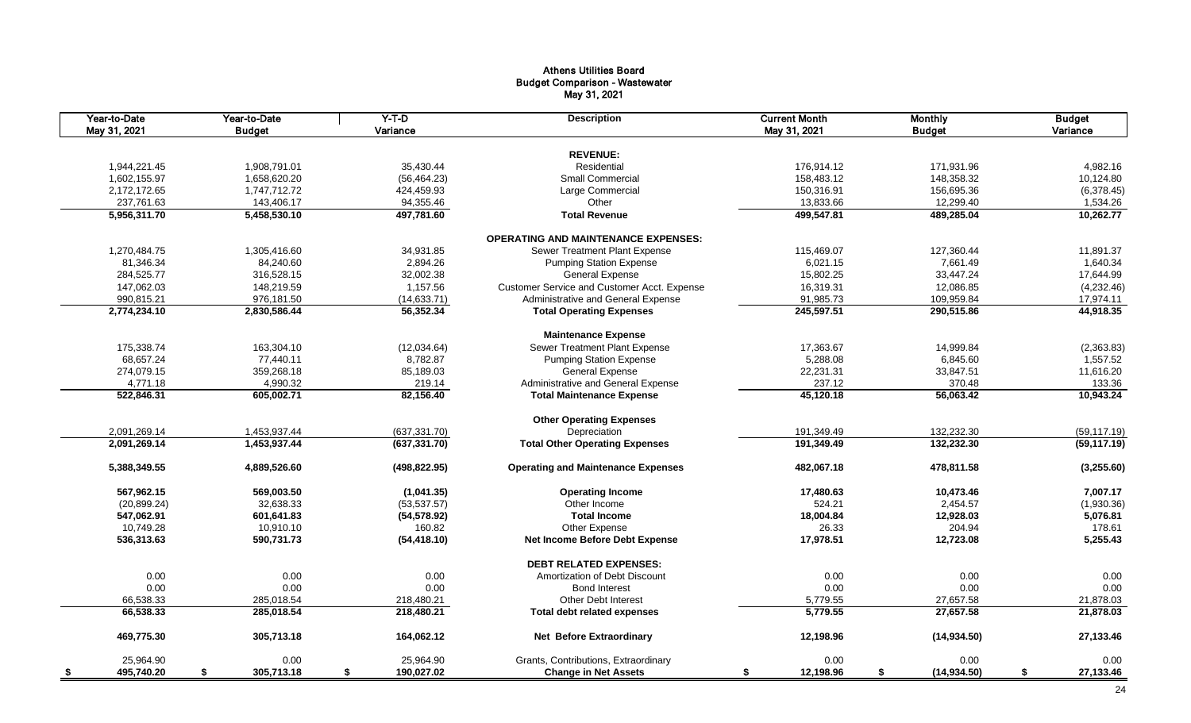#### Athens Utilities Board Budget Comparison - Wastewater May 31, 2021

| Year-to-Date<br>May 31, 2021 | Year-to-Date<br><b>Budget</b> | $Y-T-D$<br>Variance | <b>Description</b>                          | <b>Current Month</b><br>May 31, 2021 | <b>Monthly</b><br><b>Budget</b> | <b>Budget</b><br>Variance |
|------------------------------|-------------------------------|---------------------|---------------------------------------------|--------------------------------------|---------------------------------|---------------------------|
|                              |                               |                     | <b>REVENUE:</b>                             |                                      |                                 |                           |
|                              |                               | 35,430.44           |                                             |                                      |                                 |                           |
| 1,944,221.45                 | 1,908,791.01                  |                     | Residential                                 | 176,914.12                           | 171,931.96                      | 4,982.16                  |
| 1,602,155.97                 | 1,658,620.20                  | (56, 464.23)        | Small Commercial                            | 158,483.12                           | 148,358.32                      | 10,124.80                 |
| 2,172,172.65                 | 1,747,712.72                  | 424,459.93          | Large Commercial                            | 150,316.91                           | 156,695.36                      | (6,378.45)                |
| 237,761.63                   | 143,406.17                    | 94,355.46           | Other                                       | 13,833.66                            | 12,299.40                       | 1,534.26                  |
| 5,956,311.70                 | 5,458,530.10                  | 497,781.60          | <b>Total Revenue</b>                        | 499,547.81                           | 489,285.04                      | 10,262.77                 |
|                              |                               |                     | <b>OPERATING AND MAINTENANCE EXPENSES:</b>  |                                      |                                 |                           |
| 1,270,484.75                 | 1,305,416.60                  | 34,931.85           | Sewer Treatment Plant Expense               | 115,469.07                           | 127,360.44                      | 11,891.37                 |
| 81,346.34                    | 84,240.60                     | 2,894.26            | <b>Pumping Station Expense</b>              | 6,021.15                             | 7,661.49                        | 1,640.34                  |
| 284,525.77                   | 316,528.15                    | 32,002.38           | <b>General Expense</b>                      | 15,802.25                            | 33,447.24                       | 17,644.99                 |
| 147,062.03                   | 148,219.59                    | 1,157.56            | Customer Service and Customer Acct. Expense | 16,319.31                            | 12,086.85                       | (4,232.46)                |
| 990,815.21                   | 976,181.50                    | (14, 633.71)        | Administrative and General Expense          | 91,985.73                            | 109,959.84                      | 17,974.11                 |
| 2,774,234.10                 | 2,830,586.44                  | 56,352.34           | <b>Total Operating Expenses</b>             | 245,597.51                           | 290,515.86                      | 44,918.35                 |
|                              |                               |                     | <b>Maintenance Expense</b>                  |                                      |                                 |                           |
| 175,338.74                   | 163,304.10                    | (12,034.64)         | Sewer Treatment Plant Expense               | 17,363.67                            | 14,999.84                       | (2,363.83)                |
| 68,657.24                    | 77,440.11                     | 8,782.87            | <b>Pumping Station Expense</b>              | 5,288.08                             | 6,845.60                        | 1,557.52                  |
| 274,079.15                   | 359,268.18                    | 85,189.03           | <b>General Expense</b>                      | 22,231.31                            | 33,847.51                       | 11,616.20                 |
| 4,771.18                     | 4,990.32                      | 219.14              | Administrative and General Expense          | 237.12                               | 370.48                          | 133.36                    |
| 522,846.31                   | 605,002.71                    | 82,156.40           | <b>Total Maintenance Expense</b>            | 45,120.18                            | 56,063.42                       | 10,943.24                 |
|                              |                               |                     |                                             |                                      |                                 |                           |
|                              |                               |                     | <b>Other Operating Expenses</b>             |                                      |                                 |                           |
| 2,091,269.14                 | 1,453,937.44                  | (637, 331.70)       | Depreciation                                | 191,349.49                           | 132,232.30                      | (59, 117.19)              |
| 2,091,269.14                 | 1,453,937.44                  | (637, 331.70)       | <b>Total Other Operating Expenses</b>       | 191,349.49                           | 132,232.30                      | (59, 117.19)              |
| 5,388,349.55                 | 4,889,526.60                  | (498, 822.95)       | <b>Operating and Maintenance Expenses</b>   | 482,067.18                           | 478,811.58                      | (3,255.60)                |
| 567,962.15                   | 569,003.50                    | (1,041.35)          | <b>Operating Income</b>                     | 17,480.63                            | 10,473.46                       | 7,007.17                  |
| (20, 899.24)                 | 32,638.33                     | (53, 537.57)        | Other Income                                | 524.21                               | 2,454.57                        | (1,930.36)                |
| 547,062.91                   | 601,641.83                    | (54, 578.92)        | <b>Total Income</b>                         | 18,004.84                            | 12,928.03                       | 5,076.81                  |
| 10,749.28                    | 10,910.10                     | 160.82              | Other Expense                               | 26.33                                | 204.94                          | 178.61                    |
| 536,313.63                   | 590,731.73                    | (54, 418.10)        | <b>Net Income Before Debt Expense</b>       | 17,978.51                            | 12,723.08                       | 5,255.43                  |
|                              |                               |                     | <b>DEBT RELATED EXPENSES:</b>               |                                      |                                 |                           |
| 0.00                         | 0.00                          | 0.00                | Amortization of Debt Discount               | 0.00                                 | 0.00                            | 0.00                      |
| 0.00                         | 0.00                          | 0.00                | <b>Bond Interest</b>                        | 0.00                                 | 0.00                            | 0.00                      |
| 66,538.33                    | 285,018.54                    | 218,480.21          | <b>Other Debt Interest</b>                  | 5,779.55                             | 27,657.58                       | 21,878.03                 |
| 66,538.33                    | 285,018.54                    | 218,480.21          | <b>Total debt related expenses</b>          | 5,779.55                             | 27,657.58                       | 21,878.03                 |
| 469,775.30                   | 305,713.18                    | 164,062.12          | Net Before Extraordinary                    | 12,198.96                            | (14, 934.50)                    | 27,133.46                 |
| 25,964.90                    | 0.00                          | 25,964.90           | Grants, Contributions, Extraordinary        | 0.00                                 | 0.00                            | 0.00                      |
| 495,740.20<br>- \$           | \$<br>305,713.18              | 190,027.02<br>\$    | <b>Change in Net Assets</b>                 | 12,198.96<br>\$                      | \$<br>(14, 934.50)              | \$<br>27,133.46           |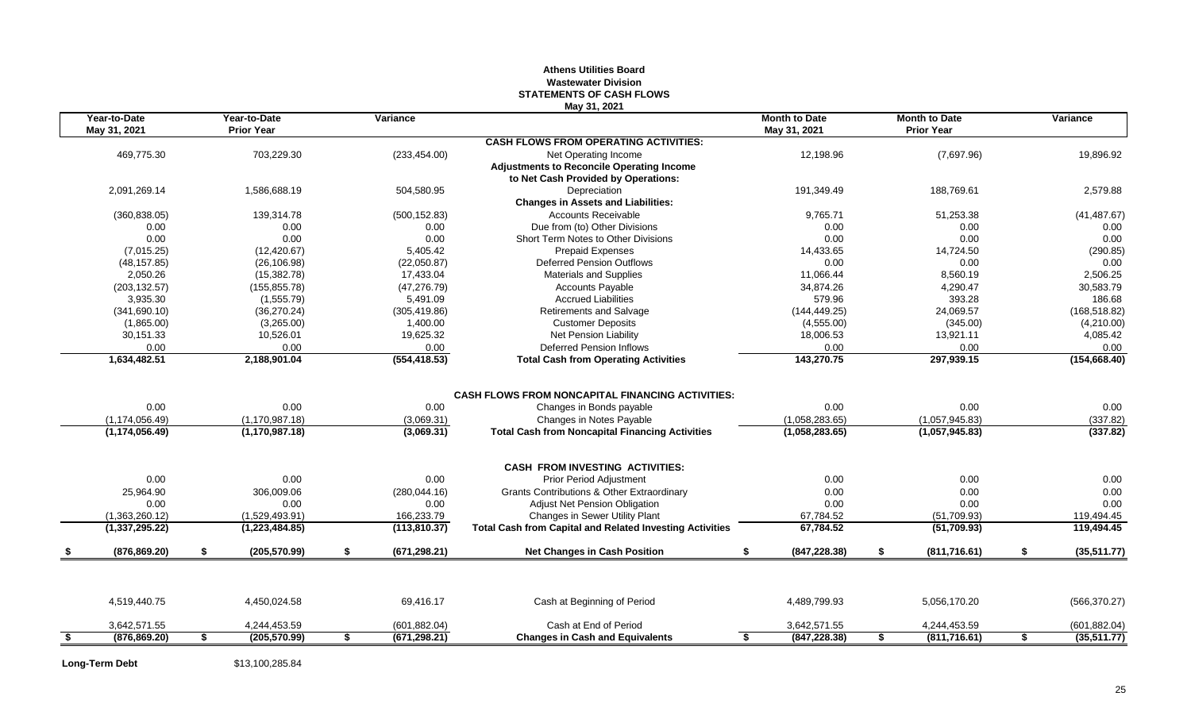#### **Athens Utilities Board Wastewater Division STATEMENTS OF CASH FLOWS May 31, 2021**

|      | Year-to-Date<br>May 31, 2021 | Year-to-Date<br><b>Prior Year</b> | Variance            |                                                                 | <b>Month to Date</b><br>May 31, 2021 | <b>Month to Date</b><br><b>Prior Year</b> | Variance          |
|------|------------------------------|-----------------------------------|---------------------|-----------------------------------------------------------------|--------------------------------------|-------------------------------------------|-------------------|
|      |                              |                                   |                     | <b>CASH FLOWS FROM OPERATING ACTIVITIES:</b>                    |                                      |                                           |                   |
|      | 469,775.30                   | 703,229.30                        | (233, 454.00)       | Net Operating Income                                            | 12,198.96                            | (7,697.96)                                | 19,896.92         |
|      |                              |                                   |                     | <b>Adjustments to Reconcile Operating Income</b>                |                                      |                                           |                   |
|      |                              |                                   |                     | to Net Cash Provided by Operations:                             |                                      |                                           |                   |
|      | 2,091,269.14                 | 1,586,688.19                      | 504,580.95          | Depreciation                                                    | 191,349.49                           | 188,769.61                                | 2,579.88          |
|      |                              |                                   |                     | <b>Changes in Assets and Liabilities:</b>                       |                                      |                                           |                   |
|      | (360, 838.05)                | 139.314.78                        | (500, 152.83)       | <b>Accounts Receivable</b>                                      | 9,765.71                             | 51,253.38                                 | (41, 487.67)      |
|      | 0.00                         | 0.00                              | 0.00                | Due from (to) Other Divisions                                   | 0.00                                 | 0.00                                      | 0.00              |
|      | 0.00                         | 0.00                              | 0.00                | Short Term Notes to Other Divisions                             | 0.00                                 | 0.00                                      | 0.00              |
|      | (7,015.25)                   | (12, 420.67)                      | 5,405.42            | <b>Prepaid Expenses</b>                                         | 14,433.65                            | 14,724.50                                 | (290.85)          |
|      | (48, 157.85)                 | (26, 106.98)                      | (22,050.87)         | Deferred Pension Outflows                                       | 0.00                                 | 0.00                                      | 0.00              |
|      | 2,050.26                     | (15, 382.78)                      | 17,433.04           | <b>Materials and Supplies</b>                                   | 11.066.44                            | 8,560.19                                  | 2.506.25          |
|      | (203, 132.57)                | (155, 855.78)                     | (47, 276.79)        | <b>Accounts Payable</b>                                         | 34,874.26                            | 4,290.47                                  | 30,583.79         |
|      | 3,935.30                     | (1,555.79)                        | 5,491.09            | <b>Accrued Liabilities</b>                                      | 579.96                               | 393.28                                    | 186.68            |
|      | (341,690.10)                 | (36, 270.24)                      | (305, 419.86)       | Retirements and Salvage                                         | (144, 449.25)                        | 24,069.57                                 | (168, 518.82)     |
|      | (1,865.00)                   | (3,265.00)                        | 1.400.00            | <b>Customer Deposits</b>                                        | (4,555.00)                           | (345.00)                                  | (4,210.00)        |
|      | 30,151.33                    | 10,526.01                         | 19,625.32           | Net Pension Liability                                           | 18,006.53                            | 13,921.11                                 | 4,085.42          |
|      | 0.00                         | 0.00                              | 0.00                | <b>Deferred Pension Inflows</b>                                 | 0.00                                 | 0.00                                      | 0.00              |
|      | 1,634,482.51                 | 2,188,901.04                      | (554, 418.53)       | <b>Total Cash from Operating Activities</b>                     | 143,270.75                           | 297,939.15                                | (154, 668.40)     |
|      |                              |                                   |                     |                                                                 |                                      |                                           |                   |
|      |                              |                                   |                     | <b>CASH FLOWS FROM NONCAPITAL FINANCING ACTIVITIES:</b>         |                                      |                                           |                   |
|      | 0.00                         | 0.00                              | 0.00                | Changes in Bonds payable                                        | 0.00                                 | 0.00                                      | 0.00              |
|      | (1, 174, 056.49)             | (1, 170, 987.18)                  | (3,069.31)          | Changes in Notes Payable                                        | (1,058,283.65)                       | (1,057,945.83)                            | (337.82)          |
|      | (1, 174, 056.49)             | (1, 170, 987, 18)                 | (3,069.31)          | <b>Total Cash from Noncapital Financing Activities</b>          | (1,058,283.65)                       | (1,057,945.83)                            | (337.82)          |
|      |                              |                                   |                     | <b>CASH FROM INVESTING ACTIVITIES:</b>                          |                                      |                                           |                   |
|      | 0.00                         | 0.00                              | 0.00                | <b>Prior Period Adjustment</b>                                  | 0.00                                 | 0.00                                      | 0.00              |
|      | 25.964.90                    | 306.009.06                        | (280, 044.16)       | Grants Contributions & Other Extraordinary                      | 0.00                                 | 0.00                                      | 0.00              |
|      | 0.00                         | 0.00                              | 0.00                | Adjust Net Pension Obligation                                   | 0.00                                 | 0.00                                      | 0.00              |
|      | (1,363,260.12)               | (1,529,493.91)                    | 166,233.79          | Changes in Sewer Utility Plant                                  | 67,784.52                            | (51,709.93)                               | 119,494.45        |
|      | (1,337,295.22)               | (1,223,484.85)                    | (113, 810.37)       | <b>Total Cash from Capital and Related Investing Activities</b> | 67,784.52                            | (51,709.93)                               | 119,494.45        |
|      | (876, 869.20)                | \$<br>(205, 570.99)               | \$<br>(671, 298.21) | <b>Net Changes in Cash Position</b>                             | \$<br>(847, 228.38)                  | \$<br>(811, 716.61)                       | \$<br>(35,511.77) |
|      |                              |                                   |                     |                                                                 |                                      |                                           |                   |
|      | 4,519,440.75                 | 4,450,024.58                      | 69,416.17           | Cash at Beginning of Period                                     | 4,489,799.93                         | 5,056,170.20                              | (566, 370.27)     |
|      | 3,642,571.55                 | 4,244,453.59                      | (601, 882.04)       | Cash at End of Period                                           | 3,642,571.55                         | 4,244,453.59                              | (601, 882.04)     |
| - \$ | (876, 869.20)                | \$<br>(205, 570.99)               | \$<br>(671, 298.21) | <b>Changes in Cash and Equivalents</b>                          | \$<br>(847, 228.38)                  | \$<br>(811, 716.61)                       | \$<br>(35,511.77) |
|      |                              |                                   |                     |                                                                 |                                      |                                           |                   |

**Long-Term Debt** \$13,100,285.84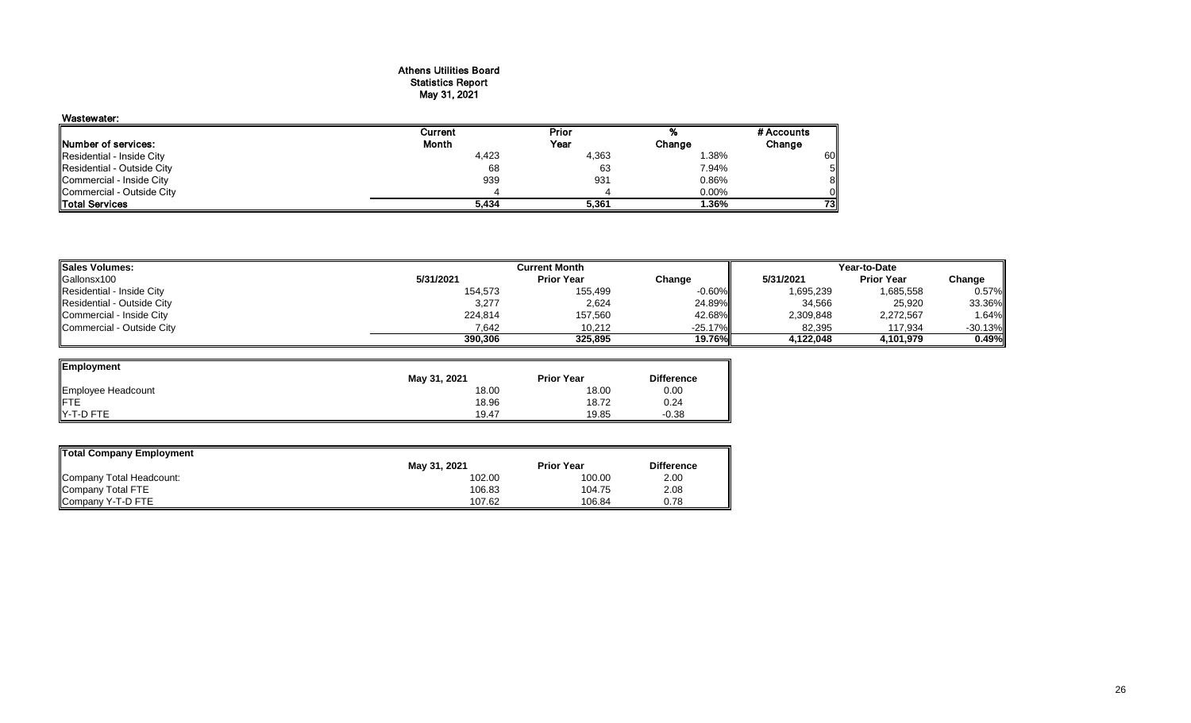#### Athens Utilities Board Statistics Report May 31, 2021

# Wastewater:

| <b>INumber of services:</b> | <b>Month</b> | Year  | Change | Change |
|-----------------------------|--------------|-------|--------|--------|
| Residential - Inside City   | 4,423        | 4,363 | .38%   | 60     |
| Residential - Outside City  | 68           | 63    | 7.94%  | 5Ι     |
| Commercial - Inside City    | 939          | 93'   | 0.86%  | 81     |
| Commercial - Outside City   |              |       | 0.00%  | ΟI     |
| <b>Total Services</b>       | 5,434        | 5.361 | 1.36%  | 73I    |

| <b>Sales Volumes:</b>      |           | Year-to-Date      |                 |           |                   |           |
|----------------------------|-----------|-------------------|-----------------|-----------|-------------------|-----------|
| Gallonsx100                | 5/31/2021 | <b>Prior Year</b> | Change          | 5/31/2021 | <b>Prior Year</b> | Change    |
| Residential - Inside City  | 154,573   | 155,499           | $-0.60\%$       | 1,695,239 | 1,685,558         | 0.57%     |
| Residential - Outside City | 3,277     | 2,624             | 24.89%          | 34,566    | 25,920            | 33.36%    |
| Commercial - Inside City   | 224,814   | 157,560           | 42.68%          | 2,309,848 | 2,272,567         | 1.64%     |
| Commercial - Outside City  | 7.642     | 10,212            | $-25.17\%$      | 82,395    | 117,934           | $-30.13%$ |
|                            | 390,306   | 325.895           | <b>19.76%II</b> | 4.122.048 | 4.101.979         | 0.49%     |

extent Prior 7% #Accounts

| Employment         |              |                   |                   |
|--------------------|--------------|-------------------|-------------------|
|                    | May 31, 2021 | <b>Prior Year</b> | <b>Difference</b> |
| Employee Headcount | 18.00        | 18.00             | 0.00              |
| <b>IFTE</b>        | 18.96        | 18.72             | 0.24              |
| Y-T-D FTE          | 19.47        | 19.85             | $-0.38$           |

| Total Company Employment |              |                   |                   |
|--------------------------|--------------|-------------------|-------------------|
|                          | May 31, 2021 | <b>Prior Year</b> | <b>Difference</b> |
| Company Total Headcount: | 102.00       | 100.00            | 2.00              |
| Company Total FTE        | 106.83       | 104.75            | 2.08              |
| Company Y-T-D FTE        | 107.62       | 106.84            | 0.78              |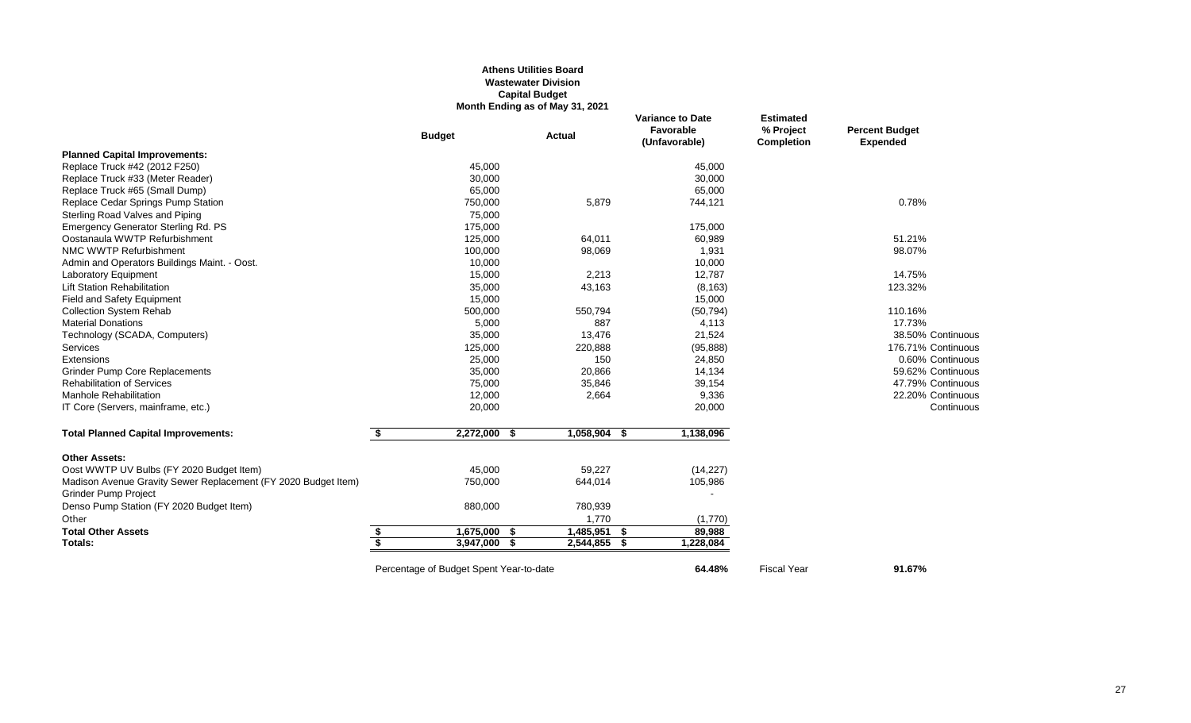#### **Athens Utilities Board Wastewater Division Capital Budget Month Ending as of May 31, 2021**

|                                                                |                                      | <b>Budget</b>                           | <b>Actual</b> |                | <b>Variance to Date</b><br>Favorable<br>(Unfavorable) | <b>Estimated</b><br>% Project<br><b>Completion</b> | <b>Percent Budget</b><br><b>Expended</b> |
|----------------------------------------------------------------|--------------------------------------|-----------------------------------------|---------------|----------------|-------------------------------------------------------|----------------------------------------------------|------------------------------------------|
| <b>Planned Capital Improvements:</b>                           |                                      |                                         |               |                |                                                       |                                                    |                                          |
| Replace Truck #42 (2012 F250)                                  |                                      | 45,000                                  |               |                | 45,000                                                |                                                    |                                          |
| Replace Truck #33 (Meter Reader)                               |                                      | 30,000                                  |               |                | 30,000                                                |                                                    |                                          |
| Replace Truck #65 (Small Dump)                                 |                                      | 65,000                                  |               |                | 65,000                                                |                                                    |                                          |
| Replace Cedar Springs Pump Station                             |                                      | 750,000                                 |               | 5,879          | 744,121                                               |                                                    | 0.78%                                    |
| Sterling Road Valves and Piping                                |                                      | 75,000                                  |               |                |                                                       |                                                    |                                          |
| <b>Emergency Generator Sterling Rd. PS</b>                     |                                      | 175,000                                 |               |                | 175,000                                               |                                                    |                                          |
| Oostanaula WWTP Refurbishment                                  |                                      | 125,000                                 |               | 64,011         | 60,989                                                |                                                    | 51.21%                                   |
| NMC WWTP Refurbishment                                         |                                      | 100,000                                 |               | 98,069         | 1,931                                                 |                                                    | 98.07%                                   |
| Admin and Operators Buildings Maint. - Oost.                   |                                      | 10,000                                  |               |                | 10,000                                                |                                                    |                                          |
| Laboratory Equipment                                           |                                      | 15,000                                  |               | 2,213          | 12,787                                                |                                                    | 14.75%                                   |
| <b>Lift Station Rehabilitation</b>                             |                                      | 35,000                                  |               | 43,163         | (8, 163)                                              |                                                    | 123.32%                                  |
| Field and Safety Equipment                                     |                                      | 15,000                                  |               |                | 15,000                                                |                                                    |                                          |
| <b>Collection System Rehab</b>                                 |                                      | 500,000                                 |               | 550,794        | (50, 794)                                             |                                                    | 110.16%                                  |
| <b>Material Donations</b>                                      |                                      | 5,000                                   |               | 887            | 4,113                                                 |                                                    | 17.73%                                   |
| Technology (SCADA, Computers)                                  |                                      | 35,000                                  |               | 13,476         | 21,524                                                |                                                    | 38.50% Continuous                        |
| <b>Services</b>                                                |                                      | 125,000                                 |               | 220,888        | (95, 888)                                             |                                                    | 176.71% Continuous                       |
| Extensions                                                     |                                      | 25,000                                  |               | 150            | 24,850                                                |                                                    | 0.60% Continuous                         |
| <b>Grinder Pump Core Replacements</b>                          |                                      | 35,000                                  |               | 20,866         | 14,134                                                |                                                    | 59.62% Continuous                        |
| <b>Rehabilitation of Services</b>                              |                                      | 75,000                                  |               | 35,846         | 39,154                                                |                                                    | 47.79% Continuous                        |
| Manhole Rehabilitation                                         |                                      | 12,000                                  |               | 2,664          | 9,336                                                 |                                                    | 22.20% Continuous                        |
| IT Core (Servers, mainframe, etc.)                             |                                      | 20,000                                  |               |                | 20,000                                                |                                                    | Continuous                               |
| <b>Total Planned Capital Improvements:</b>                     | \$                                   | $2,272,000$ \$                          |               | $1,058,904$ \$ | 1,138,096                                             |                                                    |                                          |
| <b>Other Assets:</b>                                           |                                      |                                         |               |                |                                                       |                                                    |                                          |
| Oost WWTP UV Bulbs (FY 2020 Budget Item)                       |                                      | 45,000                                  |               | 59,227         | (14, 227)                                             |                                                    |                                          |
| Madison Avenue Gravity Sewer Replacement (FY 2020 Budget Item) |                                      | 750,000                                 |               | 644,014        | 105,986                                               |                                                    |                                          |
| Grinder Pump Project                                           |                                      |                                         |               |                |                                                       |                                                    |                                          |
| Denso Pump Station (FY 2020 Budget Item)                       |                                      | 880,000                                 |               | 780,939        |                                                       |                                                    |                                          |
| Other                                                          |                                      |                                         |               | 1,770          | (1,770)                                               |                                                    |                                          |
| <b>Total Other Assets</b>                                      | S                                    | 1,675,000                               | - 56          | $1,485,951$ \$ | 89,988                                                |                                                    |                                          |
| Totals:                                                        | $\overline{\boldsymbol{\mathsf{s}}}$ | 3,947,000                               |               | 2,544,855 \$   | 1,228,084                                             |                                                    |                                          |
|                                                                |                                      | Percentage of Budget Spent Year-to-date |               |                | 64.48%                                                | <b>Fiscal Year</b>                                 | 91.67%                                   |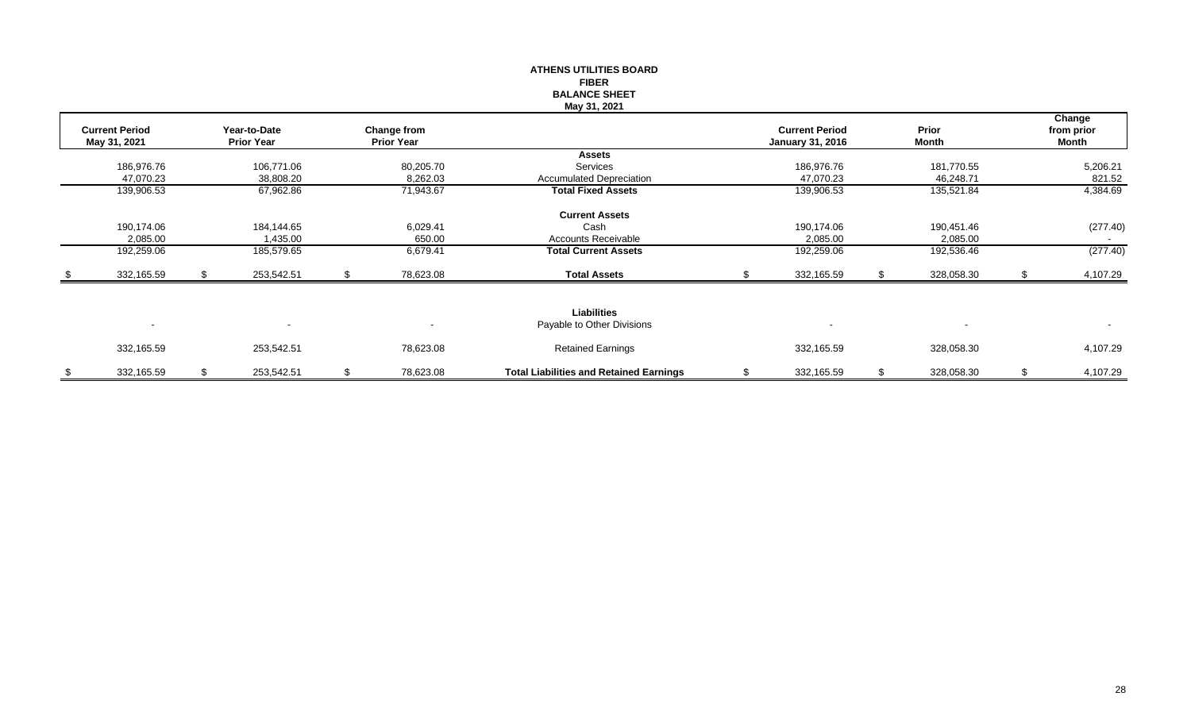|                       |    |                   |                    | <b>ATHENS UTILITIES BOARD</b>                  |                         |                  |    |            |
|-----------------------|----|-------------------|--------------------|------------------------------------------------|-------------------------|------------------|----|------------|
|                       |    |                   |                    | <b>FIBER</b>                                   |                         |                  |    |            |
|                       |    |                   |                    | <b>BALANCE SHEET</b>                           |                         |                  |    |            |
|                       |    |                   |                    | May 31, 2021                                   |                         |                  |    |            |
|                       |    |                   |                    |                                                |                         |                  |    | Change     |
| <b>Current Period</b> |    | Year-to-Date      | <b>Change from</b> |                                                | <b>Current Period</b>   | Prior            |    | from prior |
| May 31, 2021          |    | <b>Prior Year</b> | <b>Prior Year</b>  |                                                | <b>January 31, 2016</b> | Month            |    | Month      |
|                       |    |                   |                    | Assets                                         |                         |                  |    |            |
| 186,976.76            |    | 106,771.06        | 80,205.70          | Services                                       | 186,976.76              | 181,770.55       |    | 5,206.21   |
| 47,070.23             |    | 38,808.20         | 8,262.03           | <b>Accumulated Depreciation</b>                | 47,070.23               | 46,248.71        |    | 821.52     |
| 139,906.53            |    | 67,962.86         | 71,943.67          | <b>Total Fixed Assets</b>                      | 139,906.53              | 135,521.84       |    | 4,384.69   |
|                       |    |                   |                    | <b>Current Assets</b>                          |                         |                  |    |            |
| 190,174.06            |    | 184,144.65        | 6,029.41           | Cash                                           | 190,174.06              | 190,451.46       |    | (277.40)   |
| 2,085.00              |    | 1,435.00          | 650.00             | <b>Accounts Receivable</b>                     | 2,085.00                | 2,085.00         |    |            |
| 192,259.06            |    | 185,579.65        | 6,679.41           | <b>Total Current Assets</b>                    | 192,259.06              | 192,536.46       |    | (277.40)   |
| 332,165.59            | S. | 253,542.51        | \$<br>78,623.08    | <b>Total Assets</b>                            | 332,165.59              | 328,058.30       | .S | 4,107.29   |
|                       |    |                   |                    |                                                |                         |                  |    |            |
|                       |    |                   |                    |                                                |                         |                  |    |            |
|                       |    |                   |                    | <b>Liabilities</b>                             |                         |                  |    |            |
| $\blacksquare$        |    |                   |                    | Payable to Other Divisions                     |                         |                  |    | $\sim$     |
| 332,165.59            |    | 253,542.51        | 78,623.08          | <b>Retained Earnings</b>                       | 332,165.59              | 328,058.30       |    | 4,107.29   |
| \$<br>332,165.59      | \$ | 253,542.51        | \$<br>78,623.08    | <b>Total Liabilities and Retained Earnings</b> | \$<br>332,165.59        | \$<br>328,058.30 | \$ | 4,107.29   |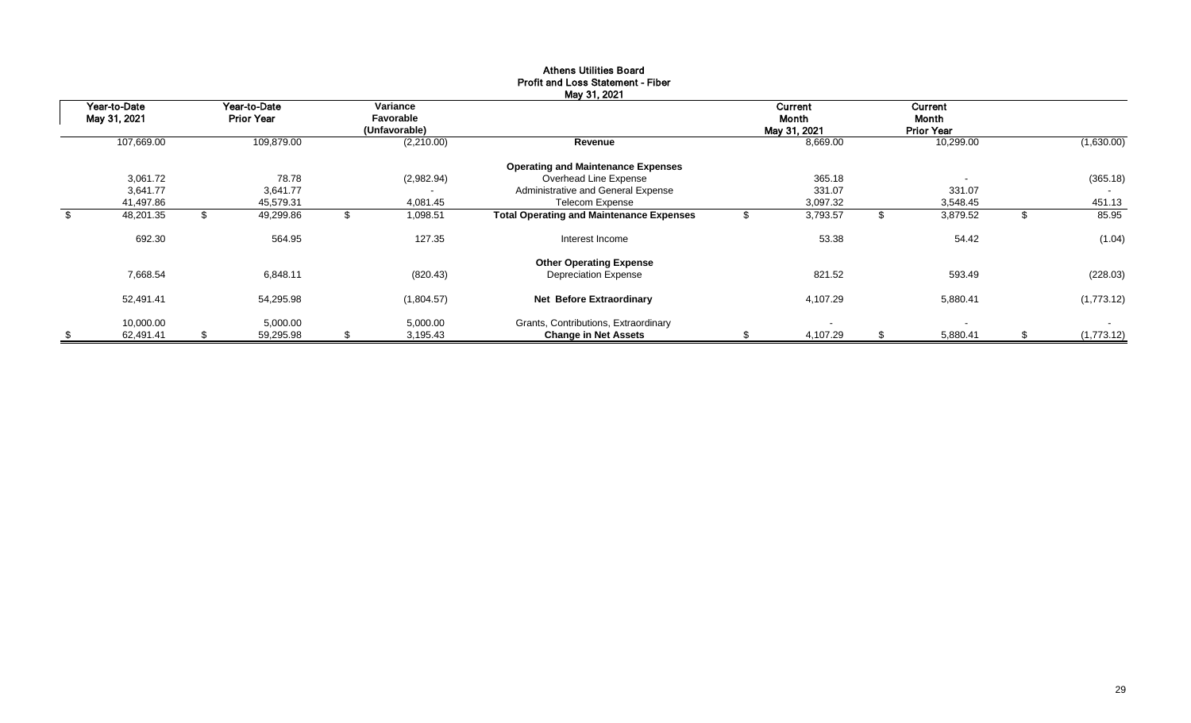| Year-to-Date<br>May 31, 2021 |     | Year-to-Date<br><b>Prior Year</b> |     | Variance<br>Favorable<br>(Unfavorable) | May 31, 2021                                    |     | <b>Current</b><br>Month<br>May 31, 2021 |    | Current<br>Month<br><b>Prior Year</b> |                  |
|------------------------------|-----|-----------------------------------|-----|----------------------------------------|-------------------------------------------------|-----|-----------------------------------------|----|---------------------------------------|------------------|
| 107,669.00                   |     | 109,879.00                        |     | (2,210.00)                             | Revenue                                         |     | 8,669.00                                |    | 10,299.00                             | (1,630.00)       |
|                              |     |                                   |     |                                        | <b>Operating and Maintenance Expenses</b>       |     |                                         |    |                                       |                  |
| 3,061.72                     |     | 78.78                             |     | (2,982.94)                             | Overhead Line Expense                           |     | 365.18                                  |    |                                       | (365.18)         |
| 3,641.77                     |     | 3,641.77                          |     |                                        | Administrative and General Expense              |     | 331.07                                  |    | 331.07                                |                  |
| 41,497.86                    |     | 45,579.31                         |     | 4,081.45                               | Telecom Expense                                 |     | 3,097.32                                |    | 3,548.45                              | 451.13           |
| \$<br>48,201.35              |     | 49,299.86                         |     | 1,098.51                               | <b>Total Operating and Maintenance Expenses</b> |     | 3,793.57                                | Œ  | 3,879.52                              | 85.95            |
| 692.30                       |     | 564.95                            |     | 127.35                                 | Interest Income                                 |     | 53.38                                   |    | 54.42                                 | (1.04)           |
|                              |     |                                   |     |                                        | <b>Other Operating Expense</b>                  |     |                                         |    |                                       |                  |
| 7,668.54                     |     | 6,848.11                          |     | (820.43)                               | <b>Depreciation Expense</b>                     |     | 821.52                                  |    | 593.49                                | (228.03)         |
| 52,491.41                    |     | 54,295.98                         |     | (1,804.57)                             | Net Before Extraordinary                        |     | 4,107.29                                |    | 5,880.41                              | (1,773.12)       |
| 10,000.00                    |     | 5,000.00                          |     | 5,000.00                               | Grants, Contributions, Extraordinary            |     | $\overline{\phantom{a}}$                |    | $\overline{\phantom{a}}$              | $\sim$           |
| \$<br>62,491.41              | \$. | 59,295.98                         | \$. | 3,195.43                               | <b>Change in Net Assets</b>                     | \$. | 4,107.29                                | \$ | 5,880.41                              | \$<br>(1,773.12) |

#### Athens Utilities Board Profit and Loss Statement - Fiber May 31, 2021